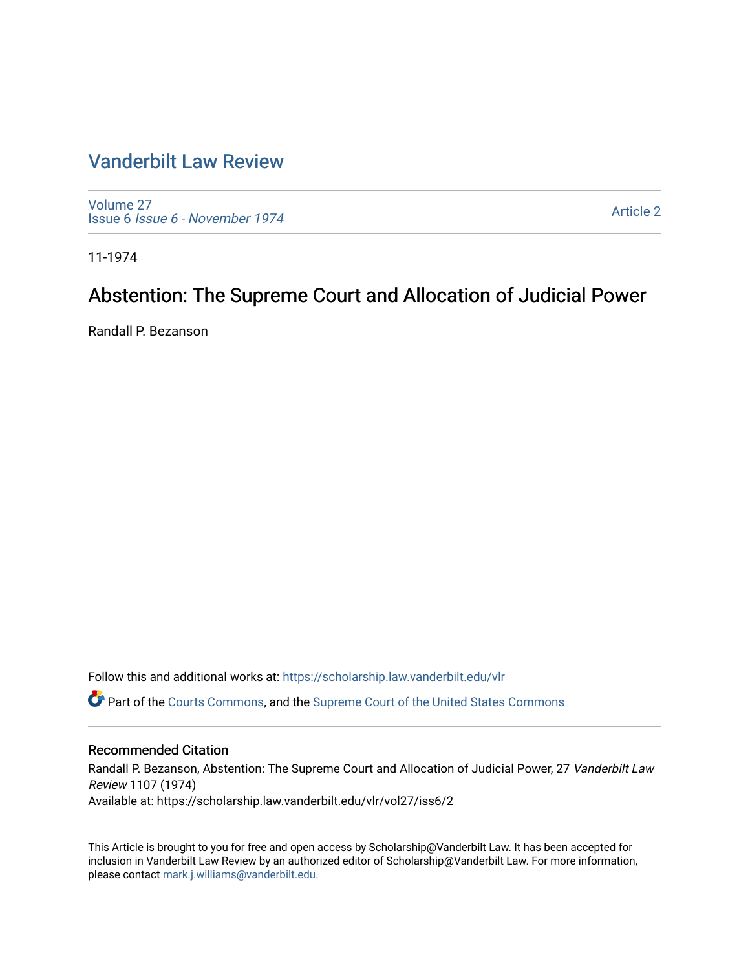# [Vanderbilt Law Review](https://scholarship.law.vanderbilt.edu/vlr)

[Volume 27](https://scholarship.law.vanderbilt.edu/vlr/vol27) Issue 6 [Issue 6 - November 1974](https://scholarship.law.vanderbilt.edu/vlr/vol27/iss6)

[Article 2](https://scholarship.law.vanderbilt.edu/vlr/vol27/iss6/2) 

11-1974

# Abstention: The Supreme Court and Allocation of Judicial Power

Randall P. Bezanson

Follow this and additional works at: [https://scholarship.law.vanderbilt.edu/vlr](https://scholarship.law.vanderbilt.edu/vlr?utm_source=scholarship.law.vanderbilt.edu%2Fvlr%2Fvol27%2Fiss6%2F2&utm_medium=PDF&utm_campaign=PDFCoverPages)

Part of the [Courts Commons,](http://network.bepress.com/hgg/discipline/839?utm_source=scholarship.law.vanderbilt.edu%2Fvlr%2Fvol27%2Fiss6%2F2&utm_medium=PDF&utm_campaign=PDFCoverPages) and the [Supreme Court of the United States Commons](http://network.bepress.com/hgg/discipline/1350?utm_source=scholarship.law.vanderbilt.edu%2Fvlr%2Fvol27%2Fiss6%2F2&utm_medium=PDF&utm_campaign=PDFCoverPages)

# Recommended Citation

Randall P. Bezanson, Abstention: The Supreme Court and Allocation of Judicial Power, 27 Vanderbilt Law Review 1107 (1974) Available at: https://scholarship.law.vanderbilt.edu/vlr/vol27/iss6/2

This Article is brought to you for free and open access by Scholarship@Vanderbilt Law. It has been accepted for inclusion in Vanderbilt Law Review by an authorized editor of Scholarship@Vanderbilt Law. For more information, please contact [mark.j.williams@vanderbilt.edu.](mailto:mark.j.williams@vanderbilt.edu)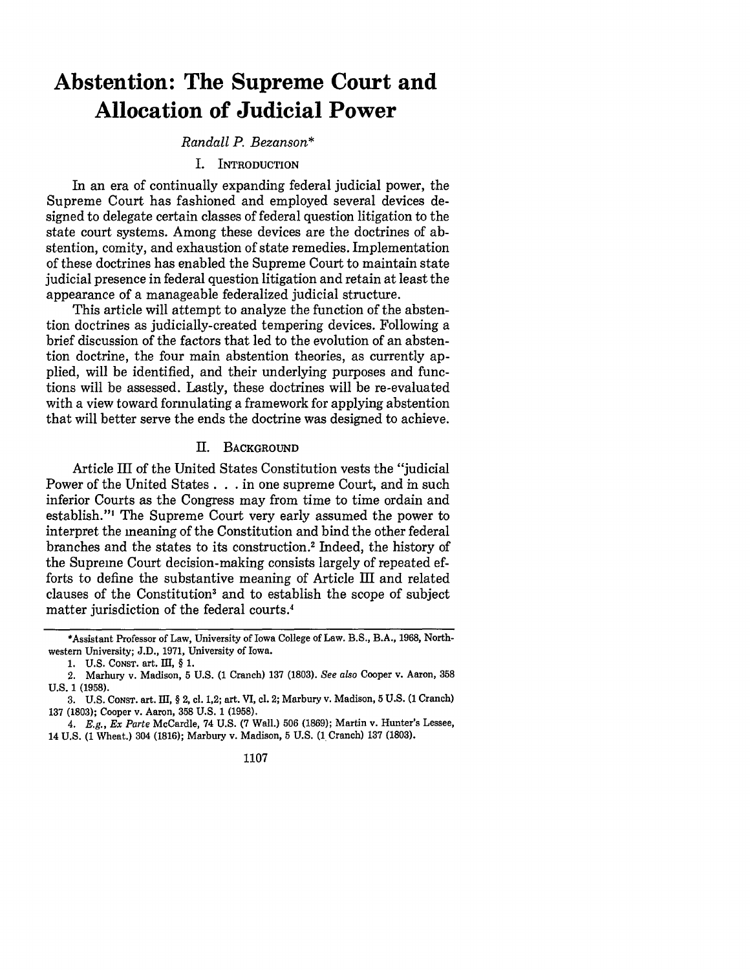# **Abstention: The Supreme Court and Allocation of Judicial Power**

# *Randall P. Bezanson\**

#### I. INTRODUCTION

In an era of continually expanding federal judicial power, the Supreme Court has fashioned and employed several devices designed to delegate certain classes of federal question litigation to the state court systems. Among these devices are the doctrines of abstention, comity, and exhaustion of state remedies. Implementation of these doctrines has enabled the Supreme Court to maintain state judicial presence in federal question litigation and retain at least the appearance of a manageable federalized judicial structure.

This article will attempt to analyze the function of the abstention doctrines as judicially-created tempering devices. Following a brief discussion of the factors that led to the evolution of an abstention doctrine, the four main abstention theories, as currently applied, will be identified, and their underlying purposes and functions will be assessed. Lastly, these doctrines will be re-evaluated with a view toward formulating a framework for applying abstention that will better serve the ends the doctrine was designed to achieve.

#### II. **BACKGROUND**

Article III of the United States Constitution vests the "judicial Power of the United States . . . in one supreme Court, and in such inferior Courts as the Congress may from time to time ordain and establish."' The Supreme Court very early assumed the power to interpret the meaning of the Constitution and bind the other federal branches and the states to its construction. 2 Indeed, the history of the Supreme Court decision-making consists largely of repeated efforts to define the substantive meaning of Article III and related clauses of the Constitution<sup>3</sup> and to establish the scope of subject matter jurisdiction of the federal courts.<sup>4</sup>

1107

<sup>\*</sup>Assistant Professor of Law, University of Iowa College of Law. B.S., B.A., 1968, Northwestern University; J.D., 1971, University of Iowa.

**<sup>1.</sup> U.S. CONST.** art. III, § **1.**

<sup>2.</sup> Marbury v. Madison, 5 U.S. (1 Cranch) 137 (1803). *See also* Cooper v. Aaron, 358 U.S. **1** (1958).

**<sup>3.</sup>** U.S. CONST. art. **El,** § 2, cl. 1,2; art. VI, **cl. 2;** Marbury v. Madison, **5** U.S. **(1** Cranch) **137** (1803); Cooper v. Aaron, **358** U.S. **1 (1958).**

*<sup>4.</sup> E.g., Ex Parte* McCardle, 74 U.S. (7 Wall.) 506 (1869); Martin v. Hunter's Lessee, 14 U.S. (1 Wheat.) 304 (1816); Marbury v. Madison, 5 U.S. (1 Cranch) **137** (1803).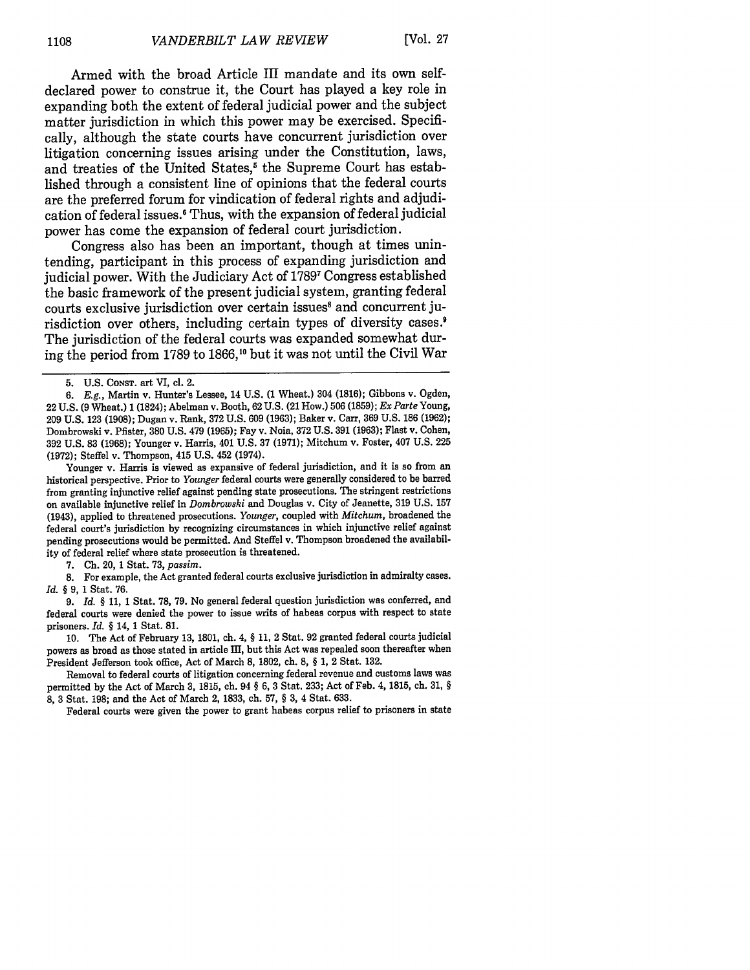Armed with the broad Article III mandate and its own selfdeclared power to construe it, the Court has played a key role in expanding both the extent of federal judicial power and the subject matter jurisdiction in which this power may be exercised. Specifically, although the state courts have concurrent jurisdiction over litigation concerning issues arising under the Constitution, laws, and treaties of the United States,<sup>5</sup> the Supreme Court has established through a consistent line of opinions that the federal courts are the preferred forum for vindication of federal rights and adjudication of federal issues.' Thus, with the expansion of federal judicial power has come the expansion of federal court jurisdiction.

Congress also has been an important, though at times unintending, participant in this process of expanding jurisdiction and judicial power. With the Judiciary Act of 1789<sup>7</sup> Congress established the basic framework of the present judicial system, granting federal courts exclusive jurisdiction over certain issues<sup>8</sup> and concurrent jurisdiction over others, including certain types of diversity cases.<sup>9</sup> The jurisdiction of the federal courts was expanded somewhat during the period from 1789 to 1866,10 but it was not until the Civil War

Younger v. Harris is viewed as expansive of federal jurisdiction, and it is so from an historical perspective. Prior to *Younger* federal courts were generally considered to be barred from granting injunctive relief against pending state prosecutions. The stringent restrictions on available injunctive relief in *Dombrowski* and Douglas v. City of Jeanette, 319 U.S. 157 (1943), applied to threatened prosecutions. *Younger,* coupled with *Mitchum,* broadened the federal court's jurisdiction by recognizing circumstances in which injunctive relief against pending prosecutions would be permitted. And Steffel v. Thompson broadened the availability of federal relief where state prosecution is threatened.

7. Ch. 20, 1 Stat. 73, *passim.*

**8.** For example, the Act granted federal courts exclusive jurisdiction in admiralty cases. *Id. §* 9, 1 Stat. 76.

9. *Id. §* 11, 1 Stat. 78, 79. No general federal question jurisdiction was conferred, and federal courts were denied the power to issue writs of habeas corpus with respect to state prisoners. *Id. §* 14, 1 Stat. **81.**

10. The Act of February 13, 1801, ch. 4, § 11, 2 Stat. 92 granted federal courts judicial powers as broad as those stated in article **Ed,** but this Act was repealed soon thereafter when President Jefferson took office, Act of March 8, 1802, ch. 8, § 1, 2 Stat. 132.

Removal to federal courts of litigation concerning federal revenue and customs laws was permitted by the Act of March 3, **1815,** ch. 94 § 6, 3 Stat. 233; Act of Feb. 4, 1815, ch. 31, § 8, 3 Stat. 198; and the Act of March 2, 1833, ch. 57, § 3, 4 Stat. 633.

Federal courts were given the power to grant habeas corpus relief to prisoners in state

<sup>5.</sup> U.S. **CONST.** art VI, cl. 2.

*<sup>6.</sup> E.g.,* Martin v. Hunter's Lessee, 14 U.S. (1 Wheat.) 304 (1816); Gibbons v. Ogden, 22 U.S. (9 Wheat.) 1 (1824); Abelman v. Booth, 62 U.S. (21 How.) 506 (1859); *Ex Parte* Young, 209 U.S. 123 (1908); Dugan v. Rank, 372 U.S. 609 (1963); Baker v. Carr, 369 U.S. 186 (1962); Dombrowski v. Pfister, 380 U.S. 479 (1965); Fay v. Noia, 372 U.S. 391 (1963); Flast v. Cohen, 392 U.S. 83 (1968); Younger v. Harris, 401 U.S. 37 (1971); Mitchum v. Foster, 407 U.S. 225 (1972); Steffel v. Thompson, 415 U.S. 452 (1974).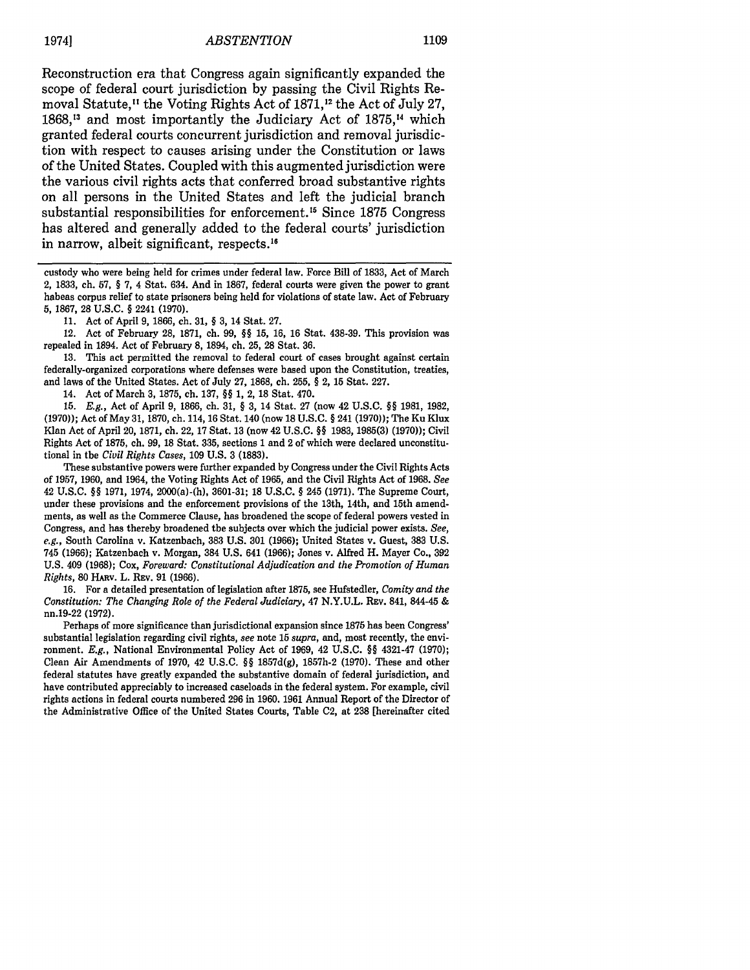# *ABSTENTION* 19741 **1109**

Reconstruction era that Congress again significantly expanded the scope of federal court jurisdiction by passing the Civil Rights Removal Statute,<sup>11</sup> the Voting Rights Act of 1871,<sup>12</sup> the Act of July 27, 1868,<sup>13</sup> and most importantly the Judiciary Act of 1875,<sup>14</sup> which granted federal courts concurrent jurisdiction and removal jurisdiction with respect to causes arising under the Constitution or laws of the United States. Coupled with this augmented jurisdiction were the various civil rights acts that conferred broad substantive rights on all persons in the United States and left the judicial branch substantial responsibilities for enforcement.'5 Since 1875 Congress has altered and generally added to the federal courts' jurisdiction in narrow, albeit significant, respects.<sup>16</sup>

custody who were being held for crimes under federal law. Force Bill of 1833, Act of March 2, 1833, ch. 57, § 7, 4 Stat. 634. And in 1867, federal courts were given the power to grant habeas corpus relief to state prisoners being held for violations of state law. Act of February 5, 1867, 28 U.S.C. § 2241 (1970).

11. Act of April 9, 1866, ch. 31, § 3, 14 Stat. 27.

12. Act of February 28, 1871, ch. 99, §§ 15, 16, 16 Stat. 438-39. This provision was repealed in 1894. Act of February 8, 1894, ch. 25, 28 Stat. 36.

13. This act permitted the removal to federal court of cases brought against certain federally-organized corporations where defenses were based upon the Constitution, treaties, and laws of the United States. Act of July 27, 1868, ch. 255, § 2, 15 Stat. 227.

14. Act of March 3, 1875, ch. 137, §§ 1, 2, 18 Stat. 470.

15. E.g., Act of April 9, 1866, ch. 31, § 3, 14 Stat. 27 (now 42 U.S.C. §§ 1981, 1982, (1970)); Act of May 31, 1870, ch. 114, 16 Stat. 140 (now 18 U.S.C. § 241 (1970)); The Ku Klux Klan Act of April 20, 1871, ch. 22, 17 Stat. 13 (now 42 U.S.C. §§ 1983, 1985(3) (1970)); Civil Rights Act of 1875, ch. 99, 18 Stat. 335, sections 1 and 2 of which were declared unconstitutional in the *Civil Rights Cases,* 109 U.S. 3 (1883).

These substantive powers were further expanded by Congress under the Civil Rights Acts of 1957, 1960, and 1964, the Voting Rights Act of 1965, and the Civil Rights Act of 1968. *See* 42 U.S.C. §§ 1971, 1974, 2000(a)-(h), 3601-31; 18 U.S.C. § 245 (1971). The Supreme Court, under these provisions and the enforcement provisions of the 13th, 14th, and 15th amendments, as well as the Commerce Clause, has broadened the scope of federal powers vested in Congress, and has thereby broadened the subjects over which the judicial power exists. *See, e.g.,* South Carolina v. Katzenbach, 383 U.S. 301 (1966); United States v. Guest, 383 U.S. 745 (1966); Katzenbach v. Morgan, 384 U.S. 641 (1966); Jones v. Alfred H. Mayer Co., 392 **U.S.** 409 (1968); Cox, *Foreward: Constitutional Adjudication and the Promotion of Human Rights, 80 HARV. L. REV. 91 (1966).* 

16. For a detailed presentation of legislation after 1875, see Hufstedler, *Comity and the Constitution: The Changing Role of the Federal Judiciary, 47 N.Y.U.L. Ruv. 841, 844-45 &* nn.19-22 (1972).

Perhaps of more significance than jurisdictional expansion since 1875 has been Congress' substantial legislation regarding civil rights, *see* note 15 *supra,* and, most recently, the environment. E.g., National Environmental Policy Act of 1969, 42 U.S.C. §§ 4321-47 (1970); Clean Air Amendments of 1970, 42 U.S.C. §§ 1857d(g), 1857h-2 (1970). These and other federal statutes have greatly expanded the substantive domain of federal jurisdiction, and have contributed appreciably to increased caseloads in the federal system. For example, civil rights actions in federal courts numbered 296 in 1960. 1961 Annual Report of the Director of the Administrative Office of the United States Courts, Table C2, at 238 [hereinafter cited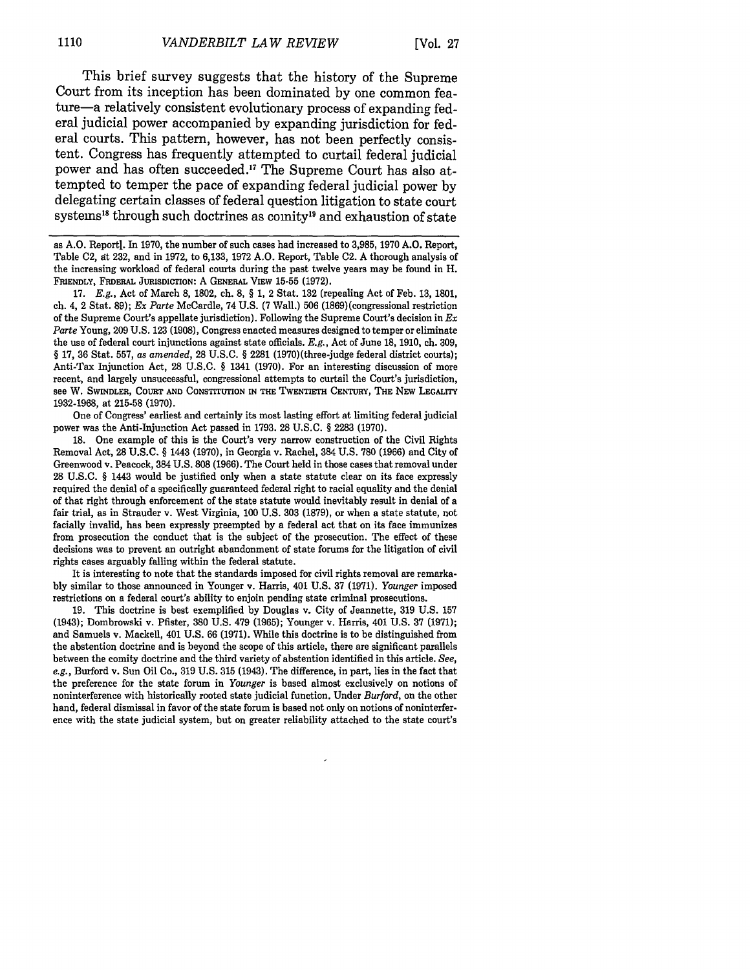This brief survey suggests that the history of the Supreme Court from its inception has been dominated by one common feature-a relatively consistent evolutionary process of expanding federal judicial power accompanied by expanding jurisdiction for federal courts. This pattern, however, has not been perfectly consistent. Congress has frequently attempted to curtail federal judicial power and has often succeeded.<sup>17</sup> The Supreme Court has also attempted to temper the pace of expanding federal judicial power by delegating certain classes of federal question litigation to state court systems<sup>18</sup> through such doctrines as comity<sup>19</sup> and exhaustion of state

as A.O. Report]. In 1970, the number of such cases had increased to 3,985, 1970 A.O. Report, Table **C2,** at 232, and in 1972, to 6,133, 1972 A.O. Report, Table C2. A thorough analysis of the increasing workload of federal courts during the past twelve years may be found in H. FRIENDLY, **FEDERAL** JURISDICTION: A **GENERAL** VIEW **15-55** (1972).

17. *E.g.,* Act of March **8,** 1802, ch. 8, § 1, 2 Stat. 132 (repealing Act of Feb. **13,** 1801, ch. 4, 2 Stat. 89); *Ex Parte* McCardle, 74 U.S. (7 Wall.) 506 (1869)(congressional restriction of the Supreme Court's appellate jurisdiction). Following the Supreme Court's decision in *Ex Parte* Young, 209 U.S. 123 (1908), Congress enacted measures designed to temper or eliminate the use of federal court injunctions against state officials. *E.g.,* Act of June 18, 1910, ch. 309, § 17, 36 Stat. 557, as *amended,* 28 U.S.C. § 2281 (1970)(three-judge federal district courts); Anti-Tax Injunction Act, 28 U.S.C. § 1341 (1970). For an interesting discussion of more recent, and largely unsuccessful, congressional attempts to curtail the Court's jurisdiction, see W. SWINDLER, COURT **AND** CONsTrrurION **IN THE TWENTIETH CENTURY, THE** NEW LEGALITY 1932-1968, at 215-58 **(1970).**

One of Congress' earliest and certainly its most lasting effort at limiting federal judicial power was the Anti-Injunction Act passed in 1793. **28** U.S.C. § **2283** (1970).

**18.** One example of this is the Court's very narrow construction of the Civil Rights Removal Act, **28** U.S.C. § 1443 **(1970),** in Georgia v. Rachel, 384 U.S. 780 (1966) and City of Greenwood v. Peacock, 384 U.S. **808** (1966). The Court held in those cases that removal under **28** U.S.C. § 1443 would be justified only when a state statute clear on its face expressly required the denial of a specifically guaranteed federal right to racial equality and the denial of that right through enforcement of the state statute would inevitably result in denial of a fair trial, as in Strauder v. West Virginia, 100 U.S. **303** (1879), or when a state statute, not facially invalid, has been expressly preempted by a federal act that on its face immunizes from prosecution the conduct that is the subject of the prosecution. The effect of these decisions was to prevent an outright abandonment of state forums for the litigation of civil rights cases arguably falling within the federal statute.

It is interesting to note that the standards imposed for civil rights removal are remarkably similar to those announced in Younger v. Harris, 401 U.S. **37** (1971). *Younger* imposed restrictions on a federal court's ability to enjoin pending state criminal prosecutions.

**19.** This doctrine is best exemplified by Douglas v. City of Jeannette, 319 U.S. **157** (1943); Dombrowski v. Pfister, 380 U.S. 479 (1965); Younger v. Harris, 401 U.S. **37** (1971); and Samuels v. Mackell, 401 U.S. 66 (1971). While this doctrine is to be distinguished from the abstention doctrine and is beyond the scope of this article, there are significant parallels between the comity doctrine and the third variety of abstention identified in this article. *See, e.g.,* Burford v. Sun Oil Co., **319** U.S. **315** (1943). The difference, in part, lies in the fact that the preference for the state forum in *Younger* is based almost exclusively on notions of noninterference with historically rooted state judicial function. Under *Burford,* on the other hand, federal dismissal in favor of the state forum is based not only on notions of noninterference with the state judicial system, but on greater reliability attached to the state court's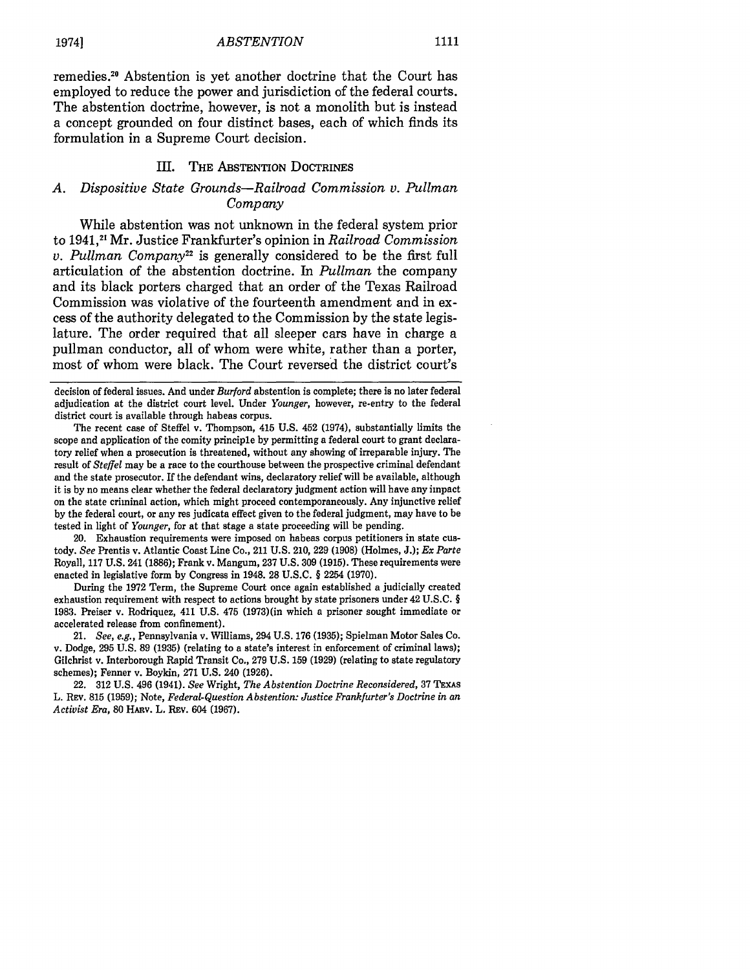remedies . 2 Abstention is yet another doctrine that the Court has employed to reduce the power and jurisdiction of the federal courts. The abstention doctrine, however, is not a monolith but is instead a concept grounded on four distinct bases, each of which finds its formulation in a Supreme Court decision.

#### III. THE ABSTENTION DoCTRINEs

## *A. Dispositive State Grounds-Railroad Commission v. Pullman Company*

While abstention was not unknown in the federal system prior to 1941, ' 21 Mr. Justice Frankfurter's opinion in *Railroad Commission v. Pullman Company*<sup>22</sup> is generally considered to be the first full articulation of the abstention doctrine. In *Pullman* the company and its black porters charged that an order of the Texas Railroad Commission was violative of the fourteenth amendment and in excess of the authority delegated to the Commission by the state legislature. The order required that all sleeper cars have in charge a pullman conductor, all of whom were white, rather than a porter, most of whom were black. The Court reversed the district court's

decision of federal issues. And under *Burford* abstention is complete; there is no later federal adjudication at the district court level. Under *Younger,* however, re-entry to the federal district court is available through habeas corpus.

The recent case of Steffel v. Thompson, 415 U.S. 452 (1974), substantially limits the scope and application of the comity principle by permitting a federal court to grant declaratory relief when a prosecution is threatened, without any showing of irreparable injury. The result of *Steffel* may be a race to the courthouse between the prospective criminal defendant and the state prosecutor. If the defendant wins, declaratory relief will be available, although it is by no means clear whether the federal declaratory judgment action will have any impact on the state criminal action, which might proceed contemporaneously. Any injunctive relief by the federal court, or any res judicata effect given to the federal judgment, may have to be tested in light of *Younger,* for at that stage a state proceeding will be pending.

20. Exhaustion requirements were imposed on habeas corpus petitioners in state custody. *See* Prentis v. Atlantic Coast Line Co., 211 U.S. 210, 229 (1908) (Holmes, J.); *Ex Parte* Royall, 117 U.S. 241 (1886); Frank v. Mangum, 237 U.S. 309 (1915). These requirements were enacted in legislative form by Congress in 1948. 28 U.S.C. § 2254 (1970).

During the 1972 Term, the Supreme Court once again established a judicially created exhaustion requirement with respect to actions brought **by** state prisoners under 42 U.S.C. § 1983. Preiser v. Rodriquez, 411 U.S. 475 (1973)(in which a prisoner sought immediate or accelerated release from confinement).

21. *See, e.g.,* Pennsylvania v. Williams, 294 U.S. 176 (1935); Spielman Motor Sales Co. v. Dodge, 295 U.S. 89 (1935) (relating to a state's interest in enforcement of criminal laws); Gilchrist v. Interborough Rapid Transit Co., 279 U.S. 159 (1929) (relating to state regulatory schemes); Fenner v. Boykin, 271 U.S. 240 (1926).

22. 312 U.S. 496 (1941). *See* Wright, *The Abstention Doctrine Reconsidered,* 37 **TEXAS** L. REv. 815 (1959); Note, *Federal-Question Abstention: Justice Frankfurter's Doctrine in an Activist Era, 80* HAnv. L. Rxv. 604 (1967).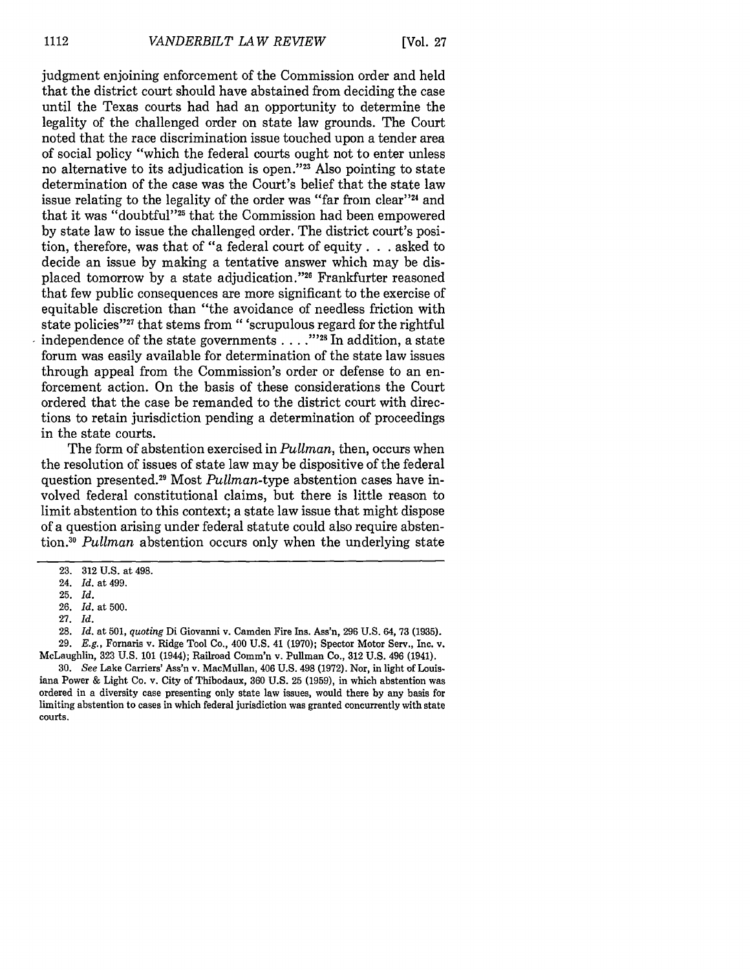judgment enjoining enforcement of the Commission order and held that the district court should have abstained from deciding the case until the Texas courts had had an opportunity to determine the legality of the challenged order on state law grounds. The Court noted that the race discrimination issue touched upon a tender area of social policy "which the federal courts ought not to enter unless no alternative to its adjudication is open."<sup>23</sup> Also pointing to state determination of the case was the Court's belief that the state law issue relating to the legality of the order was "far from clear"<sup>24</sup> and that it was "doubtful"<sup>25</sup> that the Commission had been empowered by state law to issue the challenged order. The district court's position, therefore, was that of "a federal court of equity. **. .** asked to decide an issue by making a tentative answer which may be displaced tomorrow by a state adjudication."<sup>26</sup> Frankfurter reasoned that few public consequences are more significant to the exercise of equitable discretion than "the avoidance of needless friction with state policies"<sup>27</sup> that stems from " 'scrupulous regard for the rightful independence of the state governments **. "... 128** In addition, a state forum was easily available for determination of the state law issues through appeal from the Commission's order or defense to an enforcement action. On the basis of these considerations the Court ordered that the case be remanded to the district court with directions to retain jurisdiction pending a determination of proceedings in the state courts.

The form of abstention exercised in *Pullman,* then, occurs when the resolution of issues of state law may be dispositive of the federal question presented.29 Most *Pullman-type* abstention cases have involved federal constitutional claims, but there is little reason to limit abstention to this context; a state law issue that might dispose of a question arising under federal statute could also require abstention.<sup>30</sup> Pullman abstention occurs only when the underlying state

- 26. Id. at 500.
- 27. Id.

<sup>23. 312</sup> U.S. at 498.

<sup>24.</sup> *Id.* at 499.

<sup>25.</sup> Id.

**<sup>28.</sup>** *Id.* at 501, *quoting* Di Giovanni v. Camden Fire Ins. Ass'n, **296** U.S. 64, 73 (1935). 29. *E.g.,* Fornaris v. Ridge Tool Co., 400 U.S. 41 (1970); Spector Motor Serv., Inc. v.

McLaughlin, 323 U.S. 101 (1944); Railroad Comm'n v. Pullman Co., 312 U.S. 496 (1941).

<sup>30.</sup> *See* Lake Carriers' Ass'n v. MacMullan, 406 U.S. 498 (1972). Nor, in light of Louisiana Power & Light Co. v. City of Thibodaux, 360 U.S. 25 (1959), in which abstention was ordered in a diversity case presenting only state law issues, would there by any basis for limiting abstention to cases in which federal jurisdiction was granted concurrently with state courts.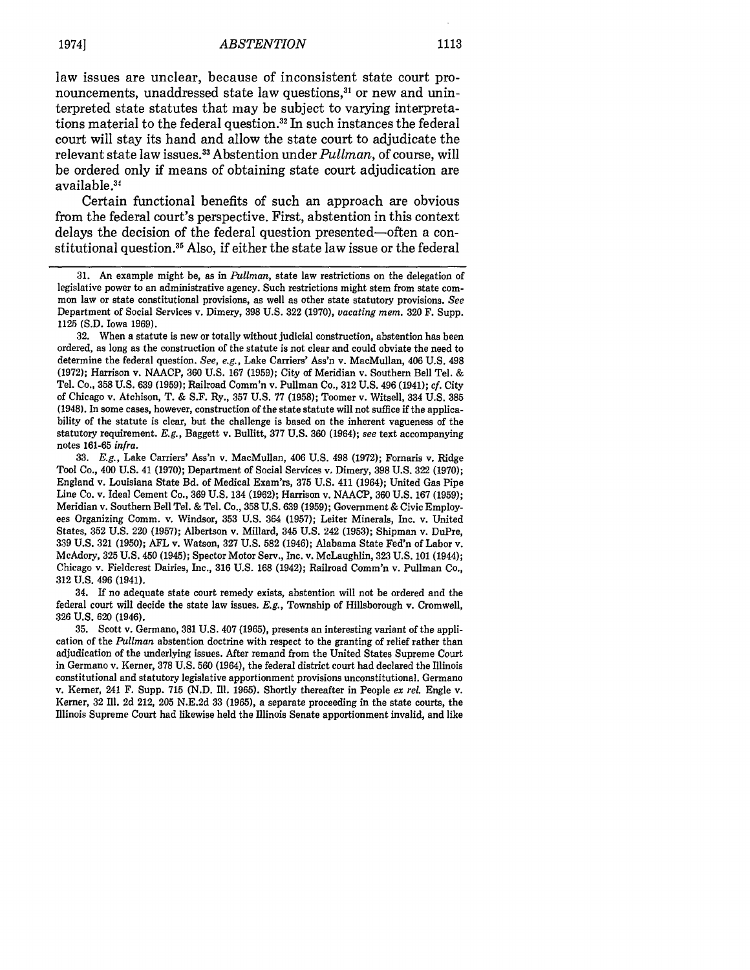law issues are unclear, because of inconsistent state court pronouncements, unaddressed state law questions, 31 or new and uninterpreted state statutes that may be subject to varying interpretations material to the federal question.<sup>32</sup> In such instances the federal court will stay its hand and allow the state court to adjudicate the relevant state law issues. 3 Abstention under *Pullman,* of course, will be ordered only if means of obtaining state court adjudication are available **.3**

Certain functional benefits of such an approach are obvious from the federal court's perspective. First, abstention in this context delays the decision of the federal question presented-often a constitutional question.<sup>35</sup> Also, if either the state law issue or the federal

**<sup>31.</sup>** An example might be, as in *Pullman,* state law restrictions on the delegation of legislative power to an administrative agency. Such restrictions might stem from state common law or state constitutional provisions, as well as other state statutory provisions. *See* Department of Social Services v. Dimery, 398 U.S. 322 (1970), *vacating mem.* 320 F. Supp. 1125 (S.D. Iowa 1969).

<sup>32.</sup> When a statute is new or totally without judicial construction, abstention has been ordered, as long as the construction of the statute is not clear and could obviate the need to determine the federal question. *See, e.g.,* Lake Carriers' Ass'n v. MacMullan, 406 U.S. 498 (1972); Harrison v. NAACP, 360 U.S. 167 (1959); City of Meridian v. Southern Bell Tel. & Tel. Co., 358 U.S. 639 (1959); Railroad Comm'n v. Pullman Co., 312 U.S. 496 (1941); *cf.* City of Chicago v. Atchison, T. & S.F. Ry., 357 U.S. 77 (1958); Toomer v. Witsell, 334 U.S. 385 (1948). In some cases, however, construction of the state statute will not suffice if the applicability of the statute is clear, but the challenge is based on the inherent vagueness of the statutory requirement. *E.g.,* Baggett v. Bullitt, 377 U.S. 360 (1964); *see* text accompanying notes 161-65 *infra.*

<sup>33.</sup> *E.g.,* Lake Carriers' Ass'n v. MacMullan, 406 U.S. 498 (1972); Fornaris v. Ridge Tool Co., 400 U.S. 41 (1970); Department of Social Services v. Dimery, 398 U.S. 322 (1970); England v. Louisiana State Bd. of Medical Exam'rs, 375 U.S. 411 (1964); United Gas Pipe Line Co. v. Ideal Cement Co., 369 U.S. 134 (1962); Harrison v. NAACP, 360 U.S. 167 (1959); Meridian v. Southern Bell Tel. & Tel. Co., 358 U.S. 639 (1959); Government & Civic Employees Organizing Comm. v. Windsor, 353 U.S. 364 (1957); Leiter Minerals, Inc. v. United States, 352 U.S. 220 (1957); Albertson v. Millard, 345 U.S. 242 (1953); Shipman v. DuPre, 339 U.S. 321 (1950); AFL v. Watson, 327 U.S. **582** (1946); Alabama State Fed'n of Labor v. McAdory, 325 U.S. 450 (1945); Spector Motor Serv., Inc. v. McLaughlin, 323 U.S. 101 (1944); Chicago v. Fieldcrest Dairies, Inc., 316 U.S. 168 (1942); Railroad Comm'n v. Pullman Co., 312 U.S. 496 (1941).

<sup>34.</sup> If no adequate state court remedy exists, abstention will not be ordered and the federal court will decide the state law issues. *E.g.,* Township of Hillsborough v. Cromwell, 326 U.S. 620 (1946).

<sup>35.</sup> Scott v. Germano, 381 U.S. 407 (1965), presents an interesting variant of the application of the *Pullman* abstention doctrine with respect to the granting of relief rather than adjudication of the underlying issues. After remand from the United States Supreme Court in Germano v. Kerner, **378 U.S. 560** (1964), the federal district court had declared the Illinois constitutional and statutory legislative apportionment provisions unconstitutional. Germano v. Kerner, 241 F. Supp. **715 (N.D. Ill. 1965).** Shortly thereafter in People *ex rel.* Engle v. Kerner, **32 Il. 2d** 212, **205 N.E.2d 33 (1965),** a separate proceeding in the state courts, the Illinois Supreme Court had likewise held the Illinois Senate apportionment invalid, and like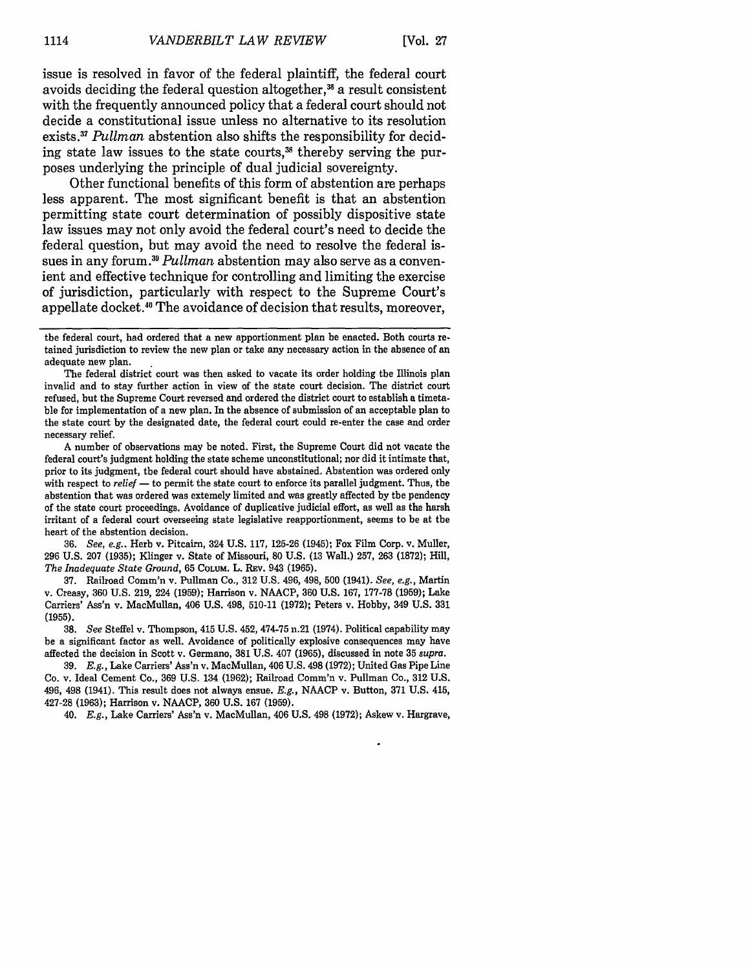issue is resolved in favor of the federal plaintiff, the federal court avoids deciding the federal question altogether, $3<sup>36</sup>$  a result consistent with the frequently announced policy that a federal court should not decide a constitutional issue unless no alternative to its resolution exists. <sup>37</sup>*Pullman* abstention also shifts the responsibility for deciding state law issues to the state courts,<sup>38</sup> thereby serving the purposes underlying the principle of dual judicial sovereignty.

Other functional benefits of this form of abstention are perhaps less apparent. The most significant benefit is that an abstention permitting state court determination of possibly dispositive state law issues may not only avoid the federal court's need to decide the federal question, but may avoid the need to resolve the federal issues in any forum **<sup>9</sup> . 3** *Pullman* abstention may also serve as a convenient and effective technique for controlling and limiting the exercise of jurisdiction, particularly with respect to the Supreme Court's appellate docket." The avoidance of decision that results, moreover,

The federal district court was then asked to vacate its order holding the Illinois plan invalid and to stay further action in view of the state court decision. The district court refused, but the Supreme Court reversed and ordered the district court to establish a timetable for implementation of a new plan. In the absence of submission of an acceptable plan to the state court by the designated date, the federal court could re-enter the case and order necessary relief.

A number of observations may be noted. First, the Supreme Court did not vacate the federal court's judgment holding the state scheme unconstitutional; nor did it intimate that, prior to its judgment, the federal court should have abstained. Abstention was ordered only with respect to *relief* **-** to permit the state court to enforce its parallel judgment. Thus, the abstention that was ordered was extemely limited and was greatly affected by the pendency of the state court proceedings. Avoidance of duplicative judicial effort, as well as the harsh irritant of a federal court overseeing state legislative reapportionment, seems to be at the heart of the abstention decision.

36. *See, e.g..* Herb v. Pitcairn, 324 U.S. 117, 125-26 (1945); Fox Film Corp. v. Muller, 296 U.S. 207 (1935); Klinger v. State of Missouri, 80 U.S. **(13** Wall.) 257, 263 (1872); Hill, *The Inadequate State Ground,* 65 COLUM. L. Rav. 943 (1965).

37. Railroad Comm'n v. Pullman Co., 312 U.S. 496, 498, 500 (1941). *See, e.g.,* Martin v. Creasy, 360 U.S. 219, 224 (1959); Harrison v. NAACP, **360** U.S. 167, 177-78 (1959); Lake Carriers' Ass'n v. MacMullan, 406 U.S. 498, 510-11 (1972); Peters v. Hobby, 349 U.S. 331 (1955).

38. *See* Steffel v. Thompson, 415 U.S. 452, 474-75 n.21 (1974). Political capability may be a significant factor as well. Avoidance of politically explosive consequences may have affected the decision in Scott v. Germano, 381 U.S. 407 (1965), discussed in note 35 *supra.*

39. *E.g.,* Lake Carriers' Ass'n v. MacMullan, 406 U.S. 498 (1972); United Gas Pipe Line Co. v. Ideal Cement Co., 369 U.S. 134 (1962); Railroad Comm'n v. Pullman Co., 312 U.S. 496, 498 (1941). This result does not always ensue. *E.g.,* NAACP v. Button, 371 U.S. 415, 427-28 (1963); Harrison v. NAACP, 360 U.S. 167 (1959).

40. *E.g.,* Lake Carriers' Ass'n v. MacMullan, 406 U.S. 498 (1972); Askew v. Hargrave,

the federal court, had ordered that a new apportionment plan be enacted. Both courts retained jurisdiction to review the new plan or take any necessary action in the absence of an adequate new plan.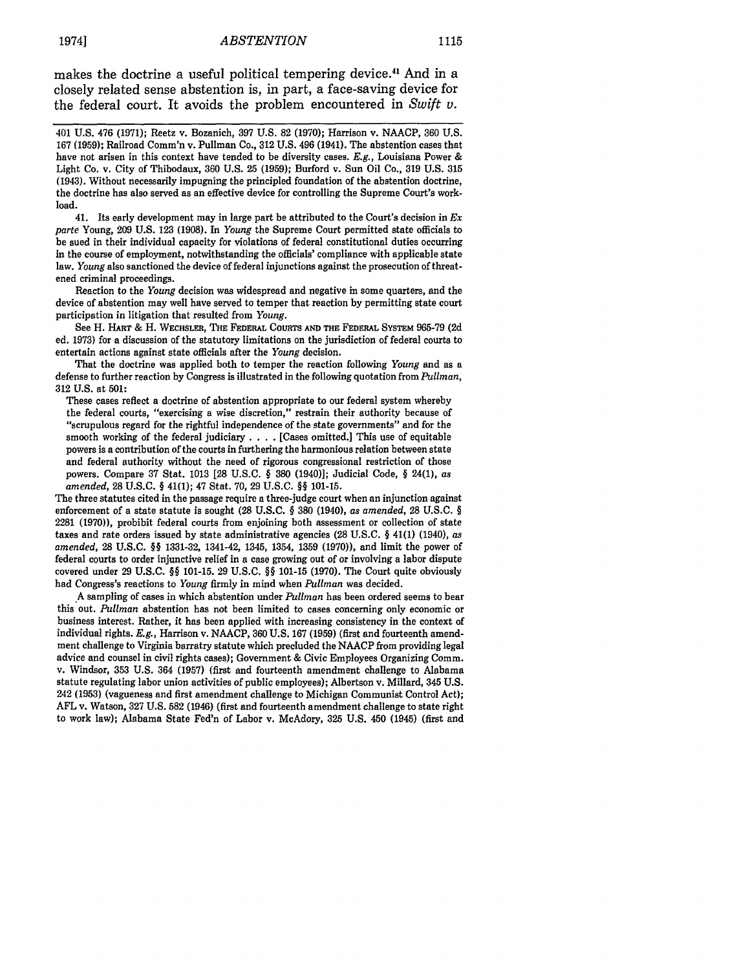makes the doctrine a useful political tempering device.<sup>41</sup> And in a closely related sense abstention is, in part, a face-saving device for the federal court. It avoids the problem encountered in *Swift v.*

401 U.S. 476 (1971); Reetz v. Bozanich, 397 U.S. 82 (1970); Harrison v. NAACP, 360 U.S. 167 (1959); Railroad Comm'n v. Pullman Co., 312 U.S. 496 (1941). The abstention cases that have not arisen in this context have tended to be diversity cases. *E.g.,* Louisiana Power & Light Co. v. City of Thibodaux, **360 U.S. 25 (1959);** Burford v. Sun Oil Co., **319 U.S. 315 (1943).** Without necessarily impugning the principled foundation of the abstention doctrine, the doctrine has also served as an effective device for controlling the Supreme Court's workload.

41. Its early development may in large part be attributed to the Court's decision in *Ex parte* Young, **209 U.S. 123 (1908).** In *Young* the Supreme Court permitted state officials to be sued in their individual capacity for violations of federal constitutional duties occurring in the course of employment, notwithstanding the officials' compliance with applicable state law. *Young* also sanctioned the device of federal injunctions against the prosecution of threatened criminal proceedings.

Reaction to the *Young* decision was widespread and negative in some quarters, and the device of abstention may well have served to temper that reaction **by** permitting state court participation in litigation that resulted from *Young.*

See H. **HART** & H. WacHsLER, THE *FEDERAL* CounTs **AND** THE **FEDERAL SYSTEM 965-79 (2d** ed. **1973)** for a discussion of the statutory limitations on the jurisdiction of federal courts to entertain actions against state officials after the *Young* decision.

That the doctrine was applied both to temper the reaction following *Young* and as a defense to further reaction by Congress is illustrated in the following quotation from *Pullman,* 312 U.S. at **501:**

These cases reflect a doctrine of abstention appropriate to our federal system whereby the federal courts, "exercising a wise discretion," restrain their authority because of "scrupulous regard for the rightful independence of the state governments" and for the smooth working of the federal judiciary . **. .** . [Cases omitted.] This use of equitable powers is a contribution of the courts in furthering the harmonious relation between state and federal authority without the need of rigorous congressional restriction of those powers. Compare 37 Stat. 1013 [28 U.S.C. § 380 (1940)]; Judicial Code, § 24(1), *as amended,* 28 U.S.C. § 41(1); 47 Stat. 70, 29 U.S.C. §§ 101-15.

The three statutes cited in the passage require a three-judge court when an injunction against enforcement of a state statute is sought (28 U.S.C. § 380 (1940), as *amended,* 28 U.S.C. § 2281 (1970)), prohibit federal courts from enjoining both assessment or collection of state taxes and rate orders issued by state administrative agencies (28 U.S.C. § 41(1) (1940), *as amended,* 28 U.S.C. §§ 1331-32, 1341-42, 1345, 1354, 1359 (1970)), and limit the power of federal courts to order injunctive relief in a case growing out of or involving a labor dispute covered under 29 U.S.C. §§ 101-15. 29 U.S.C. §§ 101-15 (1970). The Court quite obviously had Congress's reactions to *Young* firmly in mind when *Pullman* was decided.

A sampling of cases in which abstention under *Pullman* has been ordered seems to bear this out. *Pullman* abstention has not been limited to cases concerning only economic or business interest. Rather, it has been applied with increasing consistency in the context of individual rights. *E.g.,* Harrison v. NAACP, 360 U.S. 167 (1959) (first and fourteenth amendment challenge to Virginia barratry statute which precluded the NAACP from providing legal advice and counsel in civil rights cases); Government & Civic Employees Organizing Comm. v. Windsor, **353** U.S. 364 (1957) (first and fourteenth amendment challenge to Alabama statute regulating labor union activities of public employees); Albertson v. Millard, 345 U.S. 242 (1953) (vagueness and first amendment challenge to Michigan Communist Control Act); AFL v. Watson, 327 U.S. 582 (1946) (first and fourteenth amendment challenge to state right to work law); Alabama State Fed'n of Labor v. McAdory, 325 U.S. 450 (1945) (first and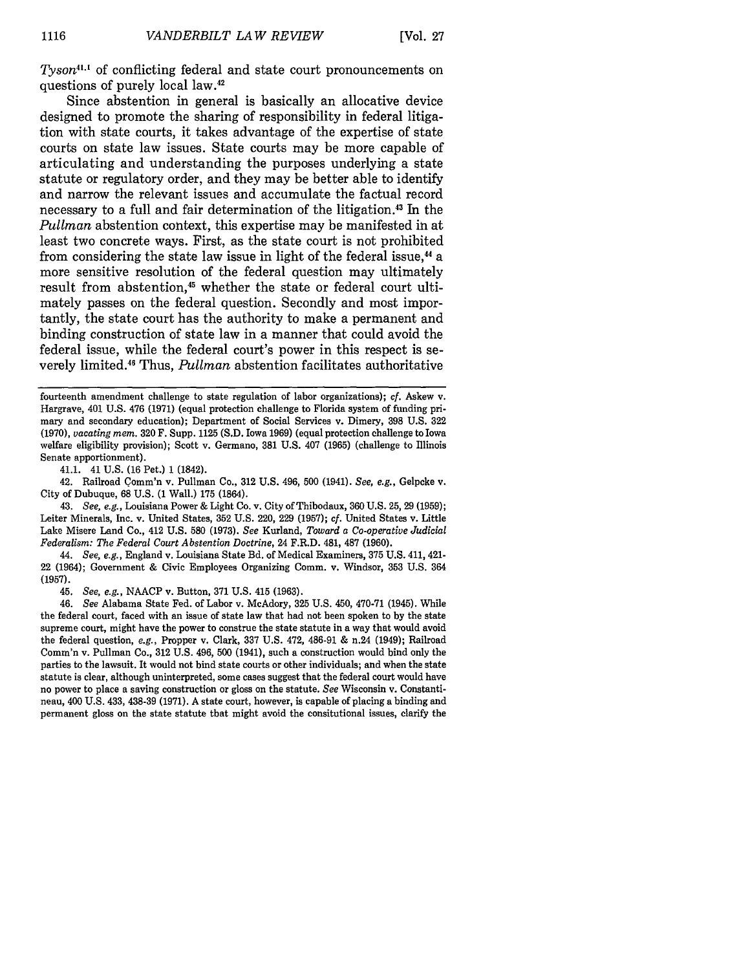*Tyson*<sup>41.1</sup> of conflicting federal and state court pronouncements on questions of purely local law.<sup>4</sup>

Since abstention in general is basically an allocative device designed to promote the sharing of responsibility in federal litigation with state courts, it takes advantage of the expertise of state courts on state law issues. State courts may be more capable of articulating and understanding the purposes underlying a state statute or regulatory order, and they may be better able to identify and narrow the relevant issues and accumulate the factual record necessary to a full and fair determination of the litigation.43 In the *Pullman* abstention context, this expertise may be manifested in at least two concrete ways. First, as the state court is not prohibited from considering the state law issue in light of the federal issue,<sup>44</sup> a more sensitive resolution of the federal question may ultimately result from abstention,<sup>45</sup> whether the state or federal court ultimately passes on the federal question. Secondly and most importantly, the state court has the authority to make a permanent and binding construction of state law in a manner that could avoid the federal issue, while the federal court's power in this respect is severely limited.46 Thus, *Pullman* abstention facilitates authoritative

fourteenth amendment challenge to state regulation of labor organizations); *cf.* Askew v. Hargrave, 401 U.S. 476 (1971) (equal protection challenge to Florida system of funding primary and secondary education); Department of Social Services v. Dimery, 398 U.S. 322 (1970), *vacating mem.* 320 F. Supp. 1125 (S.D. Iowa 1969) (equal protection challenge to Iowa welfare eligibility provision); Scott v. Germano, 381 U.S. 407 (1965) (challenge to Illinois Senate apportionment).

41.1. 41 U.S. (16 Pet.) 1 (1842).

42. Railroad Comm'n v. Pullman Co., 312 U.S. 496, 500 (1941). *See, e.g.,* Gelpcke v. City of Dubuque, 68 U.S. (1 Wall.) 175 (1864).

44. *See, e.g.,* England v. Louisiana State Bd. of Medical Examiners, 375 U.S. 411, 421- 22 (1964); Government & Civic Employees Organizing Comm. v. Windsor, 353 U.S. 364 (1957).

45. *See, e.g.,* NAACP v. Button, 371 U.S. 415 (1963).

46. *See* Alabama State Fed. of Labor v. McAdory, 325 U.S. 450, 470-71 (1945). While the federal court, faced with an issue of state law that had not been spoken to by the state supreme court, might have the power to construe the state statute in a way that would avoid the federal question, *e.g.,* Propper v. Clark, 337 U.S. 472, 486-91 & n.24 (1949); Railroad Comm'n v. Pullman Co., 312 U.S. 496, 500 (1941), such a construction would bind only the parties to the lawsuit. It would not bind state courts or other individuals; and when the state statute is clear, although uninterpreted, some cases suggest that the federal court would have no power to place a saving construction or gloss on the statute. *See* Wisconsin v. Constantineau, 400 U.S. 433, 438-39 (1971). A state court, however, is capable of placing a binding and permanent gloss on the state statute that might avoid the consitutional issues, clarify the

<sup>43.</sup> *See, e.g.,* Louisiana Power & Light Co. v. City of Thibodaux, 360 U.S. 25, 29 (1959); Leiter Minerals, Inc. v. United States, 352 U.S. 220, 229 (1957); *cf.* United States v. Little Lake Misere Land Co., 412 U.S. 580 (1973). *See* Kurland, *Toward a Co-operative Judicial Federalism: The Federal Court Abstention Doctrine,* 24 F.R.D. 481, 487 (1960).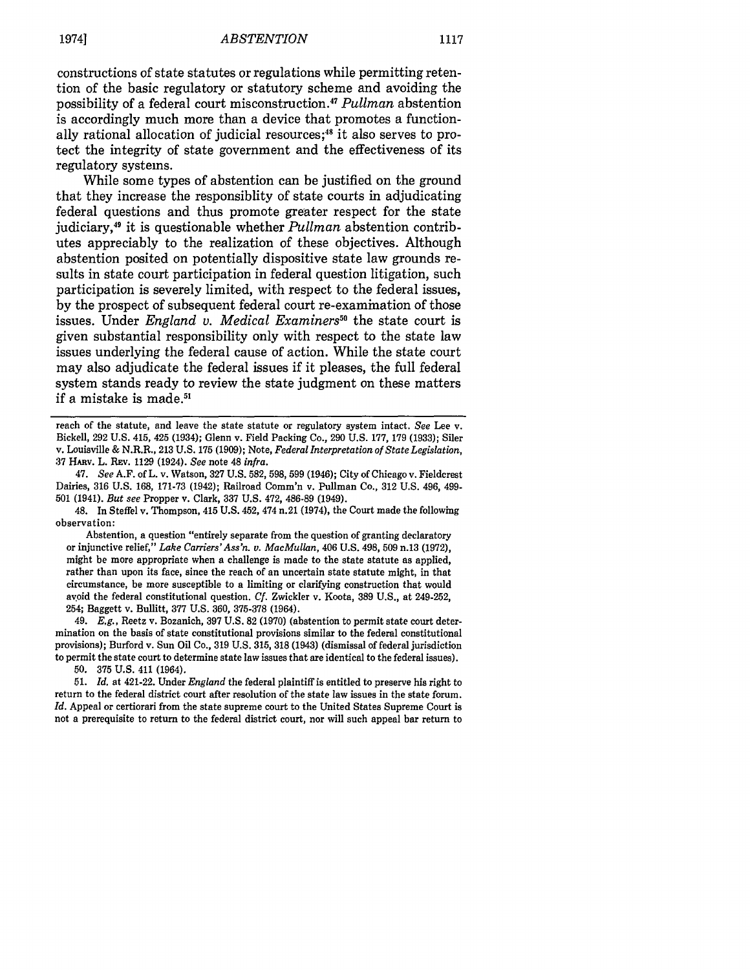constructions of state statutes or regulations while permitting retention of the basic regulatory or statutory scheme and avoiding the possibility of a federal court misconstruction.47 *Pullman* abstention is accordingly much more than a device that promotes a functionally rational allocation of judicial resources;<sup>48</sup> it also serves to protect the integrity of state government and the effectiveness of its regulatory systems.

While some types of abstention can be justified on the ground that they increase the responsiblity of state courts in adjudicating federal questions and thus promote greater respect for the state judiciary,49 it is questionable whether *Pullman* abstention contributes appreciably to the realization of these objectives. Although abstention posited on potentially dispositive state law grounds results in state court participation in federal question litigation, such participation is severely limited, with respect to the federal issues, by the prospect of subsequent federal court re-examination of those issues. Under *England v. Medical Examiners"* the state court is given substantial responsibility only with respect to the state law issues underlying the federal cause of action. While the state court may also adjudicate the federal issues if it pleases, the full federal system stands ready to review the state judgment on these matters if a mistake is made.51

47. *See* A.F. of L. v. Watson, 327 U.S. 582, 598, 599 (1946); City of Chicago v. Fieldcrest Dairies, 316 U.S. 168, 171-73 (1942); Railroad Comm'n v. Pullman Co., 312 U.S. 496, 499- **501** (1941). *But see* Propper v. Clark, 337 U.S. 472, 486-89 (1949).

48. In Steffel v. Thompson, 415 U.S. 452, 474 n.21 (1974), the Court made the following observation:

Abstention, a question "entirely separate from the question of granting declaratory or injunctive relief," *Lake Carriers'Ass'n. v. MacMullan,* 406 U.S. 498, 509 n.13 (1972), might be more appropriate when a challenge is made to the state statute as applied, rather than upon its face, since the reach of an uncertain state statute might, in that circumstance, be more susceptible to a limiting or clarifying construction that would avoid the federal constitutional question. *Cf.* Zwickler v. Koota, 389 U.S., at 249-252, 254; Baggett v. Bullitt, 377 U.S. 360, 375-378 (1964).

49. *Eg.,* Reetz v. Bozanich, 397 U.S. 82 (1970) (abstention to permit state court determination on the basis of state constitutional provisions similar to the federal constitutional provisions); Burford v. Sun Oil Co., **319 U.S. 315, 318** (1943) (dismissal of federal jurisdiction to permit the state court to determine state law issues that are identical to the federal issues).

**50. 375 U.S.** 411 (1964).

**51.** *Id.* at 421-22. Under *England* the federal plaintiff is entitled to preserve his right to return to the federal district court after resolution of the state law issues in the state forum. *Id.* Appeal or certiorari from the state supreme court to the United States Supreme Court is not a prerequisite to return to the federal district court, nor will such appeal bar return to

reach of the statute, and leave the state statute or regulatory system intact. *See* Lee v. Bickell, 292 U.S. 415, 425 (1934); Glenn v. Field Packing Co., 290 U.S. 177, 179 (1933); Siler v. Louisville & N.R.R., 213 U.S. 175 (1909); Note, *Federal Interpretation of State Legislation,* 37 HAnv. L. REv. 1129 (1924). *See* note 48 *infra.*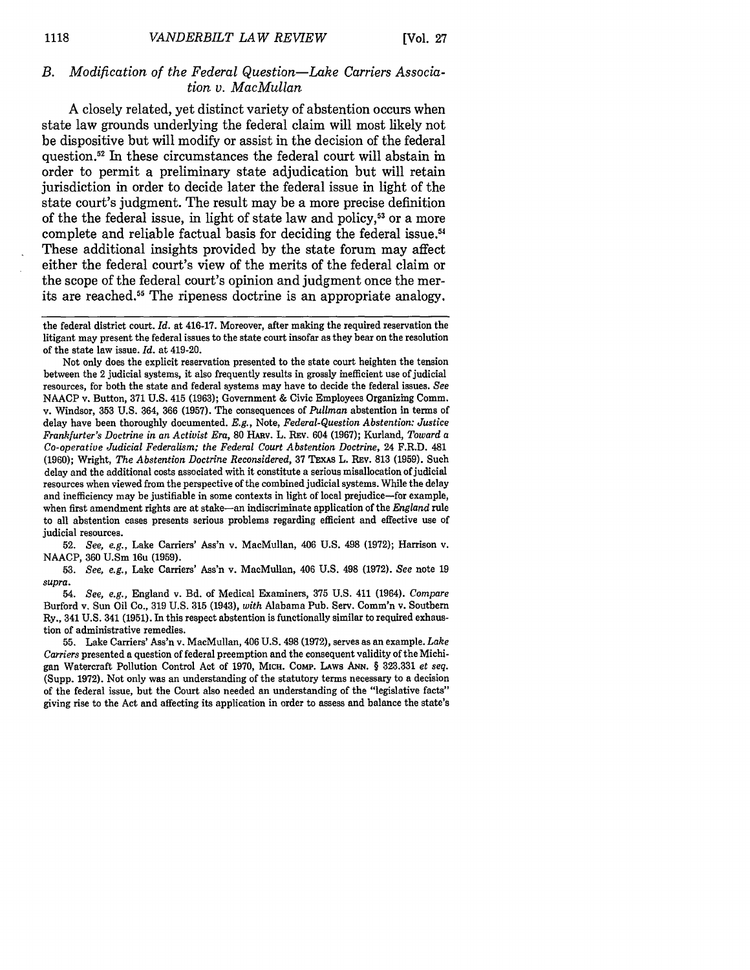#### *B. Modification of the Federal Question-Lake Carriers Association v. MacMullan*

A closely related, yet distinct variety of abstention occurs when state law grounds underlying the federal claim will most likely not be dispositive but will modify or assist in the decision of the federal question.<sup>52</sup> In these circumstances the federal court will abstain in order to permit a preliminary state adjudication but will retain jurisdiction in order to decide later the federal issue in light of the state court's judgment. The result may be a more precise definition of the the federal issue, in light of state law and policy,<sup>53</sup> or a more complete and reliable factual basis for deciding the federal issue.<sup>54</sup> These additional insights provided by the state forum may affect either the federal court's view of the merits of the federal claim or the scope of the federal court's opinion and judgment once the merits are reached.<sup>55</sup> The ripeness doctrine is an appropriate analogy.

52. *See, e.g.,* Lake Carriers' Ass'n v. MacMullan, 406 U.S. 498 (1972); Harrison v. NAACP, 360 U.Sm 16u (1959).

53. *See, e.g.,* Lake Carriers' Ass'n v. MacMullan, 406 U.S. 498 (1972). *See* note 19 *supra.*

54. *See, e.g.,* England v. Bd. of Medical Examiners, 375 U.S. 411 (1964). *Compare* Burford v. Sun Oil Co., 319 U.S. 315 (1943), *with* Alabama Pub. Serv. Comm'n v. Southern Ry., 341 U.S. 341 (1951). In this respect abstention is functionally similar to required exhaustion of administrative remedies.

55. Lake Carriers' Ass'n v. MacMullan, 406 U.S. 498 (1972), serves as an example. *Lake Carriers* presented a question of federal preemption and the consequent validity of the Michigan Watercraft Pollution Control Act of 1970, MICH. Comp. Laws ANN. § 323.331 et seq. (Supp. 1972). Not only was an understanding of the statutory terms necessary to a decision of the federal issue, but the Court also needed an understanding of the "legislative facts" giving rise to the Act and affecting its application in order to assess and balance the state's

the federal district court. *Id.* at 416-17. Moreover, after making the required reservation the litigant may present the federal issues to the state court insofar as they bear on the resolution of the state law issue. *Id.* at 419-20.

Not only does the explicit reservation presented to the state court heighten the tension between the 2 judicial systems, it also frequently results in grossly inefficient use of judicial resources, for both the state and federal systems may have to decide the federal issues. See NAACP v. Button, 371 U.S. 415 (1963); Government & Civic Employees Organizing Comm. v. Windsor, 353 U.S. 364, 366 (1957). The consequences of *Pullman* abstention in terms of delay have been thoroughly documented. *E.g.,* Note, *Federal-Question Abstention: Justice Frankfurter's Doctrine in an Activist Era,* **80** HAv. L. Rav. 604 (1967); Kurland, *Toward a Co-operative Judicial Federalism; the Federal Court Abstention Doctrine,* 24 F.R.D. **481** (1960); Wright, *The Abstention Doctrine Reconsidered,* 37 TExAs L. Rav. **813** (1959). Such delay and the additional costs associated with it constitute a serious misallocation of judicial resources when viewed from the perspective of the combined judicial systems. While the delay and inefficiency may be justifiable in some contexts in light of local prejudice-for example, when first amendment rights are at stake-an indiscriminate application of the *England* rule to all abstention cases presents serious problems regarding efficient and effective use of judicial resources.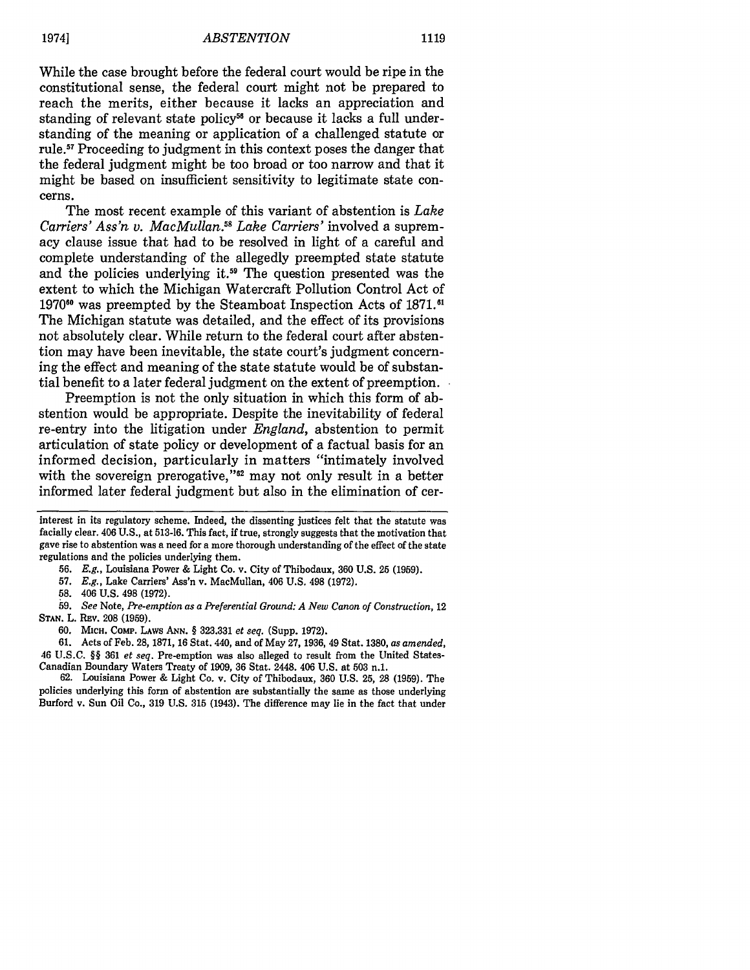While the case brought before the federal court would be ripe in the constitutional sense, the federal court might not be prepared to reach the merits, either because it lacks an appreciation and standing of relevant state policy<sup>56</sup> or because it lacks a full understanding of the meaning or application of a challenged statute or **rule.5 <sup>1</sup>**Proceeding to judgment in this context poses the danger that the federal judgment might be too broad or too narrow and that it might be based on insufficient sensitivity to legitimate state concerns.

The most recent example of this variant of abstention is *Lake Carriers' Ass'n v. MacMullan.5 8 Lake Carriers'* involved a supremacy clause issue that had to be resolved in light of a careful and complete understanding of the allegedly preempted state statute and the policies underlying it.<sup>59</sup> The question presented was the extent to which the Michigan Watercraft Pollution Control Act of 1970<sup>60</sup> was preempted by the Steamboat Inspection Acts of 1871.<sup>61</sup> The Michigan statute was detailed, and the effect of its provisions not absolutely clear. While return to the federal court after abstention may have been inevitable, the state court's judgment concerning the effect and meaning of the state statute would be of substantial benefit to a later federal judgment on the extent of preemption.

Preemption is not the only situation in which this form of abstention would be appropriate. Despite the inevitability of federal re-entry into the litigation under *England,* abstention to permit articulation of state policy or development of a factual basis for an informed decision, particularly in matters "intimately involved with the sovereign prerogative,"<sup>62</sup> may not only result in a better informed later federal judgment but also in the elimination of cer-

**58.** 406 **U.S.** 498 **(1972).**

*59. See* Note, *Pre-emption as a Preferential Ground: A New Canon of Construction,* 12 STAN. L. REV. 208 (1959).

61. Acts of Feb. 28, 1871, 16 Stat. 440, and of May 27, 1936, 49 Stat. 1380, *as amended,* 46 U.S.C. *§§* 361 *et seq.* Pre-emption was also alleged to result from the United States-Canadian Boundary Waters Treaty of 1909, **36** Stat. 2448. 406 U.S. at 503 n.1.

62. Louisiana Power & Light Co. v. City of Thibodaux, 360 U.S. 25, 28 (1959). The policies underlying this form of abstention are substantially the same as those underlying Burford v. Sun Oil Co., 319 U.S. 315 (1943). The difference may lie in the fact that under

interest in its regulatory scheme. Indeed, the dissenting justices felt that the statute was facially clear. 406 **U.S.,** at **513-16.** This fact, if true, strongly suggests that the motivation that gave rise to abstention was a need for a more thorough understanding of the effect of the state regulations and the policies underlying them.

**<sup>56.</sup> E.g.,** Louisiana Power **&** Light Co. v. City of Thibodaux, **360 U.S. 25 (1959).**

**<sup>57.</sup> E.g.,** Lake Carriers' Ass'n v. MacMullan, 406 **U.S.** 498 **(1972).**

<sup>60.</sup> MICH. CoMP. LAws ANN. § 323.331 *et seq.* (Supp. 1972).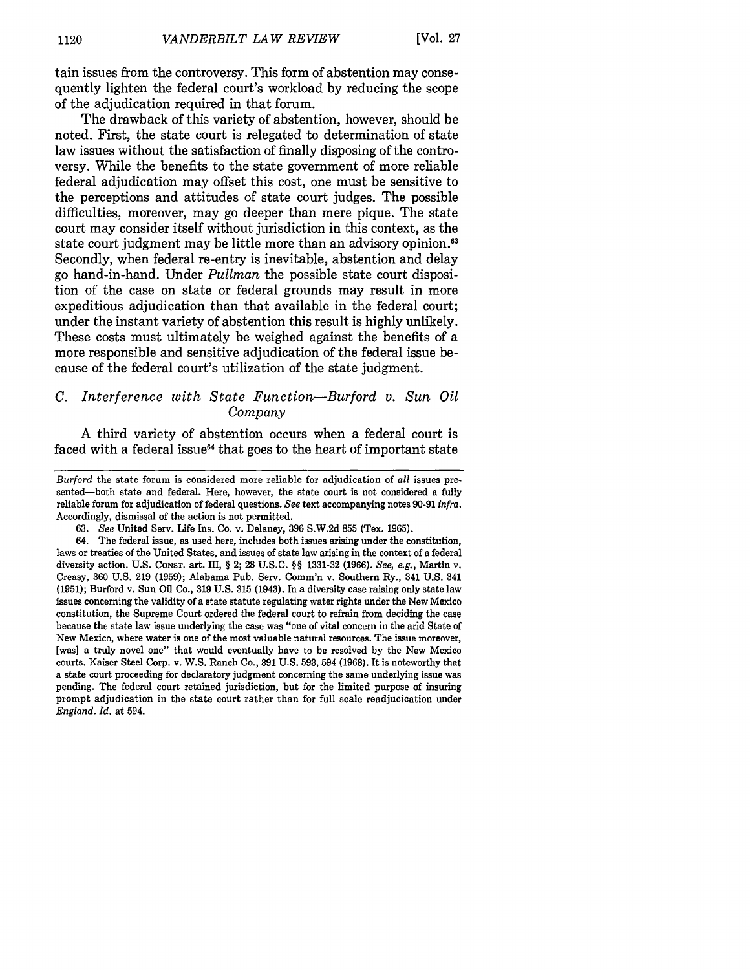**tain** issues from the controversy. This form of abstention may consequently lighten the federal court's workload **by** reducing the scope of the adjudication required in that forum.

The drawback of this variety of abstention, however, should be noted. First, the state court is relegated to determination of state law issues without the satisfaction of finally disposing of the controversy. While the benefits to the state government of more reliable federal adjudication may offset this cost, one must be sensitive to the perceptions and attitudes of state court judges. The possible difficulties, moreover, may go deeper than mere pique. The state court may consider itself without jurisdiction in this context, as the state court judgment may be little more than an advisory opinion.<sup>63</sup> Secondly, when federal re-entry is inevitable, abstention and delay go hand-in-hand. Under *Pullman* the possible state court disposition of the case on state or federal grounds may result in more expeditious adjudication than that available in the federal court; under the instant variety of abstention this result is **highly** unlikely. These costs must ultimately be weighed against the benefits of a more responsible and sensitive adjudication of the federal issue because of the federal court's utilization of the state judgment.

# *C. Interference with State Function-Burford v. Sun Oil Company*

**A** third variety of abstention occurs when a federal court is faced with a federal issue $<sup>64</sup>$  that goes to the heart of important state</sup>

*Burford* the state forum is considered more reliable for adjudication of *all* issues presented-both state and federal. Here, however, the state court is not considered a fully reliable forum for adjudication of federal questions. *See* text accompanying notes **90-91** *infra.* Accordingly, dismissal of the action is not permitted.

**<sup>63.</sup>** *See* United Serv. Life Ins. Co. v. Delaney, **396 S.W.2d 855** (Tex. **1965).**

<sup>64.</sup> The federal issue, as used here, includes both issues arising under the constitution, laws or treaties of the United States, and issues of state law arising in the context of a federal diversity action. **U.S. CONST. art. I, §** 2; **28 U.S.C. §§ 1331-32 (1966).** *See, e.g.,* Martin v. Creasy, **360 U.S. 219 (1959);** Alabama Pub. Serv. Comm'n v. Southern Ry., 341 **U.S.** 341 **(1951);** Burford v. Sun Oil Co., **319 U.S. 315** (1943). In a diversity case raising only state law issues concerning the validity of a state statute regulating water rights under the New Mexico constitution, the Supreme Court ordered the federal court to refrain from deciding the case because the state law issue underlying the case was "one of vital concern in the **arid** State of New Mexico, where water is one of the most valuable natural resources. The issue moreover, [was] a truly novel one" that would eventually have to be resolved **by** the New Mexico courts. Kaiser Steel Corp. v. W.S. Ranch Co., **391 U.S. 593,** 594 **(1968).** It is noteworthy that a state court proceeding for declaratory judgment concerning the same underlying issue was pending. The federal court retained jurisdiction, but for the limited purpose of insuring prompt adjudication in the state court rather than for full scale readjucication under *England. Id.* at 594.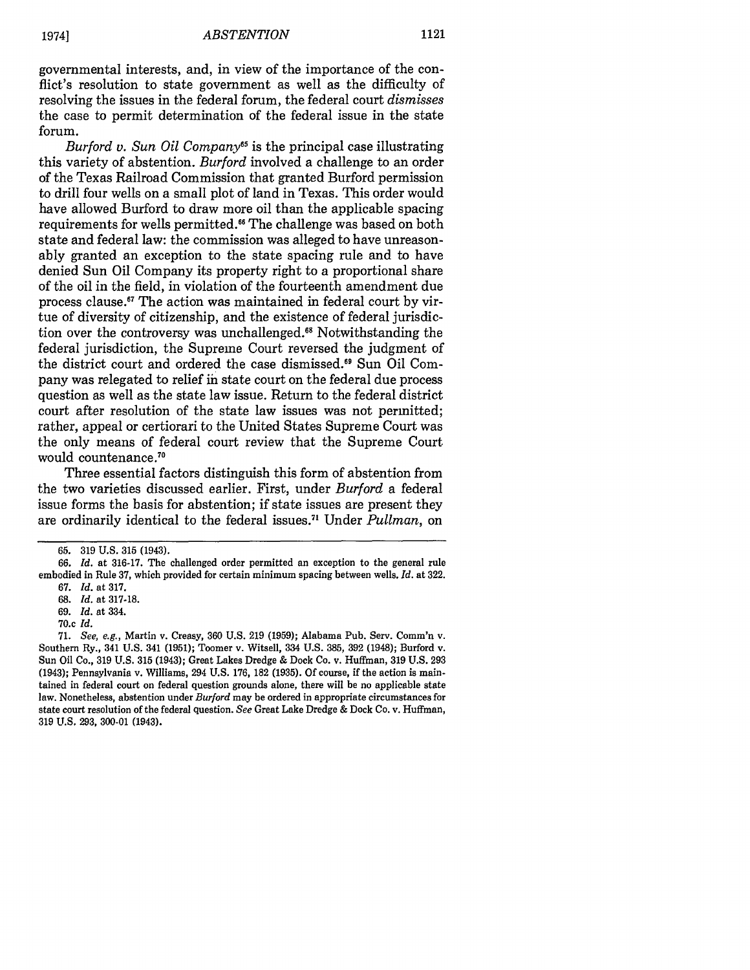governmental interests, and, in view of the importance of the conflict's resolution to state government as well as the difficulty of resolving the issues in the federal forum, the federal court *dismisses* the case to permit determination of the federal issue in the state forum.

*Burford v. Sun Oil Company65* is the principal case illustrating this variety of abstention. *Burford* involved a challenge to an order of the Texas Railroad Commission that granted Burford permission to drill four wells on a small plot of land in Texas. This order would have allowed Burford to draw more oil than the applicable spacing requirements for wells permitted.<sup>66</sup> The challenge was based on both state and federal law: the commission was alleged to have unreasonably granted an exception to the state spacing rule and to have denied Sun Oil Company its property right to a proportional share of the oil in the field, in violation of the fourteenth amendment due process clause." The action was maintained in federal court by virtue of diversity of citizenship, and the existence of federal jurisdiction over the controversy was unchallenged." Notwithstanding the federal jurisdiction, the Supreme Court reversed the judgment of the district court and ordered the case dismissed." Sun Oil Company was relegated to relief in state court on the federal due process question as well as the state law issue. Return to the federal district court after resolution of the state law issues was not permitted; rather, appeal or certiorari to the United States Supreme Court was the only means of federal court review that the Supreme Court would countenance.<sup>70</sup>

Three essential factors distinguish this form of abstention from the two varieties discussed earlier. First, under *Burford* a federal issue forms the basis for abstention; if state issues are present they are ordinarily identical to the federal issues.<sup>71</sup> Under *Pullman*, or

<sup>65. 319</sup> U.S. 315 (1943).

*<sup>66.</sup> Id.* at 316-17. The challenged order permitted an exception to the general rule embodied in Rule 37, which provided for certain minimum spacing between wells. *Id.* at 322.

<sup>67.</sup> *Id.* at 317. 68. *Id.* at 317-18.

<sup>69.</sup> *Id.* at 334.

<sup>70.</sup>c *Id.*

<sup>71.</sup> See, e.g., Martin v. Creasy, 360 U.S. **219** (1959); Alabama Pub. Serv. Comm'n v. Southern Ry., 341 U.S. 341 (1951); Toomer v. Witsell, 334 U.S. 385, **392** (1948); Burford v. Sun Oil Co., **319** U.S. 315 (1943); Great Lakes Dredge & Dock Co. v. Huffman, 319 U.S. 293 (1943); Pennsylvania v. Williams, 294 U.S. 176, 182 (1935). Of course, if the action is maintained in federal court on federal question grounds alone, there will be no applicable state law. Nonetheless, abstention under *Burford* may be ordered in appropriate circumstances for state court resolution of the federal question. *See* Great Lake Dredge & Dock Co. v. Huffman, 319 U.S. 293, 300-01 (1943).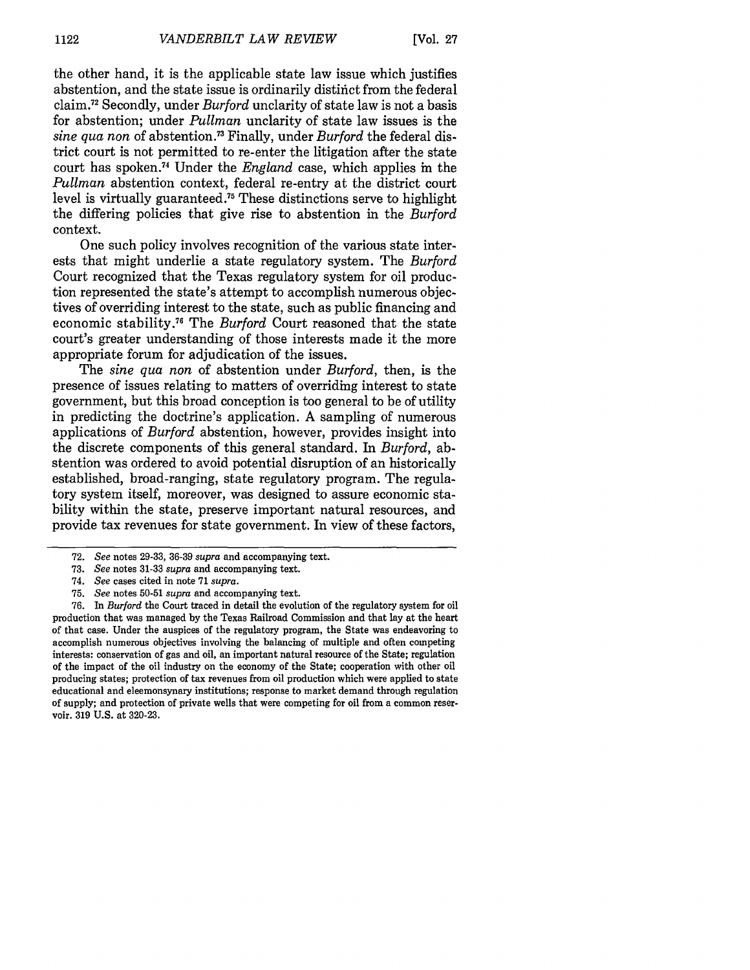the other hand, it is the applicable state law issue which justifies abstention, and the state issue is ordinarily distinct from the federal claim. 72 Secondly, under *Burford* unclarity of state law is not a basis for abstention; under *Pullman* unclarity of state law issues is the *sine qua non* of abstention.3 Finally, under *Burford* the federal district court is not permitted to re-enter the litigation after the state court has spoken. 74 Under the *England* case, which applies in the *Pullman* abstention context, federal re-entry at the district court level is virtually guaranteed . 75 These distinctions serve to highlight the differing policies that give rise to abstention in the *Burford* context.

One such policy involves recognition of the various state interests that might underlie a state regulatory system. The *Burford* Court recognized that the Texas regulatory system for oil production represented the state's attempt to accomplish numerous objectives of overriding interest to the state, such as public financing and economic stability. 76 The *Burford* Court reasoned that the state court's greater understanding of those interests made it the more appropriate forum for adjudication of the issues.

The *sine qua non* of abstention under *Burford,* then, is the presence of issues relating to matters of overriding interest to state government, but this broad conception is too general to be of utility in predicting the doctrine's application. A sampling of numerous applications of *Burford* abstention, however, provides insight into the discrete components of this general standard. In *Burford,* abstention was ordered to avoid potential disruption of an historically established, broad-ranging, state regulatory program. The regulatory system itself, moreover, was designed to assure economic stability within the state, preserve important natural resources, and provide tax revenues for state government. In view of these factors,

**<sup>72.</sup>** *See* notes **29-33,** 36-39 *supra* and accompanying text.

**<sup>73.</sup>** *See* notes **31-33** *supra* and accompanying text.

<sup>74.</sup> *See* cases cited in note **71** *supra.*

<sup>75.</sup> *See* notes 50-51 *supra* and accompanying text.

**<sup>76.</sup>** In *Burford* the Court traced in detail the evolution of the regulatory system for oil production that was managed by the Texas Railroad Commission and that lay at the heart of that case. Under the auspices of the regulatory program, the State was endeavoring to accomplish numerous objectives involving the balancing of multiple and often competing interests: conservation of gas and oil, an important natural resource of the State; regulation of the impact of the oil industry on the economy of the State; cooperation with other oil producing states; protection of tax revenues from oil production which were applied to state educational and eleemonsynary institutions; response to market demand through regulation of supply; and protection of private wells that were competing for oil from a common reservoir. 319 U.S. at 320-23.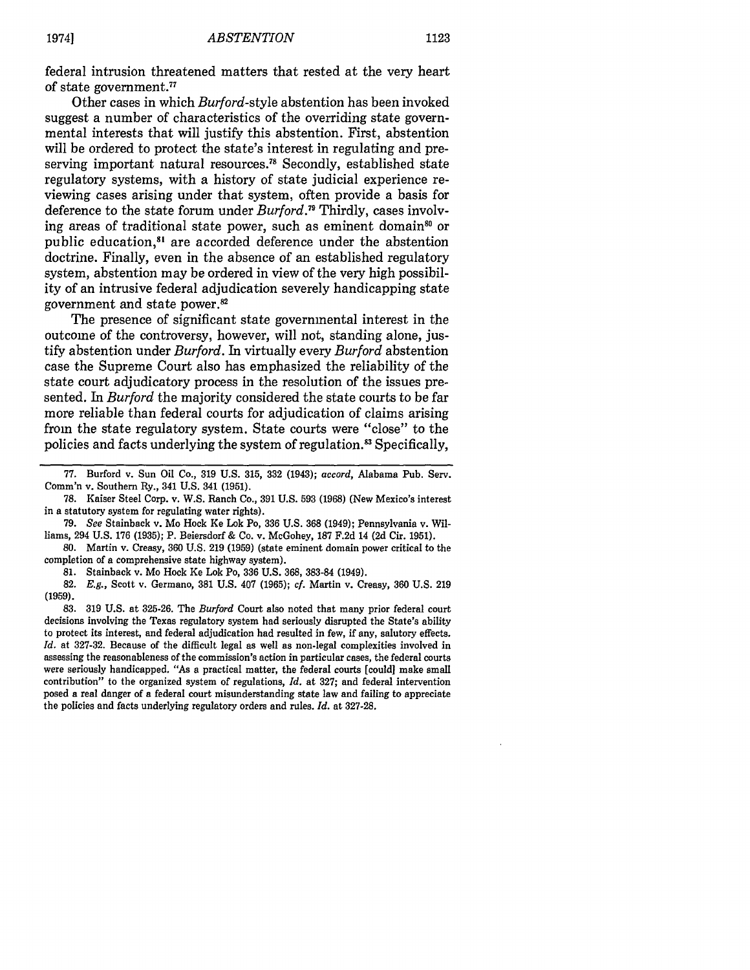federal intrusion threatened matters that rested at the very heart of state government.77

Other cases in which *Burford-style* abstention has been invoked suggest a number of characteristics of the overriding state governmental interests that will justify this abstention. First, abstention will be ordered to protect the state's interest in regulating and preserving important natural resources.<sup>78</sup> Secondly, established state regulatory systems, with a history of state judicial experience reviewing cases arising under that system, often provide a basis for deference to the state forum under *Burford.79* Thirdly, cases involving areas of traditional state power, such as eminent domain<sup>80</sup> or public education,<sup>81</sup> are accorded deference under the abstention doctrine. Finally, even in the absence of an established regulatory system, abstention may be ordered in view of the very high possibility of an intrusive federal adjudication severely handicapping state government and state power.<sup>82</sup>

The presence of significant state governmental interest in the outcome of the controversy, however, will not, standing alone, justify abstention under *Burford.* In virtually every *Burford* abstention case the Supreme Court also has emphasized the reliability of the state court adjudicatory process in the resolution of the issues presented. **In** *Burford* the majority considered the state courts to be far more reliable than federal courts for adjudication of claims arising from the state regulatory system. State courts were "close" to the policies and facts underlying the system of regulation. 3 Specifically,

**<sup>77.</sup>** Burford v. Sun Oil Co., **319 U.S. 315, 332** (1943); *accord,* Alabama Pub. Serv. Comm'n v. Southern Ry., 341 **U.S.** 341 **(1951).**

**<sup>78.</sup>** Kaiser Steel Corp. v. W.S. Ranch Co., **391 U.S. 593 (1968)** (New Mexico's interest in a statutory system for regulating water rights).

**<sup>79.</sup>** *See* Stainback v. Mo Hock Ke Lok Po, **336 U.S. 368** (1949); Pennsylvania v. Williams, 294 **U.S. 176 (1935);** P. Beiersdorf **&** Co. v. McGohey, **187 F.2d** 14 **(2d** Cir. **1951).**

**<sup>80.</sup>** Martin v. Creasy, **360 U.S. 219 (1959)** (state eminent domain power critical to the completion of a comprehensive state highway system).

**<sup>81.</sup>** Stainback v. Mo Hock Ke Lok Po, **336 U.S.** 368, **383-84** (1949).

**<sup>82.</sup>** *E.g.,* Scott v. Germano, **381 U.S.** 407 **(1965);** *cf.* Martin v. Creasy, **360 U.S. 219 (1959).**

**<sup>83. 319</sup> U.S.** at **325-26.** The *Burford* Court also noted that many prior federal court decisions involving the Texas regulatory system had seriously disrupted the State's ability to protect its interest, and federal adjudication had resulted in few, if any, salutory effects. *Id.* at **327-32.** Because of the difficult legal as well as non-legal complexities involved in assessing the reasonableness of the commission's action in particular cases, the federal courts were seriously handicapped. "As a practical matter, the federal courts [could] make small contribution" to the organized system of regulations, *Id.* at **327;** and federal intervention posed a real danger of a federal court misunderstanding state law and failing to appreciate the policies and facts underlying regulatory orders and rules. *Id.* at **327-28.**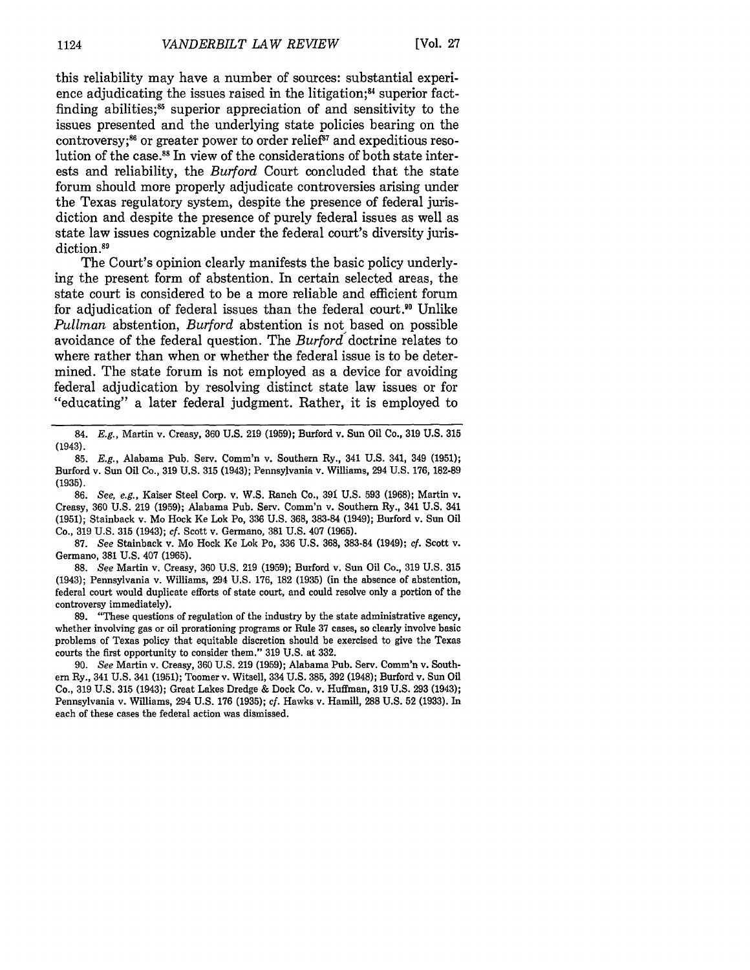this reliability may have a number of sources: substantial experience adjudicating the issues raised in the litigation; $<sup>84</sup>$  superior fact-</sup> finding abilities; $55$  superior appreciation of and sensitivity to the issues presented and the underlying state policies bearing on the controversy;<sup>86</sup> or greater power to order relief<sup>87</sup> and expeditious resolution of the case.<sup>88</sup> In view of the considerations of both state interests and reliability, the *Burford* Court concluded that the state forum should more properly adjudicate controversies arising under the Texas regulatory system, despite the presence of federal jurisdiction and despite the presence of purely federal issues as well as state law issues cognizable under the federal court's diversity jurisdiction.<sup>89</sup>

The Court's opinion clearly manifests the basic policy underlying the present form of abstention. In certain selected areas, the state court is considered to be a more reliable and efficient forum for adjudication of federal issues than the federal court." Unlike *Pullman* abstention, *Burford* abstention is not based on possible avoidance of the federal question. The *Burford* doctrine relates to where rather than when or whether the federal issue is to be determined. The state forum is not employed as a device for avoiding federal adjudication by resolving distinct state law issues or for "educating" a later federal judgment. Rather, it is employed to

84. E.g., Martin v. Creasy, 360 U.S. 219 (1959); Burford v. Sun Oil Co., 319 U.S. 315 (1943).

85. E.g., Alabama Pub. Serv. Comm'n v. Southern Ry., 341 U.S. 341, 349 (1951); Burford v. Sun Oil Co., 319 U.S. 315 (1943); Pennsylvania v. Williams, 294 U.S. 176, 182-89 (1935).

86. See, e.g., Kaiser Steel Corp. v. W.S. Ranch Co., **391** U.S. 593 (1968); Martin v. Creasy, 360 U.S. 219 (1959); Alabama Pub. Serv. Comm'n v. Southern Ry., 341 U.S. 341 (1951); Stainback v. Mo Hock Ke Lok Po, 336 U.S. 368, 383-84 (1949); Burford v. Sun Oil Co., 319 U.S. 315 (1943); cf. Scott v. Germano, 381 U.S. 407 (1965).

87. See Stainback v. Mo Hock Ke Lok Po, 336 U.S. 368, 383-84 (1949); cf. Scott v. Germano, 381 U.S. 407 (1965).

88. See Martin v. Creasy, 360 U.S. 219 (1959); Burford v. Sun Oil Co., 319 U.S. 315 (1943); Pennsylvania v. Williams, 294 U.S. 176, 182 (1935) (in the absence of abstention, federal court would duplicate efforts of state court, and could resolve only a portion of the controversy immediately).

**89.** "These questions of regulation of the industry **by** the state administrative agency, whether involving gas or oil prorationing programs or Rule 37 cases, so clearly involve basic problems of Texas policy that equitable discretion should be exercised to give the Texas courts the first opportunity to consider them." 319 U.S. at 332.

90. See Martin v. Creasy, 360 U.S. 219 (1959); Alabama Pub. Serv. Comm'n v. Southern Ry., 341 U.S. 341 (1951); Toomer v. Witsell, 334 U.S. 385, 392 (1948); Burford v. Sun Oil Co., 319 U.S. 315 (1943); Great Lakes Dredge & Dock Co. v. Huffman, 319 U.S. 293 (1943); Pennsylvania v. Williams, 294 U.S. 176 (1935); cf. Hawks v. Hamill, 288 U.S. 52 (1933). In each of these cases the federal action was dismissed.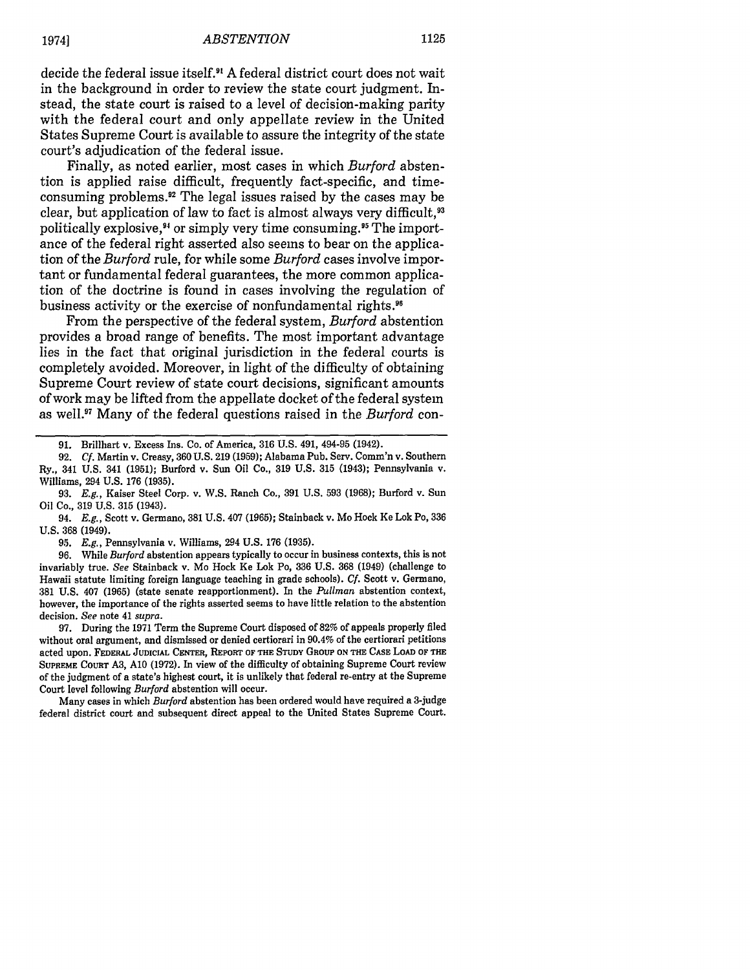decide the federal issue itself.9 **A** federal district court does not wait in the background in order to review the state court judgment. Instead, the state court is raised to a level of decision-making parity with the federal court and only appellate review in the United States Supreme Court is available to assure the integrity of the state court's adjudication of the federal issue.

Finally, as noted earlier, most cases in which *Burford* abstention is applied raise difficult, frequently fact-specific, and timeconsuming problems.12 The legal issues raised **by** the cases may be clear, but application of law to fact is almost always very difficult.<sup>93</sup> politically explosive,<sup>94</sup> or simply very time consuming.<sup>95</sup> The importance of the federal right asserted also seems to bear on the application of the *Burford* rule, for while some *Burford* cases involve important or fundamental federal guarantees, the more common application of the doctrine is found in cases involving the regulation of business activity or the exercise of nonfundamental rights.<sup>96</sup>

From the perspective of the federal system, *Burford* abstention provides a broad range of benefits. The most important advantage lies in the fact that original jurisdiction in the federal courts is completely avoided. Moreover, in light of the difficulty of obtaining Supreme Court review of state court decisions, significant amounts of work may be lifted from the appellate docket of the federal system as well.<sup>97</sup> Many of the federal questions raised in the *Burford* con-

**<sup>91.</sup>** Brillhart v. Excess Ins. Co. of America, **316 U.S.** 491, 494-95 (1942).

**<sup>92.</sup>** *Cf.* Martin v. Creasy, **360 U.S. 219 (1959);** Alabama Pub. Serv. Comm'n v. Southern Ry., 341 **U.S.** 341 **(1951);** Burford v. Sun Oil Co., **319 U.S. 315** (1943); Pennsylvania v. Williams, 294 **U.S. 176 (1935).**

**<sup>93.</sup>** *E.g.,* Kaiser Steel Corp. v. W.S. Ranch Co., **391 U.S. 593 (1968);** Burford v. Sun Oil Co., **319 U.S. 315** (1943).

<sup>94.</sup> *E.g.,* Scott v. Germano, **381 U.S.** 407 **(1965);** Stainback v. Mo Hock Ke Lok Po, **336 U.S. 368** (1949).

**<sup>95.</sup>** *E.g.,* Pennsylvania v. Williams, 294 **U.S. 176 (1935).**

**<sup>96.</sup>** While *Burford* abstention appears typically to occur in business contexts, this is not invariably true. *See* Stainback v. Mo Hock Ke Lok Po, **336 U.S. 368** (1949) (challenge to Hawaii statute limiting foreign language teaching in grade schools). *Cf.* Scott v. Germano, **381 U.S.** 407 **(1965)** (state senate reapportionment). In the *Pullman* abstention context, however, the importance of the rights asserted seems to have little relation to the abstention decision. *See* note 41 *supra.*

**<sup>97.</sup>** During the **1971** Term the Supreme Court disposed of **82%** of appeals properly filed without oral argument, and dismissed or denied certiorari in 90.4% of the certiorari petitions acted upon. FEDERAL **JUDICIAL CENTER, REPORT OF THE** STUDY GROUP **ON** THE **CASE LOAD OF THE** SUPREME COURT **A3, A10 (1972).** In view of the difficulty of obtaining Supreme Court review of the judgment of a state's highest court, it is unlikely that federal re-entry at the Supreme Court level following *Burford* abstention will occur.

Many cases in which *Burford* abstention has been ordered would have required a 3-judge federal district court and subsequent direct appeal to the United States Supreme Court.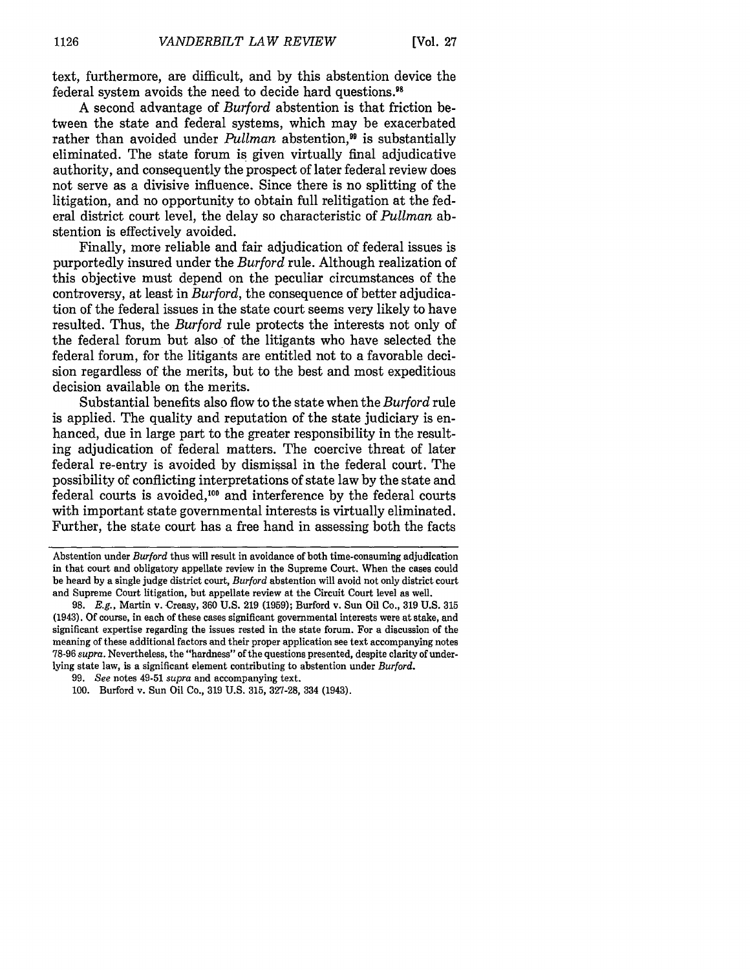text, furthermore, are difficult, and by this abstention device the federal system avoids the need to decide hard questions."

A second advantage of *Burford* abstention is that friction between the state and federal systems, which may be exacerbated rather than avoided under *Pullman* abstention.<sup>99</sup> is substantially eliminated. The state forum is given virtually final adjudicative authority, and consequently the prospect of later federal review does not serve as a divisive influence. Since there is no splitting of the litigation, and no opportunity to obtain full relitigation at the federal district court level, the delay so characteristic of *Pullman* abstention is effectively avoided.

Finally, more reliable and fair adjudication of federal issues is purportedly insured under the *Burford* rule. Although realization of this objective must depend on the peculiar circumstances of the controversy, at least in *Burford,* the consequence of better adjudication of the federal issues in the state court seems very likely to have resulted. Thus, the *Burford* rule protects the interests not only of the federal forum but also of the litigants who have selected the federal forum, for the litigants are entitled not to a favorable decision regardless of the merits, but to the best and most expeditious decision available on the merits.

Substantial benefits also flow to the state when the *Burford* rule is applied. The quality and reputation of the state judiciary is enhanced, due in large part to the greater responsibility in the resulting adjudication of federal matters. The coercive threat of later federal re-entry is avoided by dismissal in the federal court. The possibility of conflicting interpretations of state law by the state and federal courts is avoided, $100$  and interference by the federal courts with important state governmental interests is virtually eliminated. Further, the state court has a free hand in assessing both the facts

Abstention under *Burford* thus will result in avoidance of both time-consuming adjudication in that court and obligatory appellate review in the Supreme Court. When the cases could be heard by a single judge district court, *Burford* abstention will avoid not only district court and Supreme Court litigation, but appellate review at the Circuit Court level as well.

<sup>98.</sup> E.g., Martin v. Creasy, **360** U.S. 219 (1959); Burford v. Sun Oil Co., 319 U.S. **315** (1943). Of course, in each of these cases significant governmental interests were at stake, and significant expertise regarding the issues rested in the state forum. For a discussion of the meaning of these additional factors and their proper application see text accompanying notes 78-96 *supra.* Nevertheless, the "hardness" of the questions presented, despite clarity of underlying state law, is a significant element contributing to abstention under *Burford.*

<sup>99.</sup> *See* notes 49-51 *supra* and accompanying text.

<sup>100.</sup> Burford v. Sun Oil Co., 319 U.S. 315, 327-28, 334 (1943).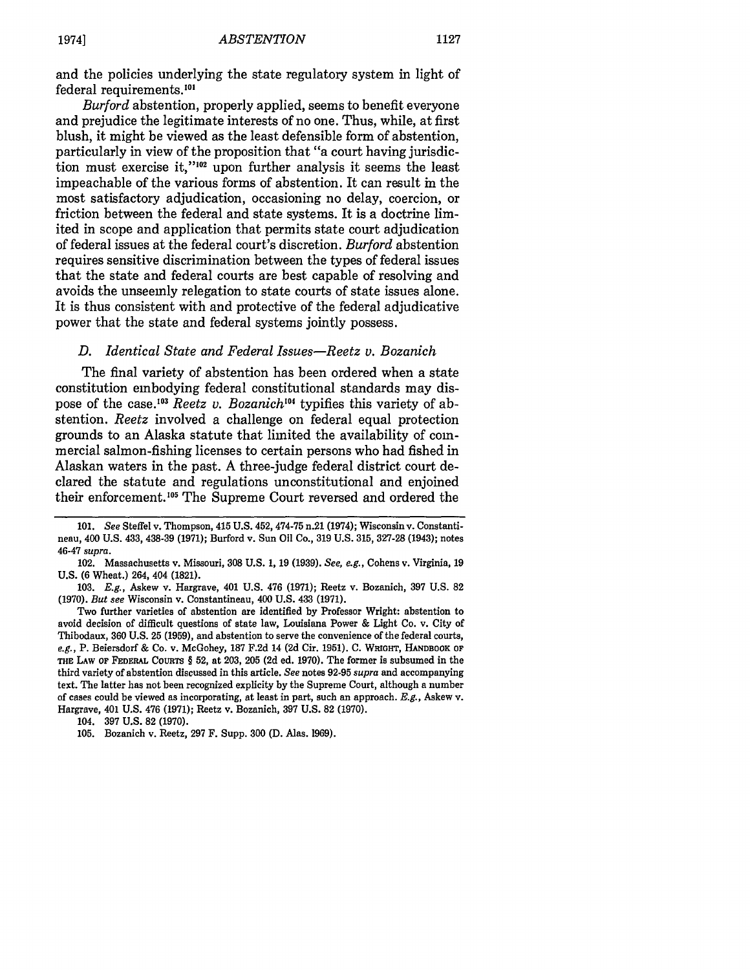and the policies underlying the state regulatory system in light of federal requirements.<sup>101</sup>

*Burford* abstention, properly applied, seems to benefit everyone and prejudice the legitimate interests of no one. Thus, while, at first blush, it might be viewed as the least defensible form of abstention, particularly in view of the proposition that "a court having jurisdiction must exercise it,"<sup>102</sup> upon further analysis it seems the least impeachable of the various forms of abstention. It can result in the most satisfactory adjudication, occasioning no delay, coercion, or friction between the federal and state systems. It is a doctrine limited in scope and application that permits state court adjudication of federal issues at the federal court's discretion. *Burford* abstention requires sensitive discrimination between the types of federal issues that the state and federal courts are best capable of resolving and avoids the unseemly relegation to state courts of state issues alone. It is thus consistent with and protective of the federal adjudicative power that the state and federal systems jointly possess.

#### *D. Identical State and Federal Issues-Reetz v. Bozanich*

The final variety of abstention has been ordered when a state constitution embodying federal constitutional standards may dispose of the case.<sup>103</sup> Reetz v. Bozanich<sup>104</sup> typifies this variety of abstention. *Reetz* involved a challenge on federal equal protection grounds to an Alaska statute that limited the availability of commercial salmon-fishing licenses to certain persons who had fished in Alaskan waters in the past. A three-judge federal district court declared the statute and regulations unconstitutional and enjoined their enforcement.<sup>105</sup> The Supreme Court reversed and ordered the

<sup>101.</sup> *See* Steffel v. Thompson, 415 U.S. 452, 474-75 n.21 (1974); Wisconsin v. Constantineau, 400 **U.S.** 433, 438-39 **(1971);** Burford v. Sun Oil Co., **319 U.S. 315, 327-28** (1943); notes 46-47 *supra.*

<sup>102.</sup> Massachusetts v. Missouri, 308 U.S. 1, 19 (1939). *See, e.g.,* Cohens v. Virginia, 19 U.S. (6 Wheat.) 264, 404 (1821).

<sup>103.</sup> *E.g.,* Askew v. Hargrave, 401 U.S. 476 (1971); Reetz v. Bozanich, 397 U.S. 82 (1970). *But see* Wisconsin v. Constantineau, 400 U.S. 433 (1971).

Two further varieties of abstention are identified by Professor Wright: abstention to avoid decision of difficult questions of state law, Louisiana Power & Light Co. v. City of Thibodaux, 360 U.S. 25 (1959), and abstention to serve the convenience of the federal courts, *e.g.,* P. Beiersdorf & Co. v. McGohey, 187 F.2d 14 (2d Cir. 1951). **C.** WRIGHT, HANDBOOK **OF** THE LAW **OF** FEDERAL **COURTS** § 52, at 203, 205 (2d ed. 1970). The former is subsumed in the third variety of abstention discussed in this article. *See* notes 92-95 *supra* and accompanying text. The latter has not been recognized explicity by the Supreme Court, although a number of cases could be viewed as incorporating, at least in part, such an approach. *E.g.,* Askew v. Hargrave, 401 U.S. 476 (1971); Reetz v. Bozanich, 397 U.S. 82 (1970).

<sup>104. 397</sup> **U.S.** 82 (1970).

<sup>105.</sup> Bozanich v. Reetz, 297 F. Supp. **300** (D. Alas. 1969).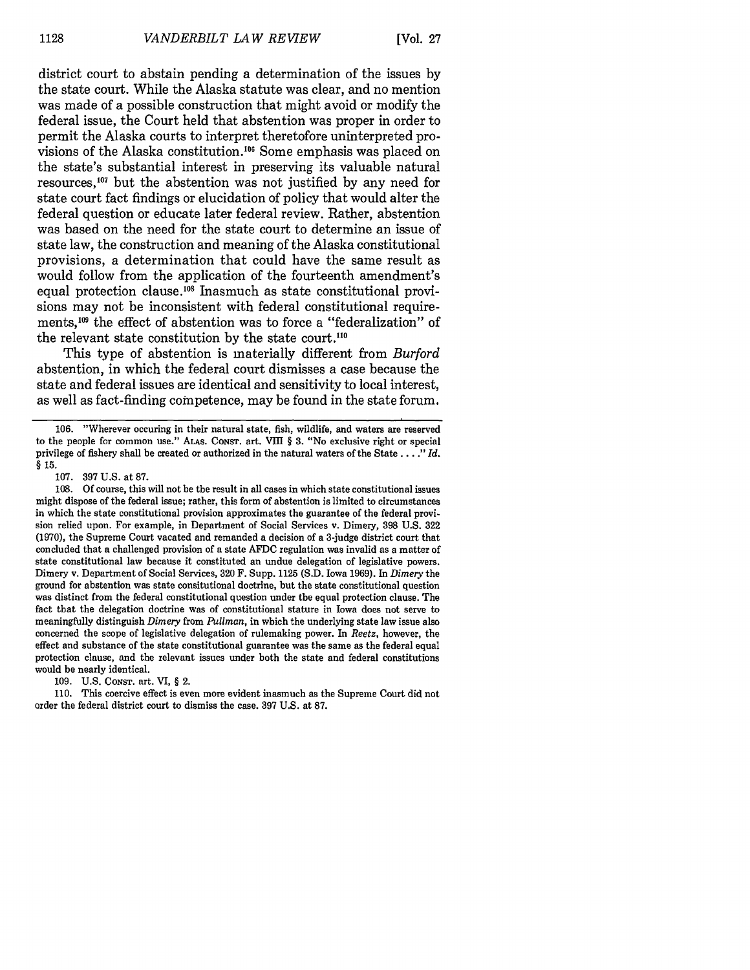district court to abstain pending a determination of the issues by the state court. While the Alaska statute was clear, and no mention was made of a possible construction that might avoid or modify the federal issue, the Court held that abstention was proper in order to permit the Alaska courts to interpret theretofore uninterpreted provisions of the Alaska constitution.<sup>106</sup> Some emphasis was placed on the state's substantial interest in preserving its valuable natural resources, 07 but the abstention was not justified by any need for state court fact findings or elucidation of policy that would alter the federal question or educate later federal review. Rather, abstention was based on the need for the state court to determine an issue of state law, the construction and meaning of the Alaska constitutional provisions, a determination that could have the same result as would follow from the application of the fourteenth amendment's equal protection clause.<sup>108</sup> Inasmuch as state constitutional provisions may not be inconsistent with federal constitutional requirements,<sup>109</sup> the effect of abstention was to force a "federalization" of the relevant state constitution by the state court.<sup>110</sup>

This type of abstention is materially different from *Burford* abstention, in which the federal court dismisses a case because the state and federal issues are identical and sensitivity to local interest, as well as fact-finding competence, may be found in the state forum.

**106.** "Wherever occuring in their natural state, fish, wildlife, and waters are reserved to the people for common use." ALAs. CONsr. art. VIII § 3. "No exclusive right or special privilege of fishery shall be created or authorized in the natural waters of the State **....** *Id.* **§ 15.**

107. 397 U.S. at 87.

108. Of course, this will not be the result in all cases in which state constitutional issues might dispose of the federal issue; rather, this form of abstention is limited to circumstances in which the state constitutional provision approximates the guarantee of the federal provision relied upon. For example, in Department of Social Services v. Dimery, 398 U.S. 322 (1970), the Supreme Court vacated and remanded a decision of a 3-judge district court that concluded that a challenged provision of a state AFDC regulation was invalid as a matter of state constitutional law because it constituted an undue delegation of legislative powers. Dimery v. Department of Social Services, 320 F. Supp. 1125 (S.D. Iowa 1969). In *Dimery* the ground for abstention was state consitutional doctrine, but the state constitutional question was distinct from the federal constitutional question under the equal protection clause. The fact that the delegation doctrine was of constitutional stature in Iowa does not serve to meaningfully distinguish *Dimery* from *Pullman,* in which the underlying state law issue also concerned the scope of legislative delegation of rulemaking power. In *Reetz,* however, the effect and substance of the state constitutional guarantee was the same as the federal equal protection clause, and the relevant issues under both the state and federal constitutions would be nearly identical.

109. U.S. CONST. art. VI, § 2.

110. This coercive effect is even more evident inasmuch as the Supreme Court did not order the federal district court to dismiss the case. 397 U.S. at 87.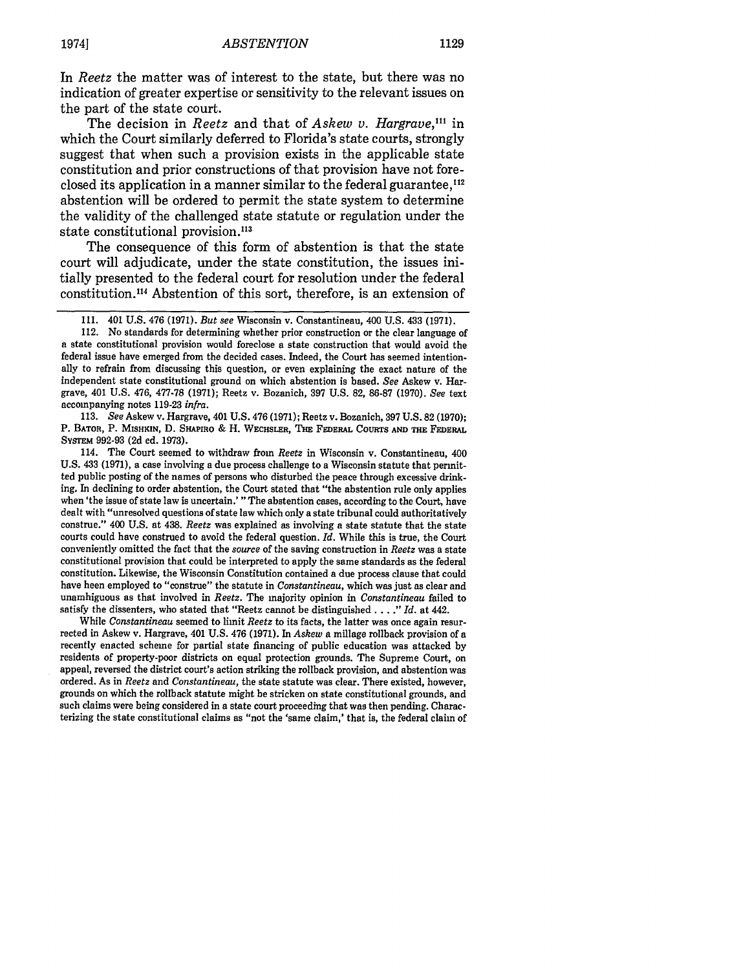In *Reetz* the matter was of interest to the state, but there was no indication of greater expertise or sensitivity to the relevant issues on the part of the state court.

The decision in *Reetz* and that of *Askew v. Hargrave,"'* in which the Court similarly deferred to Florida's state courts, strongly suggest that when such a provision exists in the applicable state constitution and prior constructions of that provision have not foreclosed its application in a manner similar to the federal guarantee,<sup>112</sup> abstention will be ordered to permit the state system to determine the validity of the challenged state statute or regulation under the state constitutional provision.<sup>113</sup>

The consequence of this form of abstention is that the state court will adjudicate, under the state constitution, the issues initially presented to the federal court for resolution under the federal constitution."' Abstention of this sort, therefore, is an extension of

113. *See* Askew v. Hargrave, 401 U.S. 476 (1971); Reetz v. Bozanich, 397 U.S. 82 (1970); P. BATOR, P. MISHKiN, D. SHAPIRO & H. WEcHSLER, **THE** FEDERAL CouRTS **AND THE** FEDERAL SYSTEM 992-93 (2d ed. 1973).

114. The Court seemed to withdraw from *Reetz* in Wisconsin v. Constantineau, 400 U.S. 433 **(1971),** a case involving a due process challenge to a Wisconsin statute that permitted public posting of the names of persons who disturbed the peace through excessive drinking. In declining to order abstention, the Court stated that "the abstention rule only applies when 'the issue of state law is uncertain.' "The abstention cases, according to the Court, have dealt with "unresolved questions of state law which only a state tribunal could authoritatively construe." 400 U.S. at 438. *Reetz* was explained as involving a state statute that the state courts could have construed to avoid the federal question. *Id.* While this is true, the Court conveniently omitted the fact that the *source* of the saving construction in *Reetz* was a state constitutional provision that could be interpreted to apply the same standards as the federal constitution. Likewise, the Wisconsin Constitution contained a due process clause that could have been employed to "construe" the statute in *Constantineau,* which was just as clear and unambiguous as that involved in *Reetz.* The majority opinion in *Constantineau* failed to satisfy the dissenters, who stated that "Reetz cannot be distinguished.. . *." Id.* at 442.

While *Constantineau* seemed to limit *Reetz* to its facts, the latter was once again resurrected in Askew v. Hargrave, 401 **U.S.** 476 **(1971).** In *Askew* a millage rollback provision of a recently enacted scheme for partial state financing of public education was attacked **by** residents of property-poor districts on equal protection grounds. The Supreme Court, on appeal, reversed the district court's action striking the rollback provision, and abstention was ordered. As in *Reetz* and *Constantineau,* the state statute was clear. There existed, however, grounds on which the rollback statute might be stricken on state constitutional grounds, and such claims were being considered in a state court proceeding that was then pending. Characterizing the state constitutional claims as "not the 'same claim,' that is, the federal claim of

<sup>111. 401</sup> U.S. 476 (1971). *But see* Wisconsin v. Constantineau, 400 U.S. 433 (1971).

<sup>112.</sup> No standards for determining whether prior construction or the clear language of a state constitutional provision would foreclose a state construction that would avoid the federal issue have emerged from the decided cases. Indeed, the Court has seemed intentionally to refrain from discussing this question, or even explaining the exact nature of the independent state constitutional ground on which abstention is based. *See* Askew v. Hargrave, 401 U.S. 476, 477-78 (1971); Reetz v. Bozanich, 397 U.S. **82,** 86-87 (1970). *See* text accompanying notes 119-23 *infra.*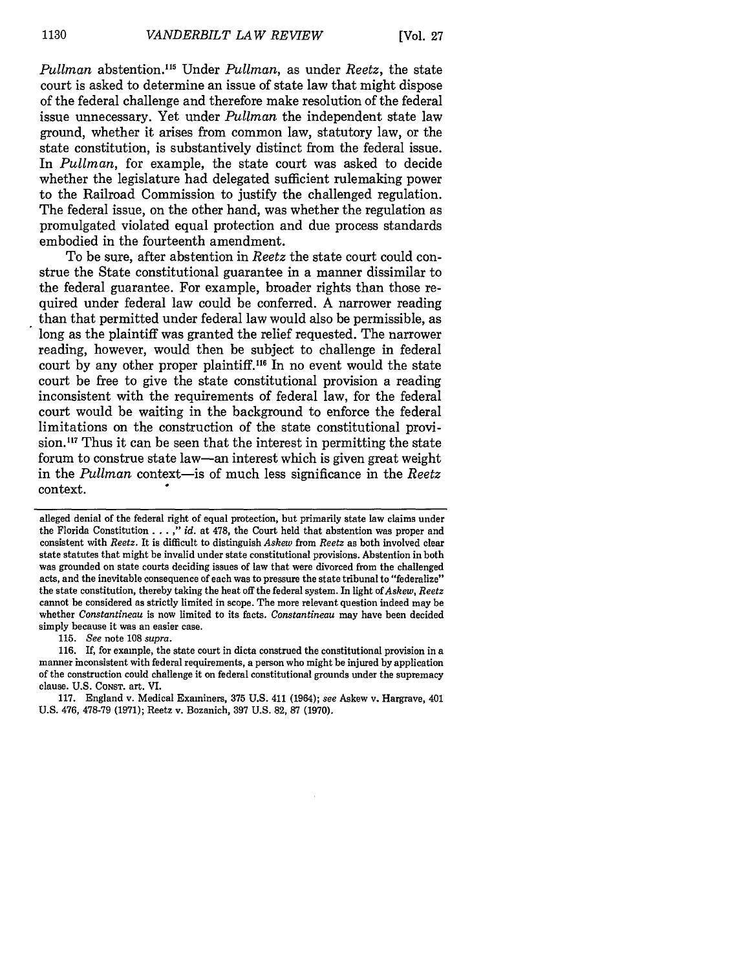*Pullman* abstention. "5 Under *Pullman,* as under *Reetz,* the state court is asked to determine an issue of state law that might dispose of the federal challenge and therefore make resolution of the federal issue unnecessary. Yet under *Pullman* the independent state law ground, whether it arises from common law, statutory law, or the state constitution, is substantively distinct from the federal issue. In *Pullman,* for example, the state court was asked to decide whether the legislature had delegated sufficient rulemaking power to the Railroad Commission to justify the challenged regulation. The federal issue, on the other hand, was whether the regulation as promulgated violated equal protection and due process standards embodied in the fourteenth amendment.

To be sure, after abstention in *Reetz* the state court could construe the State constitutional guarantee in a manner dissimilar to the federal guarantee. For example, broader rights than those required under federal law could be conferred. A narrower reading than that permitted under federal law would also be permissible, as long as the plaintiff was granted the relief requested. The narrower reading, however, would then be subject to challenge in federal court by any other proper plaintiff.<sup>116</sup> In no event would the state court be free to give the state constitutional provision a reading inconsistent with the requirements of federal law, for the federal court would be waiting in the background to enforce the federal limitations on the construction of the state constitutional provision.<sup>117</sup> Thus it can be seen that the interest in permitting the state forum to construe state law-an interest which is given great weight in the *Pullman* context-is of much less significance in the *Reetz* context.

115. *See* note 108 *supra.*

116. If, for example, the state court in dicta construed the constitutional provision in a manner inconsistent with federal requirements, a person who might be injured by application of the construction could challenge it on federal constitutional grounds under the supremacy clause. U.S. **CONST.** art. VI.

alleged denial of the federal right of equal protection, but primarily state law claims under the Florida Constitution . . . ," *id.* at 478, the Court held that abstention was proper and consistent with *Reetz.* It is difficult to distinguish *Askew* from *Reetz* as both involved clear state statutes that might be invalid under state constitutional provisions. Abstention in both was grounded on state courts deciding issues of law that were divorced from the challenged acts, and the inevitable consequence of each was to pressure the state tribunal to "federalize" the state constitution, thereby taking the heat off the federal system. In light of *Askew, Reetz* cannot be considered as strictly limited in scope. The more relevant question indeed may be whether *Constantineau* is now limited to its facts. *Constantineau* may have been decided simply because it was an easier case.

<sup>117.</sup> England v. Medical Examiners, 375 U.S. 411 (1964); *see* Askew v. Hargrave, 401 U.S. 476, 478-79 (1971); Reetz v. Bozanich, 397 U.S. 82, 87 (1970).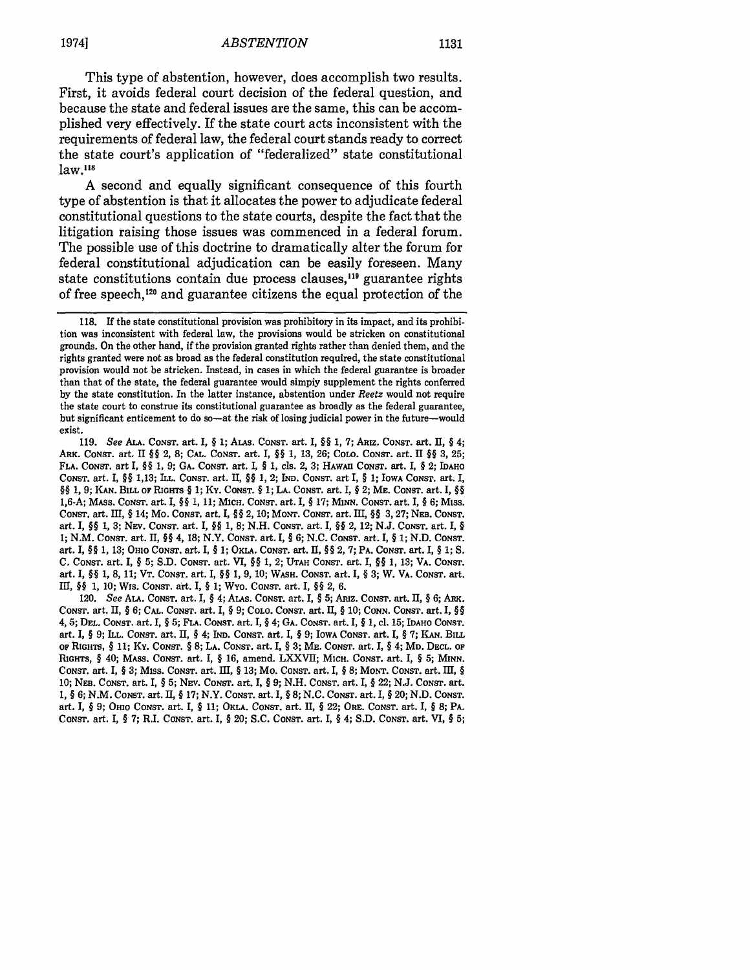This type of abstention, however, does accomplish two results. First, it avoids federal court decision of the federal question, and because the state and federal issues are the same, this can be accomplished very effectively. If the state court acts inconsistent with the requirements of federal law, the federal court stands ready to correct the state court's application of "federalized" state constitutional  $law.<sup>118</sup>$ 

A second and equally significant consequence of this fourth type of abstention is that it allocates the power to adjudicate federal constitutional questions to the state courts, despite the fact that the litigation raising those issues was commenced in a federal forum. The possible use of this doctrine to dramatically alter the forum for federal constitutional adjudication can be easily foreseen. Many state constitutions contain due process clauses,<sup>119</sup> guarantee rights of free speech,<sup>120</sup> and guarantee citizens the equal protection of the

120. *See* **ALA. CONST.** art. I, § 4; **ALAs. CONST.** art. I, § 5; Amiz. **CONST.** art. II, § 6; ARK. CONST. art. II, § 6; **CAL.** CONST. art. I, § 9; **COLO.** CONST. art. II, § 10; CONN. **CONST.** art. I, §§ 4, **5; DEL, CONST.** art. **I,** § **5; FLA.** CONsT. art. I, § 4; **GA. CONST.** art. **I,** § **1,** cI. **15;** IDAHO **CONST.** art. **I,** § **9; ILL. CONST.** art. II, § 4; *IND.* **CONST.** art. I, § **9;** IOWA **CONST.** art. **I,** § **7; KAN.** BILL **OF RIGHTS,** § **11;** Ky. CONsr. § 8; **LA.** CONsT. art. **I,** § **3;** ME. CONST. art. **I,** § 4; **MD. DECL. OF RIGHTS,** § 40; MASS. CONST. art. I, § 16, amend. LXXVII; MICH. **CONST.** art. I, § 5; **MINN. CONST.** art. I, § **3;** Miss. **CONST.** art. III, § 13; Mo. CONST. art. I, § 8; MONT. CONST. art. III, **§** 10; **NEB.** CONST. art. I, § 5; NEV. CONST. art. I, § 9; N.H. CONST. art. I, § 22; N.J. CONST. art. 1, § 6; N.M. CONST. art. II, § 17; N.Y. CONST. art. I, § 8; N.C. CONST. art. I, § 20; N.D. **CONST.** art. I, § 9; OHIO **CONST.** art. I, § 11; OKLA. **CONST.** art. II, § 22; ORE. **CONST.** art. I, § **8;** PA. CONST. art. I, § 7; R.I. **CONST.** art. I, § 20; S.C. **CONST.** art. I, § 4; S.D. CONST. art. VI, § 5;

**<sup>118.</sup>** If the state constitutional provision was prohibitory in its impact, and its prohibition was inconsistent with federal law, the provisions would be stricken on constitutional grounds. On the other hand, if the provision granted rights rather than denied them, and the rights granted were not as broad as the federal constitution required, the state constitutional provision would not be stricken. Instead, in cases in which the federal guarantee is broader than that of the state, the federal guarantee would simply supplement the rights conferred by the state constitution. In the latter instance, abstention under *Reetz* would not require the state court to construe its constitutional guarantee as broadly as the federal guarantee, but significant enticement to do so-at the risk of losing judicial power in the future-would exist.

<sup>119.</sup> *See ALA.* **CONST.** art. I, § 1; ALAS. **CONST.** art. I, §§ 1, 7; ARIZ. **CONST.** art. II, § 4; ARK. **CONST.** art. II §§ 2, 8; **CAL.** CONsT. art. I, §§ 1, 13, 26; COLO. CONST. art. I1 §§ 3, 25; **FLA.** CONST. art I, §§ 1, 9; **GA.** CONST. art. **I,** § 1, cls. 2, 3; HAwAII CONsT. art. I, § 2; **IDAHO CONST.** art. I, §§ 1,13; **ILL. CONST.** art. II, §§ 1, 2; **IND. CONST.** art I, § 1; IOWA **CONST.** art. I, §§ **1, 9; KAN. BILL OF RIGHTS** § **1;** Ky. **CONST.** *§* **1; LA. CONST.** art. , § 2; **ME. CONST.** art. I, §§ **1,6-A;** MAss. **CONST.** art. **I,** §§ **1, 11; MICH. CONST.** art. I, § **17; MINN. CONST.** art. I, § **6;** Miss. **CONST. art.** III, § 14; Mo. CONsT. art. I, §§ 2, **10; MONT. CONST.** art. **1I,** §§ **3,27; NEa. CONST.** art. **I,** §§ **1, 3;** NEv. **CONST.** art. **I,** §§ **1, 8; N.H. CONsT.** art. I, §§ 2, 12; **N.J. CONST.** art. I, § **1; N.M. CONST.** art. **II,** §§ 4, **18;** N.Y. **CONST.** art. **I,** § **6; N.C. CONST.** art. I, § **1; N.D.** CONST. art. **I,** §§ **1, 13;** OHIO CONsT. art. **I,** § **1;** OKLA. **CONST.** art. **II,** §§ 2, **7;** PA. CONsT. art. I, § **1; S. C. CONST.** art. I, § **5; S.D.** CONST. art. VI, §§ **1,** 2; **UTAH CONST.** art. **I,** §§ **1, 13;** VA. **CONST.** art. I, §§ **1, 8, 11; VT. CONST.** art. I, §§ **1, 9, 10;** WASH. **CONST.** art. I, § **3;** W. VA. **CONST.** art. III, §§ 1, **10;** WIs. **CONST.** art. I, § **1;** WYO. **CONST.** art. I, §§ 2, **6.**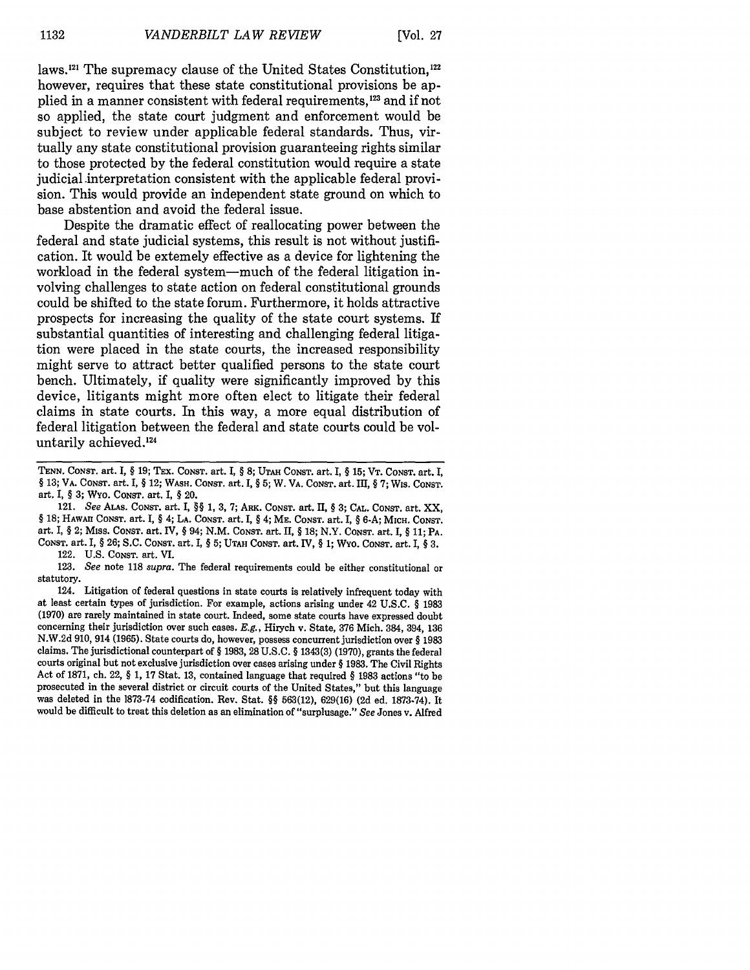laws.<sup>121</sup> The supremacy clause of the United States Constitution,<sup>122</sup> however, requires that these state constitutional provisions be applied in a manner consistent with federal requirements,123 and if not so applied, the state court judgment and enforcement would be subject to review under applicable federal standards. Thus, virtually any state constitutional provision guaranteeing rights similar to those protected **by** the federal constitution would require a state judicial interpretation consistent with the applicable federal provision. This would provide an independent state ground on which to base abstention and avoid the federal issue.

Despite the dramatic effect of reallocating power between the federal and state judicial systems, this result is not without justification. It would be extemely effective as a device for lightening the workload in the federal system-much of the federal litigation involving challenges to state action on federal constitutional grounds could be shifted to the state forum. Furthermore, it holds attractive prospects for increasing the quality of the state court systems. If substantial quantities of interesting and challenging federal litigation were placed in the state courts, the increased responsibility might serve to attract better qualified persons to the state court bench. Ultimately, if quality were significantly improved **by** this device, litigants might more often elect to litigate their federal claims in state courts. In this way, a more equal distribution of federal litigation between the federal and state courts could be voluntarily achieved.'24

122. **U.S.** CONST. art. VI.

**123.** *See* note **118** *supra.* The federal requirements could be either constitutional or statutory.

124. Litigation of federal questions in state courts is relatively infrequent today with at least certain types of jurisdiction. For example, actions arising under 42 **U.S.C. § 1983 (1970)** are rarely maintained in state court. Indeed, some state courts have expressed doubt concerning their jurisdiction over such cases. *E.g.,* Hirych v. State, **376** Mich. 384, 394, **136 N.W.2d 910,** 914 **(1965).** State courts do, however, possess concurrent jurisdiction over **§ 1983** claims. The jurisdictional counterpart of **§ 1983, 28 U.S.C. §** 1343(3) **(1970),** grants the federal courts original but not exclusive jurisdiction over cases arising under **§ 1983.** The **Civil** Rights Act of **1871,** ch. 22, **§ 1, 17** Stat. **13,** contained language that required **§ 1983** actions "to be prosecuted in the several district or circuit courts of the United States," but this language was deleted in the **1873-74** codification. Rev. Stat. **§§ 563(12), 629(16) (2d** ed. **1873-74).** It would be difficult to treat this deletion as an elimination of "surplusage." *See* Jones v. Alfred

**TENN. CONST.** art. **I, § 19; TEx. CONST.** art. **I,** § **8; UTAH CONST.** art. I, **§ 15; VT.** CONST. art. **I, § 13; VA. CONST.** art. I, **§ 12; WASH. CONST.** art. I, **§ 5; W. VA. CONST.** art. **III, § 7; Wis. CONsT.** art. I, **§ 3;** WYO. **CONST.** art. I, **§** 20.

<sup>121.</sup> *See ALAs.* CONST. art. I, **§§ 1, 3, 7; ARK. CONST.** art. **II, § 3; CAL. CONST.** art. XX, **§ 18; HAWAII CONST.** art. I, **§ 4; LA. CONST.** art. I, **§** 4; ME. CONST. art. I, **§ 6-A; MICH. CONST.** art. **I, § 2; Miss. CONST. art.** IV, **§** 94; **N.M. CONST.** art. **II, § 18;** N.Y. **CONST.** art. **I, § 11;** PA. **CONST.** art. **I, § 26; S.C. CONST.** art. **I, § 5; UTAH CONST.** art. IV, **§ 1; WYO. CONST.** art. **I, § 3.**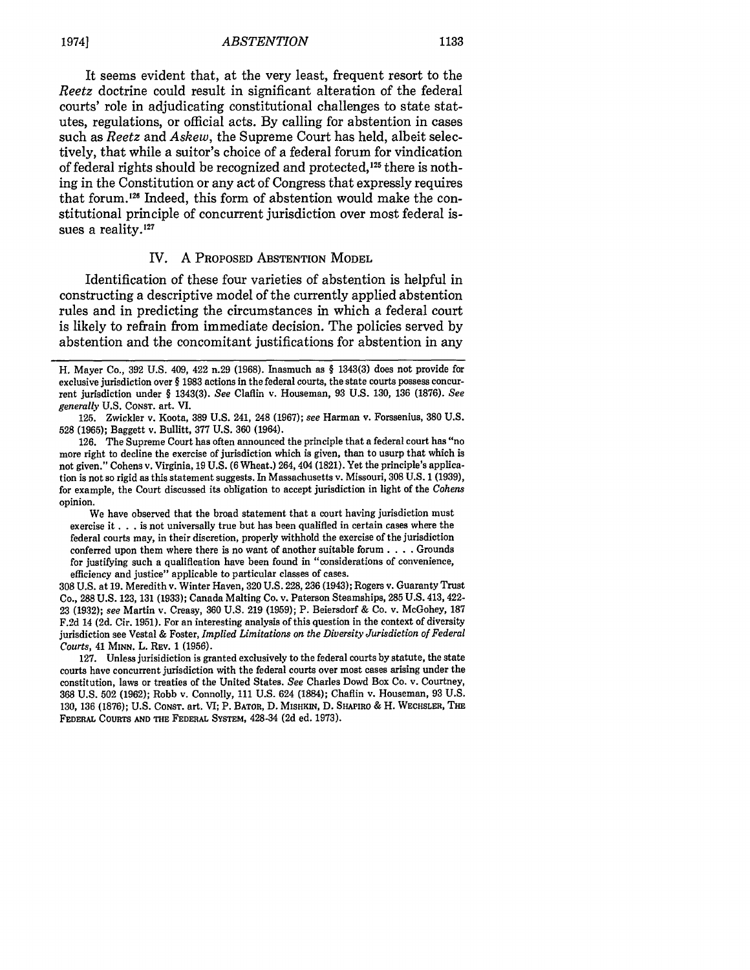# *ABSTENTION* 19741 **1133**

It seems evident that, at the very least, frequent resort to the *Reetz* doctrine could result in significant alteration of the federal courts' role in adjudicating constitutional challenges to state statutes, regulations, or official acts. By calling for abstention in cases such as *Reetz* and *Askew,* the Supreme Court has held, albeit selectively, that while a suitor's choice of a federal forum for vindication of federal rights should be recognized and protected, $125$  there is nothing in the Constitution or any act of Congress that expressly requires that forum.'25 Indeed, this form of abstention would make the constitutional principle of concurrent jurisdiction over most federal issues a reality.<sup>127</sup>

# IV. **A** PROPOSED ABSTENTION MODEL

Identification of these four varieties of abstention is helpful in constructing a descriptive model of the currently applied abstention rules and in predicting the circumstances in which a federal court is likely to refrain from immediate decision. The policies served by abstention and the concomitant justifications for abstention in any

We have observed that the broad statement that a court having jurisdiction must exercise it **. .** . is not universally true but has been qualified in certain cases where the federal courts may, in their discretion, properly withhold the exercise of the jurisdiction conferred upon them where there is no want of another suitable forum. . **.** . Grounds for justifying such a qualification have been found in "considerations of convenience, efficiency and justice" applicable to particular classes of cases.

308 U.S. at 19. Meredithv. Winter Haven, 320 U.S. 228,236 (1943); Rogers v. Guaranty Trust Co., 288 U.S. 123, 131 (1933); Canada Malting Co. v. Paterson Steamships, 285 U.S. 413, 422- 23 (1932); *see* Martin v. Creasy, 360 U.S. 219 (1959); P. Beiersdorf & Co. v. McGohey, 187 F.2d 14 (2d. Cir. 1951). For an interesting analysis of this question in the context of diversity jurisdiction see Vestal & Foster, *Implied Limitations on the Diversity Jurisdiction of Federal Courts,* 41 MINN. L. REV. 1 (1956).

127. Unless jurisidiction is granted exclusively to the federal courts by statute, the state courts have concurrent jurisdiction with the federal courts over most cases arising under the constitution, laws or treaties of the United States. *See* Charles Dowd Box Co. v. Courtney, 368 U.S. 502 (1962); Robb v. Connolly, 111 U.S. 624 (1884); Chaflin v. Houseman, 93 U.S. 130, 136 (1876); U.S. CONST. art. VI; P. BATOR, D. **MISHKIN,** D. **SHAPIRO** & H. **WECHSLER, THE** FEDERAL **COURTS AND THE** FEDERAL **SYSTEM,** 428-34 **(2d** ed. **1973).**

H. Mayer Co., 392 **U.S.** 409, 422 n.29 **(1968).** Inasmuch as § 1343(3) does not provide for exclusive jurisdiction over § 1983 actions in the federal courts, the state courts possess concurrent jurisdiction under § 1343(3). *See* Claflin v. Houseman, 93 U.S. 130, 136 (1876). *See generally* U.S. CONST. art. VI.

<sup>125.</sup> Zwickler v. Koota, 389 U.S. 241, 248 (1967); *see* Harman v. Forssenius, 380 U.S. 528 (1965); Baggett v. Bullitt, 377 U.S. 360 (1964).

<sup>126.</sup> The Supreme Court has often announced the principle that a federal court has "no more right to decline the exercise of jurisdiction which is given, than to usurp that which is not given." Cohens v. Virginia, 19 U.S. (6 Wheat.) 264, 404 (1821). Yet the principle's application is not so rigid as this statement suggests. In Massachusetts v. Missouri, **308** U.S. 1 (1939), for example, the Court discussed its obligation to accept jurisdiction in light of the *Cohens* opinion.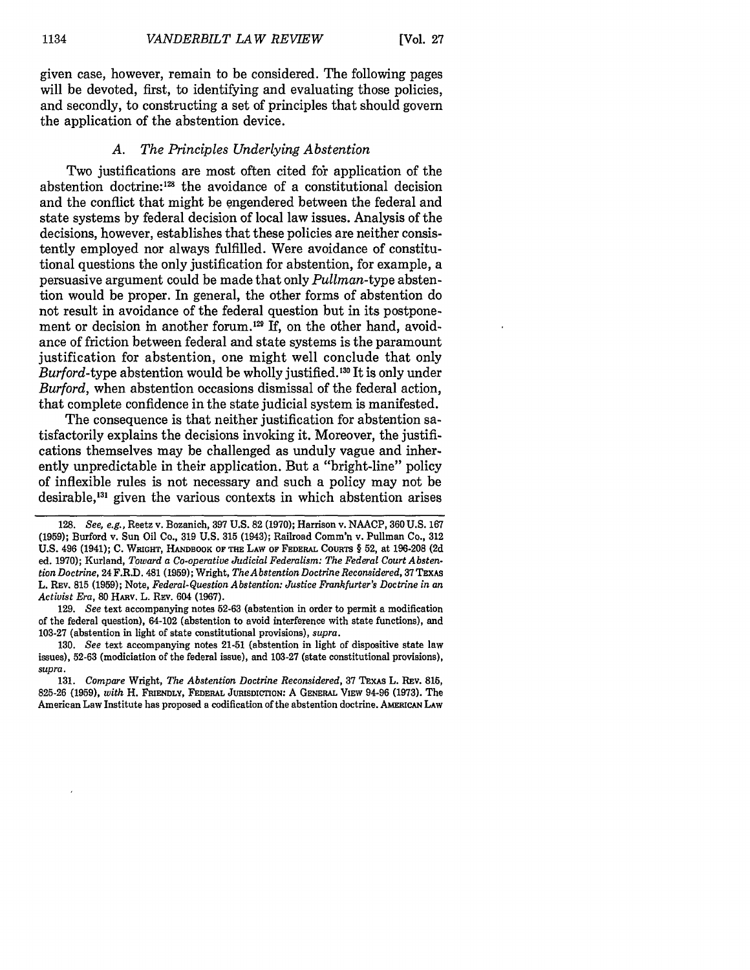given case, however, remain to be considered. The following pages will be devoted, first, to identifying and evaluating those policies. and secondly, to constructing a set of principles that should govern the application of the abstention device.

# *A. The Principles Underlying Abstention*

Two justifications are most often cited for application of the abstention doctrine:<sup>128</sup> the avoidance of a constitutional decision and the conflict that might be engendered between the federal and state systems by federal decision of local law issues. Analysis of the decisions, however, establishes that these policies are neither consistently employed nor always fulfilled. Were avoidance of constitutional questions the only justification for abstention, for example, a persuasive argument could be made that only *Pullman-type* abstention would be proper. In general, the other forms of abstention do not result in avoidance of the federal question but in its postponement or decision in another forum.<sup>129</sup> If, on the other hand, avoidance of friction between federal and state systems is the paramount justification for abstention, one might well conclude that only *Burford-type* abstention would be wholly justified.'30 It is only under *Burford,* when abstention occasions dismissal of the federal action, that complete confidence in the state judicial system is manifested.

The consequence is that neither justification for abstention satisfactorily explains the decisions invoking it. Moreover, the justifications themselves may be challenged as unduly vague and inherently unpredictable in their application. But a "bright-line" policy of inflexible rules is not necessary and such a policy may not be desirable,<sup>131</sup> given the various contexts in which abstention arises

131. *Compare* Wright, *The Abstention Doctrine Reconsidered,* 37 **TExAs** L. REv. 815, 825-26 (1959), *with* H. **FRIENDLY, FEDERAL JURISDICTION:** A **GENERAL** VIEW 94-96 (1973). The American Law Institute has proposed a codification of the abstention doctrine. AMERICAN LAW

<sup>128.</sup> *See, e.g.,* Reetz v. Bozanich, 397 U.S. 82 (1970); Harrison v. NAACP, 360 U.S. 167 (1959); Burford v. Sun Oil Co., 319 U.S. 315 (1943); Railroad Comm'n v. Pullman Co., 312 U.S. 496 (1941); C. WRIGHT, HANDBOOK OF THE LAW OF FEDERAL COURTS § 52, at 196-208 (2d ed. 1970); Kurland, *Toward a Co-operative Judicial Federalism: The Federal Court Abstention Doctrine,* 24F.R.D. 481 (1959); Wright, *The Abstention Doctrine Reconsidered,* 37TExAs L. REv. 815 (1959); Note, *Federal-Question Abstention: Justice Frankfurter's Doctrine in an Activist Era,* **80** HARV. L. REv. 604 (1967).

<sup>129.</sup> *See* text accompanying notes 52-63 (abstention in order to permit a modification of the federal question), 64-102 (abstention to avoid interference with state functions), and 103-27 (abstention in light of state constitutional provisions), *supra.*

<sup>130.</sup> *See* text accompanying notes 21-51 (abstention in light of dispositive state law issues), 52-63 (modiciation of the federal issue), and 103-27 (state constitutional provisions), *supra.*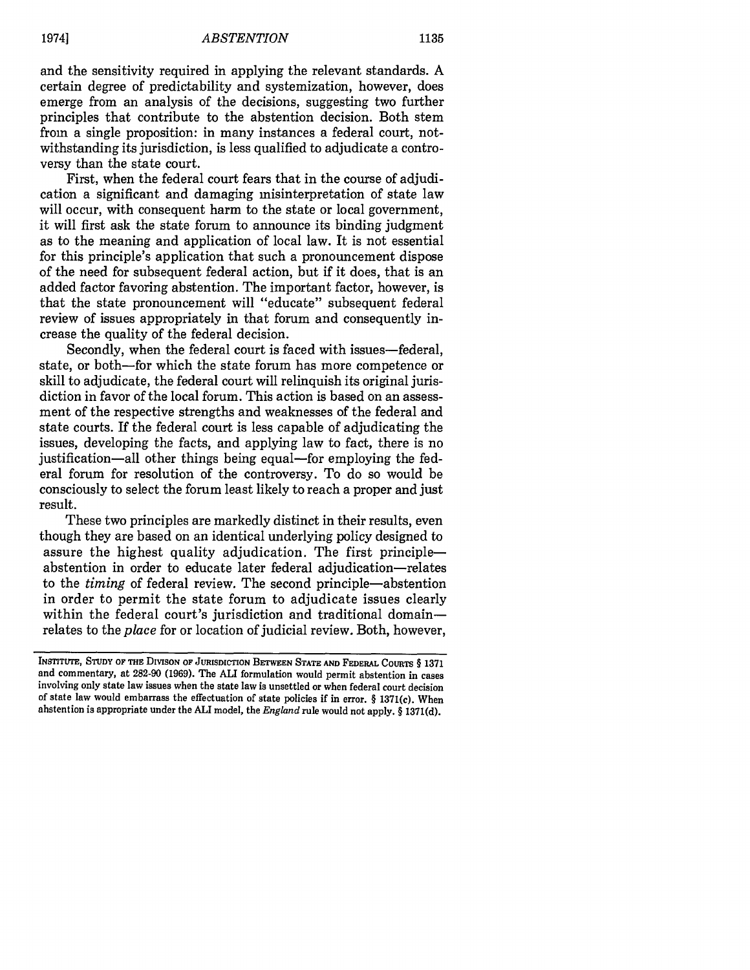and the sensitivity required in applying the relevant standards. A certain degree of predictability and systemization, however, does emerge from an analysis of the decisions, suggesting two further principles that contribute to the abstention decision. Both stem from a single proposition: in many instances a federal court, notwithstanding its jurisdiction, is less qualified to adjudicate a controversy than the state court.

First, when the federal court fears that in the course of adjudication a significant and damaging misinterpretation of state law will occur, with consequent harm to the state or local government, it will first ask the state forum to announce its binding judgment as to the meaning and application of local law. It is not essential for this principle's application that such a pronouncement dispose of the need for subsequent federal action, but if it does, that is an added factor favoring abstention. The important factor, however, is that the state pronouncement will "educate" subsequent federal review of issues appropriately in that forum and consequently increase the quality of the federal decision.

Secondly, when the federal court is faced with issues-federal. state, or both-for which the state forum has more competence or skill to adjudicate, the federal court will relinquish its original jurisdiction in favor of the local forum. This action is based on an assessment of the respective strengths and weaknesses of the federal and state courts. If the federal court is less capable of adjudicating the issues, developing the facts, and applying law to fact, there is no justification—all other things being equal—for employing the federal forum for resolution of the controversy. To do so would be consciously to select the forum least likely to reach a proper and just result.

These two principles are markedly distinct in their results, even though they are based on an identical underlying policy designed to assure the highest quality adjudication. The first principleabstention in order to educate later federal adjudication-relates to the *timing* of federal review. The second principle-abstention in order to permit the state forum to adjudicate issues clearly within the federal court's jurisdiction and traditional domainrelates to the *place* for or location of judicial review. Both, however,

**INSTITUTE, STUDY** OF **THE DIVISON OF JURISDICTION BETWEEN STATE AND FEDERAL COURTS** § 1371 and commentary, at 282-90 (1969). The ALl formulation would permit abstention in cases involving only state law issues when the state law is unsettled or when federal court decision of state law would embarrass the effectuation of state policies if in error. § 1371(c). When abstention is appropriate under the ALl model, the *England* rule would not apply. § 1371(d).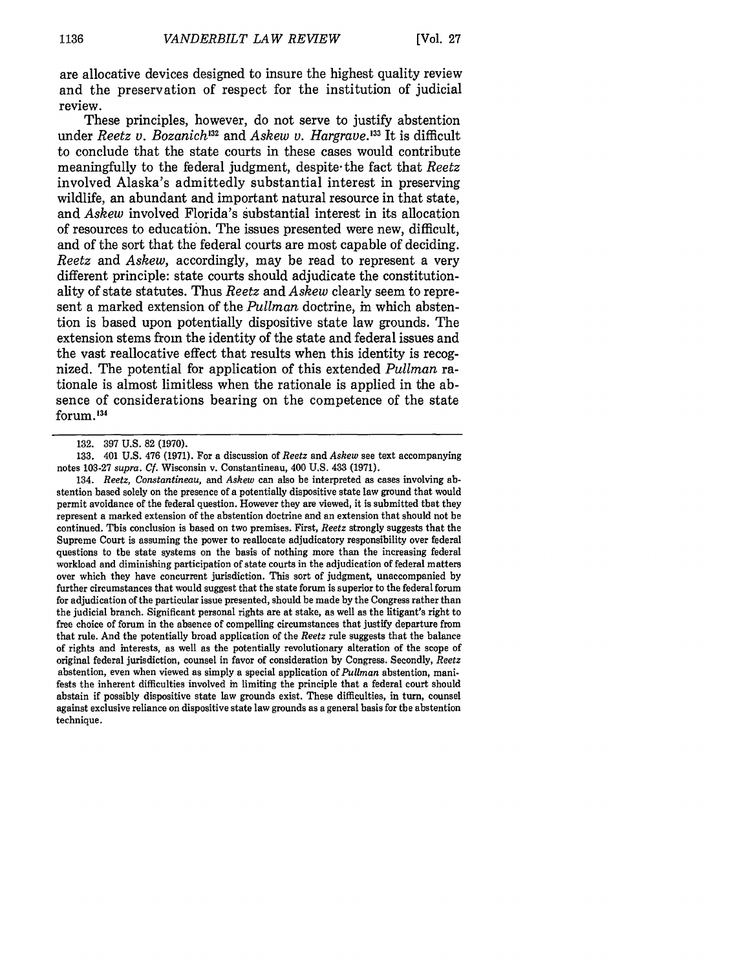are allocative devices designed to insure the highest quality review and the preservation of respect for the institution of judicial review.

These principles, however, do not serve to justify abstention under *Reetz v. Bozanich*<sup>132</sup> and *Askew v. Hargrave*.<sup>133</sup> It is difficult to conclude that the state courts in these cases would contribute meaningfully to the federal judgment, despite-the fact that *Reetz* involved Alaska's admittedly substantial interest in preserving wildlife, an abundant and important natural resource in that state, and *Askew* involved Florida's substantial interest in its allocation of resources to education. The issues presented were new, difficult, and of the sort that the federal courts are most capable of deciding. *Reetz* and *Askew,* accordingly, may be read to represent a very different principle: state courts should adjudicate the constitutionality of state statutes. Thus *Reetz and Askew* clearly seem to represent a marked extension of the *Pullman* doctrine, in which abstention is based upon potentially dispositive state law grounds. The extension stems from the identity of the state and federal issues and the vast reallocative effect that results when this identity is recognized. The potential for application of this extended *Pullman* rationale is almost limitless when the rationale is applied in the absence of considerations bearing on the competence of the state forum.134

134. *Reetz, Constantineau, and Askew* can also be interpreted as cases involving abstention based solely on the presence of a potentially dispositive state law ground that would permit avoidance of the federal question. However they are viewed, it is submitted that they represent a marked extension of the abstention doctrine and an extension that should not be continued. This conclusion is based on two premises. First, *Reetz* strongly suggests that the Supreme Court is assuming the power to reallocate adjudicatory responsibility over federal questions to the state systems on the basis of nothing more than the increasing federal workload and diminishing participation of state courts in the adjudication of federal matters over which they have concurrent jurisdiction. This sort of judgment, unaccompanied **by** further circumstances that would suggest that the state forum is superior to the federal forum for adjudication of the particular issue presented, should be made **by** the Congress rather than the judicial branch. Significant personal rights are at stake, as well as the litigant's right to free choice of forum in the absence of compelling circumstances that justify departure from that rule. And the potentially broad application of the *Reetz* rule suggests that the balance of rights and interests, as well as the potentially revolutionary alteration of the scope of original federal jurisdiction, counsel in favor of consideration **by** Congress. Secondly, *Reetz* abstention, even when viewed as simply a special application of *Pullman* abstention, manifests the inherent difficulties involved in limiting the principle that a federal court should abstain if possibly dispositive state law grounds exist. These difficulties, in turn, counsel against exclusive reliance on dispositive state law grounds as a general basis for the abstention technique.

**<sup>132. 397</sup> U.S. 82 (1970).**

**<sup>133.</sup>** 401 **U.S.** 476 **(1971).** For a discussion of *Reetz* and *Askew* see text accompanying notes **103-27** *supra. Cf.* Wisconsin v. Constantineau, 400 **U.S.** 433 **(1971).**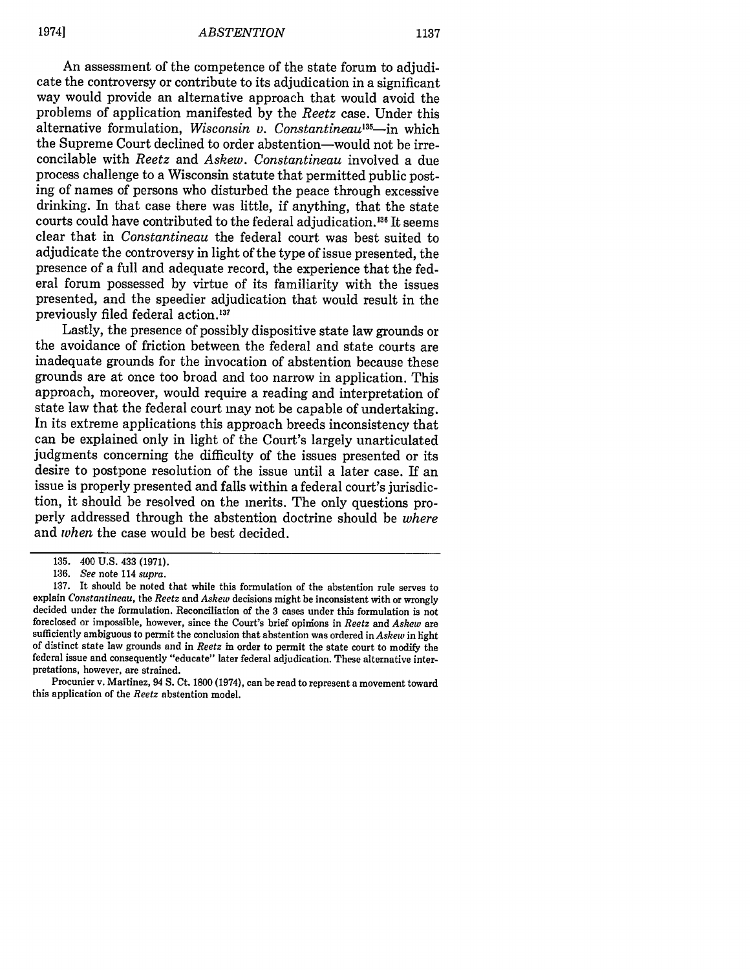An assessment of the competence of the state forum to adjudicate the controversy or contribute to its adjudication in a significant way would provide an alternative approach that would avoid the problems of application manifested by the *Reetz* case. Under this alternative formulation, *Wisconsin v. Constantineau'3 -in* which the Supreme Court declined to order abstention-would not be irreconcilable with *Reetz* and *Askew. Constantineau* involved a due process challenge to a Wisconsin statute that permitted public posting of names of persons who disturbed the peace through excessive drinking. In that case there was little, if anything, that the state courts could have contributed to the federal adjudication.<sup>136</sup> It seems clear that in *Constantineau* the federal court was best suited to adjudicate the controversy in light of the type of issue presented, the presence of a full and adequate record, the experience that the federal forum possessed by virtue of its familiarity with the issues presented, and the speedier adjudication that would result in the previously filed federal action.<sup>137</sup><br>Lastly, the presence of possibly dispositive state law grounds or

the avoidance of friction between the federal and state courts are inadequate grounds for the invocation of abstention because these grounds are at once too broad and too narrow in application. This approach, moreover, would require a reading and interpretation of state law that the federal court may not be capable of undertaking. In its extreme applications this approach breeds inconsistency that can be explained only in light of the Court's largely unarticulated judgments concerning the difficulty of the issues presented or its desire to postpone resolution of the issue until a later case. If an issue is properly presented and falls within a federal court's jurisdiction, it should be resolved on the merits. The only questions properly addressed through the abstention doctrine should be *where* and *when* the case would be best decided.

137. It should be noted that while this formulation of the abstention rule serves to explain *Constantineau,* the *Reetz* and *Askew* decisions might be inconsistent with or wrongly decided under the formulation. Reconciliation of the 3 cases under this formulation is not foreclosed or impossible, however, since the Court's brief opinions in *Reetz and Askew* are sufficiently ambiguous to permit the conclusion that abstention was ordered in *Askew* in light of distinct state law grounds and in *Reetz* in order to permit the state court to modify the federal issue and consequently "educate" later federal adjudication. These alternative interpretations, however, are strained.

Procunier v. Martinez, 94 S. Ct. 1800 (1974), can be read to represent a movement toward this application of the *Reetz* abstention model.

<sup>135. 400</sup> U.S. 433 (1971).

<sup>136.</sup> *See* note 114 *supra.*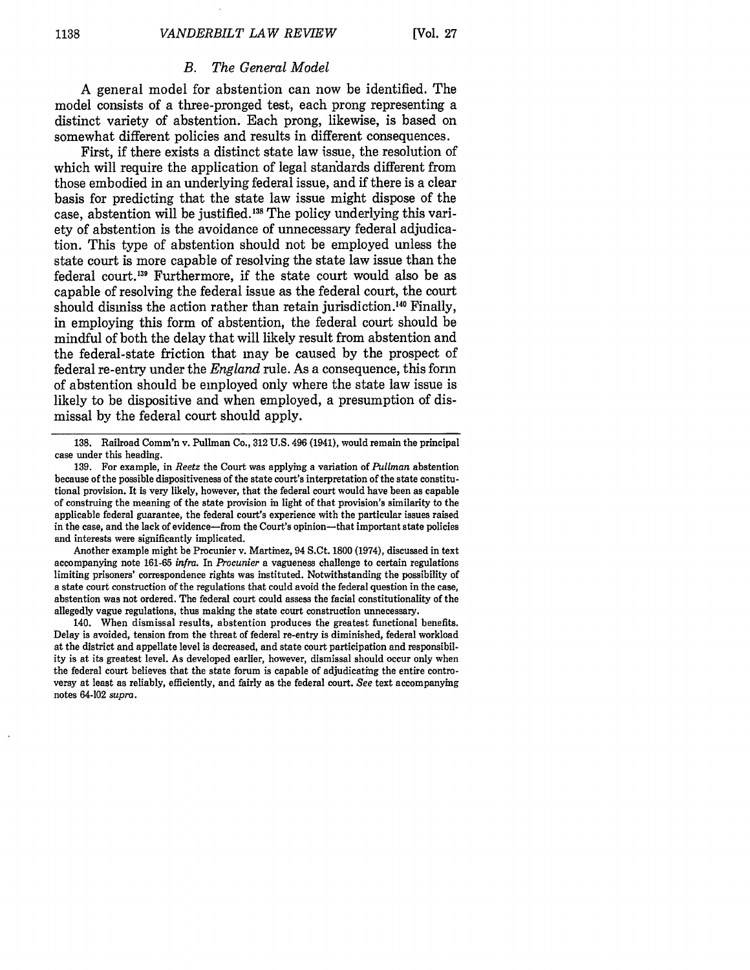# *B. The General Model*

**A** general model for abstention can now be identified. The model consists of a three-pronged test, each prong representing a distinct variety of abstention. Each prong, likewise, is based on somewhat different policies and results in different consequences.

First, if there exists a distinct state law issue, the resolution of which will require the application of legal standards different from those embodied in an underlying federal issue, and if there is a clear basis for predicting that the state law issue might dispose of the case, abstention will be justified. **138** The policy underlying this variety of abstention is the avoidance of unnecessary federal adjudication. This type of abstention should not be employed unless the state court is more capable of resolving the state law issue than the federal court.'39 Furthermore, if the state court would also be as capable of resolving the federal issue as the federal court, the court should dismiss the action rather than retain jurisdiction.<sup>140</sup> Finally, in employing this form of abstention, the federal court should be mindful of both the delay that will likely result from abstention and the federal-state friction that may be caused **by** the prospect of federal re-entry under the *England* rule. As a consequence, this form of abstention should be employed only where the state law issue is likely to be dispositive and when employed, a presumption of dismissal **by** the federal court should apply.

Another example might be Procunier v. Martinez, 94 S.Ct. **1800** (1974), discussed in text accompanying note **161-65** *infra.* In *Procunier* a vagueness challenge to certain regulations limiting prisoners' correspondence rights was instituted. Notwithstanding the possibility of a state court construction of the regulations that could avoid the federal question in the case, abstention was not ordered. The federal court could assess the facial constitutionality of the allegedly vague regulations, thus making the state court construction unnecessary.

140. When dismissal results, abstention produces the greatest functional benefits. Delay is avoided, tension from the threat of federal re-entry is diminished, federal workload at the district and appellate level is decreased, and state court participation and responsibility is at its greatest level. As developed earlier, however, dismissal should occur only when the federal court believes that the state forum is capable of adjudicating the entire controversy at least as reliably, efficiently, and fairly as the federal court. *See* text accompanying notes 64-102 *supra.*

**<sup>138.</sup>** Railroad Comm'n v. Pullman Co., **312 U.S.** 496 (1941), would remain the principal case under this heading.

**<sup>139.</sup>** For example, in *Reetz* the Court was applying a variation of *Pullman* abstention because of the possible dispositiveness of the state court's interpretation of the state constitutional provision. It is very likely, however, that the federal court would have been as capable of construing the meaning of the state provision in light of that provision's similarity to the applicable federal guarantee, the federal court's experience with the particular issues raised in the case, and the lack of evidence-from the Court's opinion-that important state policies and interests were significantly implicated.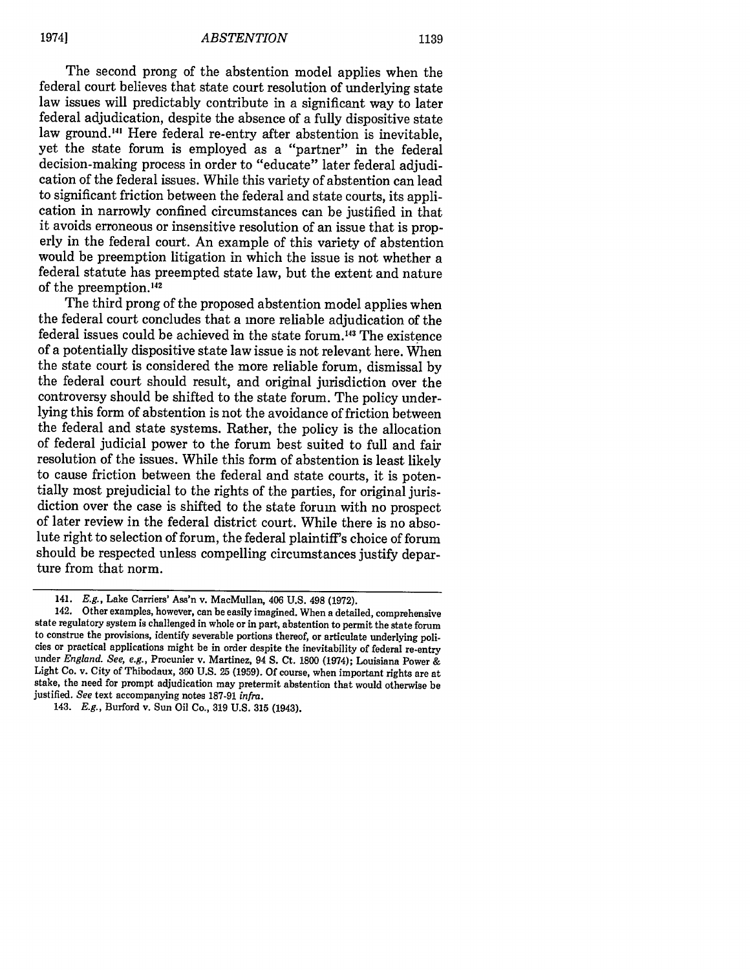The second prong of the abstention model applies when the federal court believes that state court resolution of underlying state law issues will predictably contribute in a significant way to later federal adjudication, despite the absence of a fully dispositive state law ground.<sup>141</sup> Here federal re-entry after abstention is inevitable, yet the state forum is employed as a "partner" in the federal decision-making process in order to "educate" later federal adjudication of the federal issues. While this variety of abstention can lead to significant friction between the federal and state courts, its application in narrowly confined circumstances can be justified in that it avoids erroneous or insensitive resolution of an issue that is properly in the federal court. An example of this variety of abstention would be preemption litigation in which the issue is not whether a federal statute has preempted state law, but the extent and nature of the preemption. <sup>42</sup>

The third prong of the proposed abstention model applies when the federal court concludes that a more reliable adjudication of the federal issues could be achieved in the state forum.<sup>143</sup> The existence of a potentially dispositive state law issue is not relevant here. When the state court is considered the more reliable forum, dismissal by the federal court should result, and original jurisdiction over the controversy should be shifted to the state forum. The policy underlying this form of abstention is not the avoidance of friction between the federal and state systems. Rather, the policy is the allocation of federal judicial power to the forum best suited to full and fair resolution of the issues. While this form of abstention is least likely to cause friction between the federal and state courts, it is potentially most prejudicial to the rights of the parties, for original jurisdiction over the case is shifted to the state forum with no prospect of later review in the federal district court. While there is no absolute right to selection of forum, the federal plaintiff's choice of forum should be respected unless compelling circumstances justify departure from that norm.

<sup>141.</sup> E.g., Lake Carriers' Ass'n v. MacMullan, 406 U.S. 498 (1972).

<sup>142.</sup> Other examples, however, can be easily imagined. When a detailed, comprehensive state regulatory system is challenged in whole or in part, abstention to permit the state forum to construe the provisions, identify severable portions thereof, or articulate underlying policies or practical applications might be in order despite the inevitability of federal re-entry under *England. See, e.g.,* Procunier v. Martinez, 94 S. Ct. 1800 (1974); Louisiana Power & Light Co. v. City of Thibodaux, 360 U.S. 25 (1959). Of course, when important rights are at stake, the need for prompt adjudication may pretermit abstention that would otherwise be justified. *See* text accompanying notes 187-91 *infra.*

<sup>143.</sup> *E.g.,* Burford v. Sun Oil Co., 319 U.S. 315 (1943).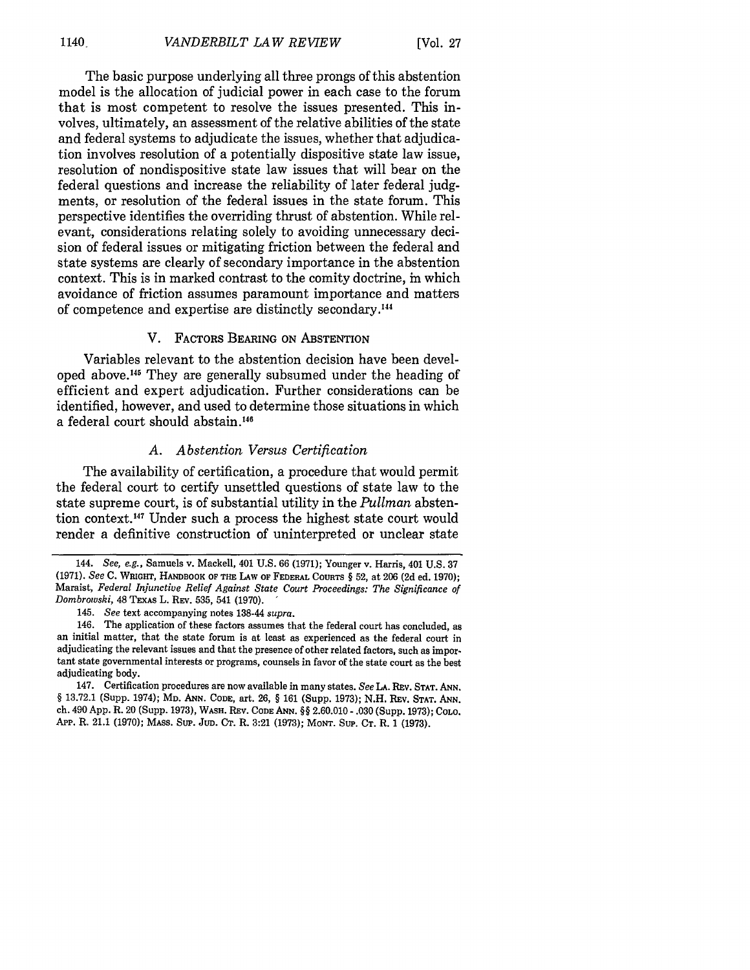The basic purpose underlying all three prongs of this abstention model is the allocation of judicial power in each case to the forum that is most competent to resolve the issues presented. This involves, ultimately, an assessment of the relative abilities of the state and federal systems to adjudicate the issues, whether that adjudication involves resolution of a potentially dispositive state law issue, resolution of nondispositive state law issues that will bear on the federal questions and increase the reliability of later federal judgments, or resolution of the federal issues in the state forum. This perspective identifies the overriding thrust of abstention. While relevant, considerations relating solely to avoiding unnecessary decision of federal issues or mitigating friction between the federal and state systems are clearly of secondary importance in the abstention context. This is in marked contrast to the comity doctrine, in which avoidance of friction assumes paramount importance and matters of competence and expertise are distinctly secondary."'

#### V. FACTORS BEARING ON ABSTENTION

Variables relevant to the abstention decision have been developed above.145 They are generally subsumed under the heading of efficient and expert adjudication. Further considerations can be identified, however, and used to determine those situations in which a federal court should abstain.<sup>146</sup>

# *A. Abstention Versus Certification*

The availability of certification, a procedure that would permit the federal court to certify unsettled questions of state law to the state supreme court, is of substantial utility in the *Pullman* abstention context.<sup>147</sup> Under such a process the highest state court would render a definitive construction of uninterpreted or unclear state

147. Certification **procedures are now** available in many states. *See* **LA.** REV. **STAT. ANN.** § **13.72.1** (Supp. 1974); MD. **ANN. CODE,** art. **26,** § **161** (Supp. **1973); N.H.** REV. **STAT. ANN.** ch. 490 **App.** R. 20 (Supp. **1973),** WASH. REV. **CODE ANN.** §§ **2.60.010** - **.030** (Supp. **1973); COLO.** App. R. 21.1 **(1970); MASS.** Sup. JuD. **CT.** R. **3:21 (1973); MONT.** SuP. **CT.** R. **1 (1973).**

<sup>144.</sup> *See, e.g.,* Samuels v. Mackell, 401 **U.S. 66 (1971);** Younger v. Harris, 401 **U.S. 37 (1971).** *See* **C.** WRIGHT, HANDBOOK **OF THE** LAW OF FEDERAL **COURTS** § **52,** at **206 (2d ed. 1970);** Maraist, *Federal Injunctive Relief Against State Court Proceedings: The Significance of Dombrowski,* 48 **TExAs** L. REV. **535,** 541 **(1970).**

<sup>145.</sup> *See* text accompanying notes 138-44 *supra.*

<sup>146.</sup> The application of these factors assumes that the federal court has concluded, as an initial matter, that the state forum is at least as experienced as **the federal** court in adjudicating the relevant issues and that **the** presence of other related factors, such as important state governmental interests or programs, counsels in favor of the state court as **the** best adjudicating body.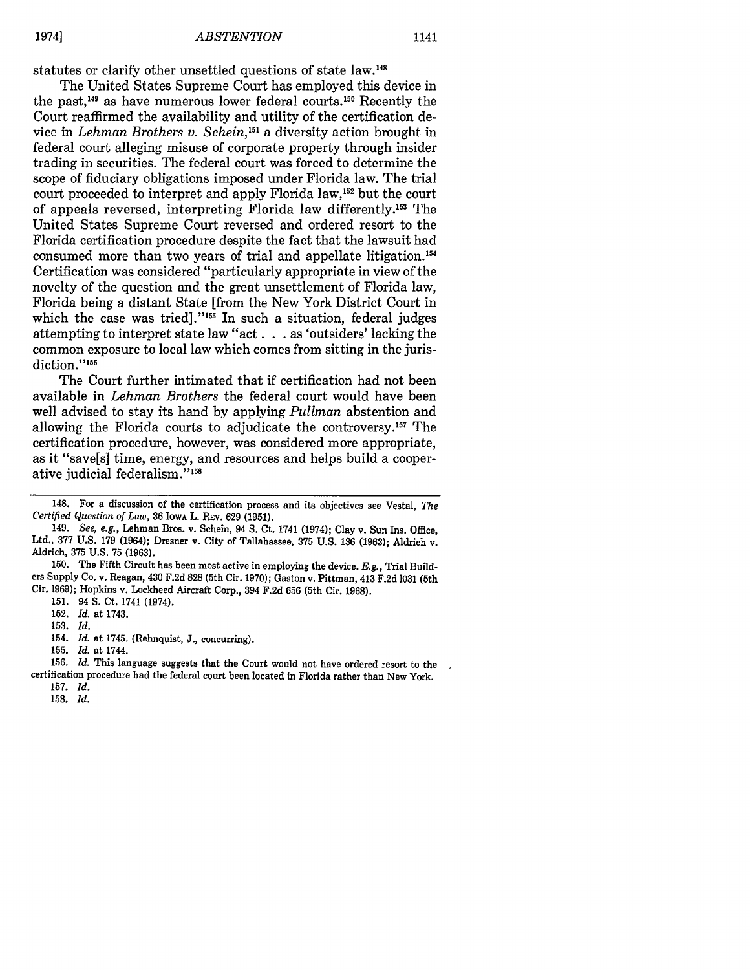statutes or clarify other unsettled questions of state law.<sup>148</sup>

The United States Supreme Court has employed this device in the past,<sup>149</sup> as have numerous lower federal courts.<sup>150</sup> Recently the Court reaffirmed the availability and utility of the certification device in *Lehman Brothers v. Schein,'5'* a diversity action brought in federal court alleging misuse of corporate property through insider trading in securities. The federal court was forced to determine the scope of fiduciary obligations imposed under Florida law. The trial court proceeded to interpret and apply Florida law,<sup>152</sup> but the court of appeals reversed, interpreting Florida law differently.'53 The United States Supreme Court reversed and ordered resort to the Florida certification procedure despite the fact that the lawsuit had consumed more than two years of trial and appellate litigation.'54 Certification was considered "particularly appropriate in view of the novelty of the question and the great unsettlement of Florida law, Florida being a distant State [from the New York District Court in which the case was tried]."<sup>155</sup> In such a situation, federal judges attempting to interpret state law "act. **.** . as 'outsiders' lacking the common exposure to local law which comes from sitting in the jurisdiction."<sup>156</sup>

The Court further intimated that if certification had not been available in *Lehman Brothers* the federal court would have been well advised to stay its hand by applying *Pullman* abstention and allowing the Florida courts to adjudicate the controversy.<sup>157</sup> The certification procedure, however, was considered more appropriate, as it "save[s] time, energy, and resources and helps build a cooperative judicial federalism."<sup>158</sup>

150. The Fifth Circuit has been most active in employing the device. *E.g.,* Trial Build- ers Supply Co. v. Reagan, 430 F.2d 828 (5th Cir. 1970); Gaston v. Pittman, 413 F.2d 1031 (5th Cir. 1969); Hopkins v. Lockheed Aircraft Corp., 394 F.2d 656 (5th Cir. 1968).

152. *Id.* at 1743.

153. *Id.*

19741

156. *Id.* This language suggests that the Court would not have ordered resort to the certification procedure had the federal court been located in Florida rather than New York. 157. *Id.*

<sup>148.</sup> For a discussion of the certification process and its objectives see Vestal, *The Certified Question of Law,* 36 IowA L. REv. 629 (1951).

<sup>149.</sup> *See, e.g.,* Lehman Bros. v. Schein, 94 S. Ct. 1741 (1974); Clay v. Sun Ins. Office, Ltd., 377 U.S. 179 (1964); Dresner v. City of Tallahassee, 375 U.S. 136 (1963); Aldrich v. Aldrich, 375 U.S. 75 (1963).

<sup>151. 94</sup> **S.** Ct. 1741 (1974).

<sup>154.</sup> *Id.* at 1745. (Rehnquist, J., concurring).

<sup>155.</sup> *Id.* at 1744.

**<sup>158.</sup>** *Id.*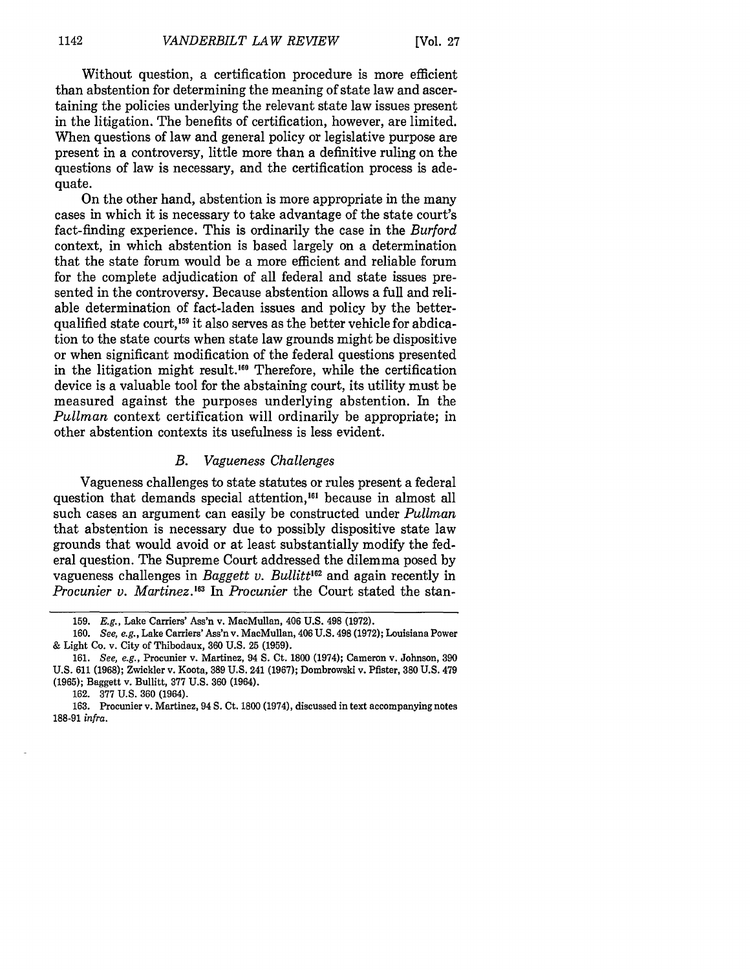Without question, a certification procedure is more efficient than abstention for determining the meaning of state law and ascertaining the policies underlying the relevant state law issues present in the litigation. The benefits of certification, however, are limited. When questions of law and general policy or legislative purpose are present in a controversy, little more than a definitive ruling on the questions of law is necessary, and the certification process is adequate.

On the other hand, abstention is more appropriate in the many cases in which it is necessary to take advantage of the state court's fact-finding experience. This is ordinarily the case in the *Burford* context, in which abstention is based largely on a determination that the state forum would be a more efficient and reliable forum for the complete adjudication of all federal and state issues presented in the controversy. Because abstention allows a full and reliable determination of fact-laden issues and policy by the betterqualified state court,<sup>159</sup> it also serves as the better vehicle for abdication to the state courts when state law grounds might be dispositive or when significant modification of the federal questions presented in the litigation might result.<sup>160</sup> Therefore, while the certification device is a valuable tool for the abstaining court, its utility must be measured against the purposes underlying abstention. In the *Pullman* context certification will ordinarily be appropriate; in other abstention contexts its usefulness is less evident.

#### *B. Vagueness Challenges*

Vagueness challenges to state statutes or rules present a federal question that demands special attention,<sup>161</sup> because in almost all such cases an argument can easily be constructed under *Pullman* that abstention is necessary due to possibly dispositive state law grounds that would avoid or at least substantially modify the federal question. The Supreme Court addressed the dilemma posed by vagueness challenges in *Baggett v. Bullitt<sup>162</sup>* and again recently in *Procunier v. Martinez."3 In Procunier* the Court stated the stan-

<sup>159.</sup> E.g., Lake Carriers' Ass'n v. MacMullan, 406 U.S. 498 (1972).

<sup>160.</sup> *See, e.g.,* Lake Carriers' Ass'n v. MacMullan, 406 U.S. 498 (1972); Louisiana Power & Light Co. v. City of Thibodaux, 360 U.S. 25 (1959).

<sup>161.</sup> *See, e.g.,* Procunier v. Martinez, 94 S. Ct. 1800 (1974); Cameron v. Johnson, 390 U.S. 611 (1968); Zwickler v. Koota, 389 U.S. 241 (1967); Dombrowski v. Pfister, 380 U.S. 479 (1965); Baggett v. Bullitt, 377 U.S. 360 (1964).

<sup>162. 377</sup> U.S. 360 (1964).

<sup>163.</sup> Procunier v. Martinez, 94 S. Ct. 1800 (1974), discussed in text accompanying notes 188-91 *infra.*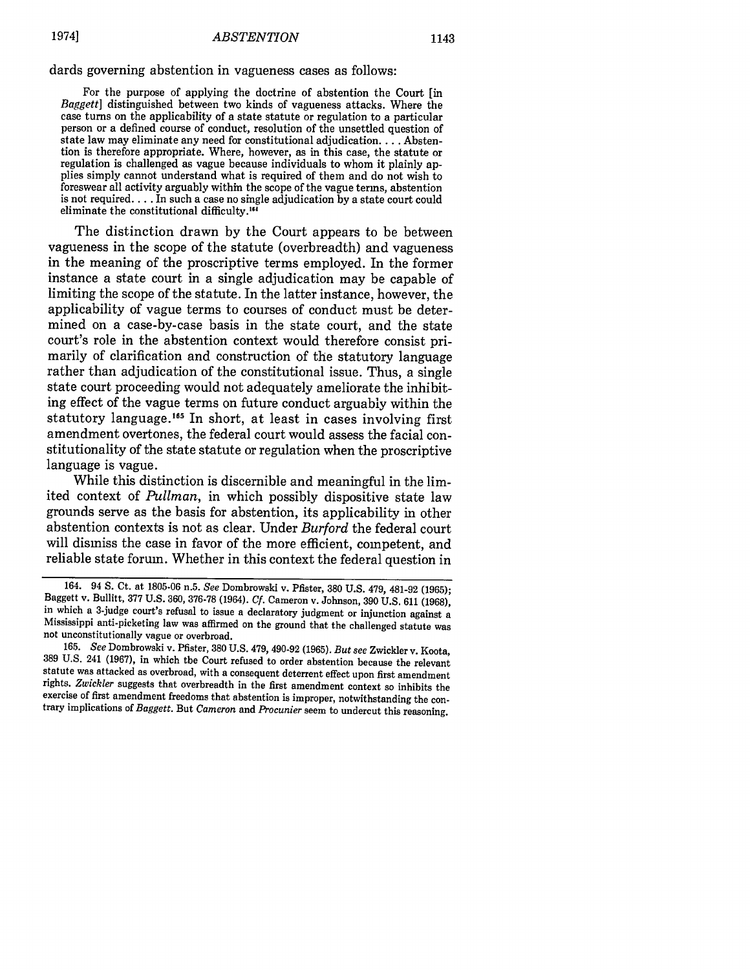dards governing abstention in vagueness cases as follows:

For the purpose of applying the doctrine of abstention the Court [in *Baggett]* distinguished between two kinds of vagueness attacks. Where the case turns on the applicability of a state statute or regulation to a particular person or a defined course of conduct, resolution of the unsettled question of state law may eliminate any need for constitutional adjudication.... Abstention is therefore appropriate. Where, however, as in this case, the statute or regulation is challenged as vague because individuals to whom it plainly applies simply cannot understand what is required of them and do not wish to foreswear all activity arguably within the scope of the vague terms, abstention is not required. **..** .In such a case no single adjudication by a state court could eliminate the constitutional difficulty.<sup>164</sup>

The distinction drawn by the Court appears to be between vagueness in the scope of the statute (overbreadth) and vagueness in the meaning of the proscriptive terms employed. In the former instance a state court in a single adjudication may be capable of limiting the scope of the statute. In the latter instance, however, the applicability of vague terms to courses of conduct must be determined on a case-by-case basis in the state court, and the state court's role in the abstention context would therefore consist primarily of clarification and construction of the statutory language rather than adjudication of the constitutional issue. Thus, a single state court proceeding would not adequately ameliorate the inhibiting effect of the vague terms on future conduct arguably within the statutory language.<sup>165</sup> In short, at least in cases involving first amendment overtones, the federal court would assess the facial constitutionality of the state statute or regulation when the proscriptive language is vague.

While this distinction is discernible and meaningful in the limited context of *Pullman,* in which possibly dispositive state law grounds serve as the basis for abstention, its applicability in other abstention contexts is not as clear. Under *Burford* the federal court will dismiss the case in favor of the more efficient, competent, and reliable state forum. Whether in this context the federal question in

<sup>164. 94</sup> **S.** Ct. at 1805-06 n.5. *See* Dombrowski v. Pfister, 380 U.S. 479, 481-92 (1965); Baggett v. Bullitt, **377 U.S.** 360, **376-78** (1964). *Cf.* Cameron v. Johnson, 390 **U.S.** 611 **(1968),** in which a 3-judge court's refusal to issue a declaratory judgment or injunction against a Mississippi anti-picketing law was affirmed on the ground that the challenged statute was not unconstitutionally vague or overbroad.

<sup>165.</sup> *See* Dombrowski v. Pfister, 380 U.S. 479, 490-92 (1965). *But see* Zwickler v. Koota, 389 U.S. 241 (1967), in which the Court refused to order abstention because the relevant statute was attacked as overbroad, with a consequent deterrent effect upon first amendment rights. *Zwickler* suggests that overbreadth in the first amendment context so inhibits the exercise of first amendment freedoms that abstention is improper, notwithstanding the con- trary implications of *Baggett.* But *Cameron* and *Procunier* seem to undercut this reasoning.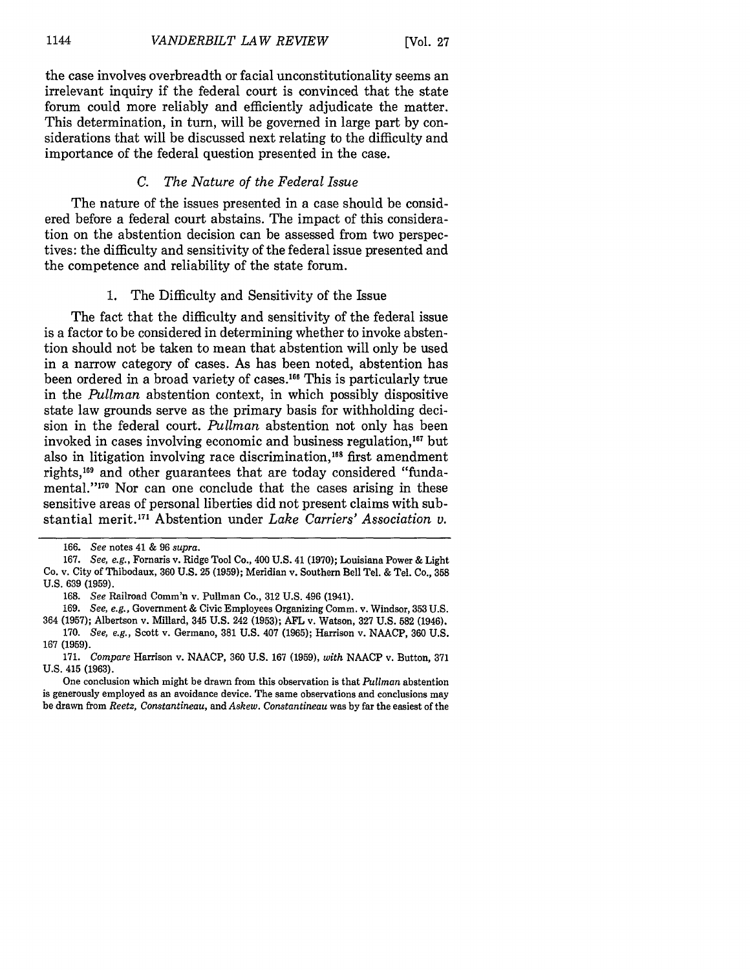the case involves overbreadth or facial unconstitutionality seems an irrelevant inquiry if the federal court is convinced that the state forum could more reliably and efficiently adjudicate the matter. This determination, in turn, will be governed in large part by considerations that will be discussed next relating to the difficulty and importance of the federal question presented in the case.

#### *C. The Nature of the Federal Issue*

The nature of the issues presented in a case should be considered before a federal court abstains. The impact of this consideration on the abstention decision can be assessed from two perspectives: the difficulty and sensitivity of the federal issue presented and the competence and reliability of the state forum.

#### 1. The Difficulty and Sensitivity of the Issue

The fact that the difficulty and sensitivity of the federal issue is a factor to be considered in determining whether to invoke abstention should not be taken to mean that abstention will only be used in a narrow category of cases. As has been noted, abstention has been ordered in a broad variety of cases.<sup>166</sup> This is particularly true in the *Pullman* abstention context, in which possibly dispositive state law grounds serve as the primary basis for withholding decision in the federal court. *Pullman* abstention not only has been invoked in cases involving economic and business regulation,<sup>167</sup> but also in litigation involving race discrimination,<sup>168</sup> first amendment rights,'69 and other guarantees that are today considered "fundamental."<sup>170</sup> Nor can one conclude that the cases arising in these sensitive areas of personal liberties did not present claims with substantial merit.<sup>171</sup> Abstention under *Lake Carriers' Association v.* 

One conclusion which might be drawn from this observation is that *Pullman* abstention is generously employed as an avoidance device. The same observations and conclusions may be drawn from *Reetz, Constantineau,* and *Askew. Constantineau* was by far the easiest of the

<sup>166.</sup> *See* notes 41 & 96 *supra.*

<sup>167.</sup> *See, e.g.,* Fornaris v. Ridge Tool Co., 400 **U.S.** 41 (1970); Louisiana Power & Light Co. v. City of Thibodaux, 360 U.S. 25 (1959); Meridian v. Southern Bell Tel. & Tel. Co., **358 U.S.** 639 (1959).

<sup>168.</sup> *See* Railroad Comm'n v. Pullman Co., 312 U.S. 496 (1941).

<sup>169.</sup> *See, e.g.,* Government & Civic Employees Organizing Comm. v. Windsor, 353 U.S. 364 (1957); Albertson v. Millard, 345 U.S. 242 (1953); **AFL** v. Watson, 327 U.S. **582** (1946).

<sup>170.</sup> *See, e.g.,* Scott v. Germano, 381 U.S. 407 (1965); Harrison v. NAACP, 360 U.S. 167 (1959).

<sup>171.</sup> *Compare* Harrison v. NAACP, 360 U.S. 167 (1959), *with* NAACP v. Button, 371 **U.S.** 415 (1963).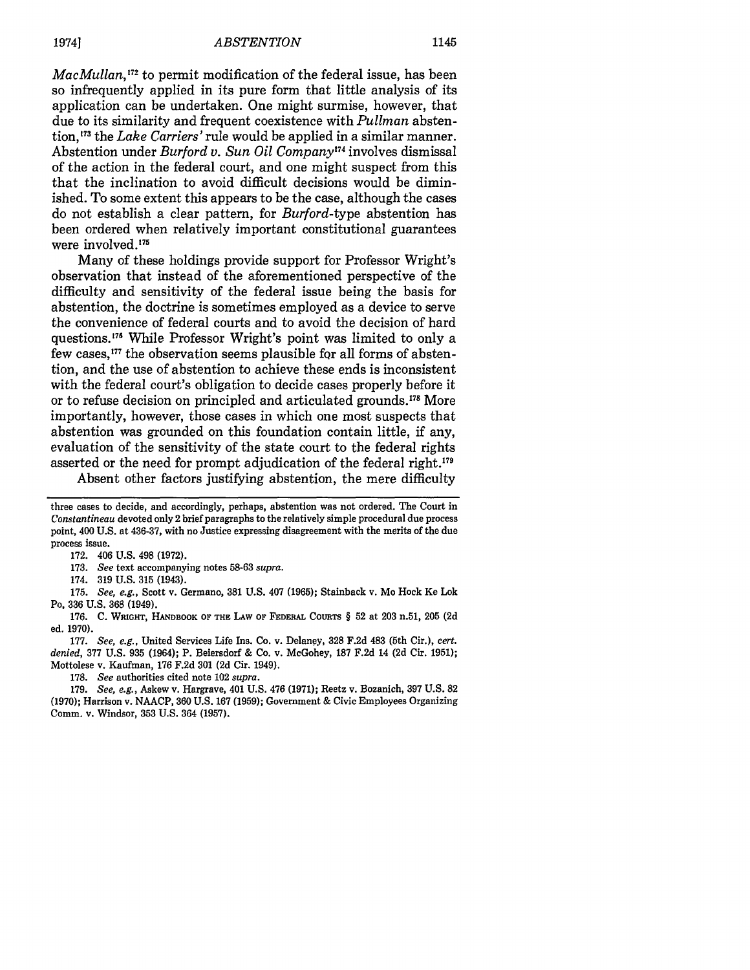*MacMullan,<sup>172</sup>* to permit modification of the federal issue, has been so infrequently applied in its pure form that little analysis of its application can be undertaken. One might surmise, however, that due to its similarity and frequent coexistence with *Pullman* abstention, 73 the *Lake Carriers'* rule would be applied in a similar manner. Abstention under *Burford v. Sun Oil Company174* involves dismissal of the action in the federal court, and one might suspect from this that the inclination to avoid difficult decisions would be diminished. To some extent this appears to be the case, although the cases do not establish a clear pattern, for *Burford-type* abstention has been ordered when relatively important constitutional guarantees were involved.<sup>175</sup>

Many of these holdings provide support for Professor Wright's observation that instead of the aforementioned perspective of the difficulty and sensitivity of the federal issue being the basis for abstention, the doctrine is sometimes employed as a device to serve the convenience of federal courts and to avoid the decision of hard questions. **'71** While Professor Wright's point was limited to only a few cases,<sup>177</sup> the observation seems plausible for all forms of abstention, and the use of abstention to achieve these ends is inconsistent with the federal court's obligation to decide cases properly before it or to refuse decision on principled and articulated grounds.<sup>178</sup> More importantly, however, those cases in which one most suspects that abstention was grounded on this foundation contain little, if any, evaluation of the sensitivity of the state court to the federal rights asserted or the need for prompt adjudication of the federal right.179

Absent other factors justifying abstention, the mere difficulty

175. *See, e.g.,* Scott v. Germano, 381 U.S. 407 (1965); Stainback v. Mo Hock Ke Lok Po, 336 U.S. **368** (1949).

176. **C. WRIGHT, HANDBOOK** OF **THE** LAW OF **FEDERAL COURTS** § 52 at 203 n.51, 205 (2d ed. 1970).

177. *See, e.g.,* United Services Life Ins. Co. v. Delaney, 328 F.2d 483 (5th Cir.), *cert. denied,* **377** U.S. 935 (1964); P. Beiersdorf & Co. v. McGohey, 187 F.2d 14 (2d Cir. 1951); Mottolese v. Kaufman, 176 F.2d **301** (2d Cir. 1949).

178. *See* authorities cited note 102 *supra.*

179. *See, e.g.,* Askew v. Hargrave, 401 U.S. 476 (1971); Reetz v. Bozanich, 397 U.S. 82 (1970); Harrison v. NAACP, 360 U.S. 167 (1959); Government & Civic Employees Organizing Comm. v. Windsor, 353 U.S. 364 (1957).

three cases to decide, and accordingly, perhaps, abstention was not ordered. The Court in *Constantineau* devoted only 2 brief paragraphs to the relatively simple procedural due process point, 400 U.S. at 436-37, with no Justice expressing disagreement with the merits of the due process issue.

<sup>172. 406</sup> U.S. 498 (1972).

<sup>173.</sup> *See* text accompanying notes 58-63 *supra.*

<sup>174. 319</sup> U.S. 315 (1943).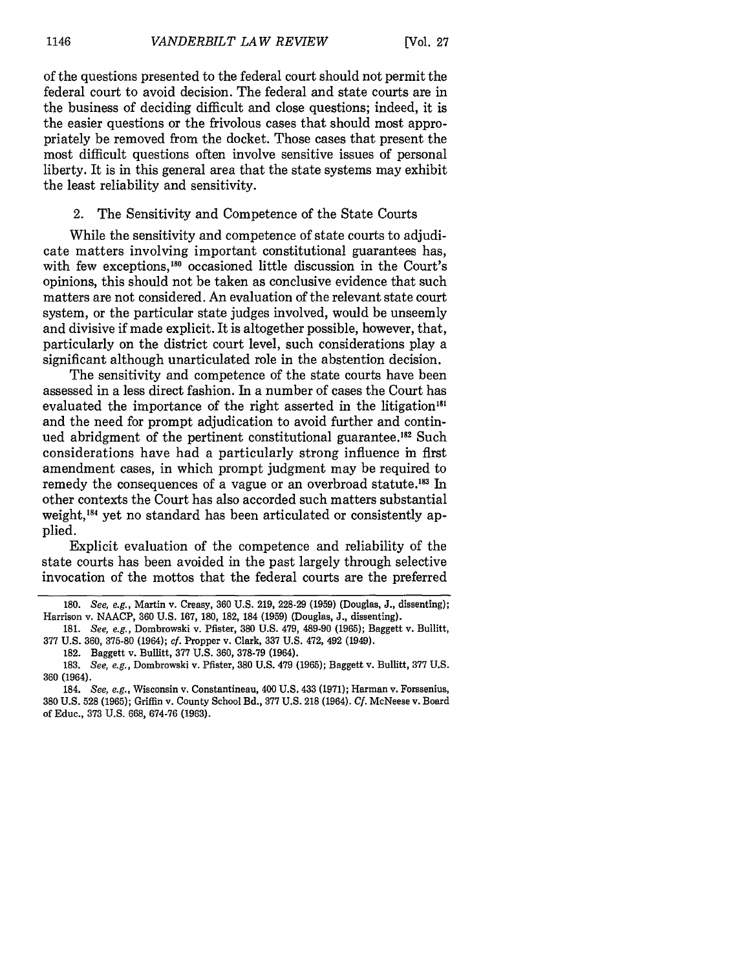of the questions presented to the federal court should not permit the federal court to avoid decision. The federal and state courts are in the business of deciding difficult and close questions; indeed, it is the easier questions or the frivolous cases that should most appropriately be removed from the docket. Those cases that present the most difficult questions often involve sensitive issues of personal liberty. It is in this general area that the state systems may exhibit the least reliability and sensitivity.

#### 2. The Sensitivity and Competence of the State Courts

While the sensitivity and competence of state courts to adjudicate matters involving important constitutional guarantees has, with few exceptions,<sup>180</sup> occasioned little discussion in the Court's opinions, this should not be taken as conclusive evidence that such matters are not considered. An evaluation of the relevant state court system, or the particular state judges involved, would be unseemly and divisive if made explicit. It is altogether possible, however, that, particularly on the district court level, such considerations play a significant although unarticulated role in the abstention decision.

The sensitivity and competence of the state courts have been assessed in a less direct fashion. In a number of cases the Court has evaluated the importance of the right asserted in the litigation<sup>181</sup> and the need for prompt adjudication to avoid further and continued abridgment of the pertinent constitutional guarantee.<sup>182</sup> Such considerations have had a particularly strong influence in first amendment cases, in which prompt judgment may be required to remedy the consequences of a vague or an overbroad statute.<sup>183</sup> In other contexts the Court has also accorded such matters substantial weight, 184 yet no standard has been articulated or consistently applied.

Explicit evaluation of the competence and reliability of the state courts has been avoided in the past largely through selective invocation of the mottos that the federal courts are the preferred

<sup>180.</sup> See, e.g., Martin v. Creasy, 360 U.S. 219, 228-29 (1959) (Douglas, J., dissenting); Harrison v. NAACP, 360 U.S. 167, 180, 182, 184 (1959) (Douglas, J., dissenting).

<sup>181.</sup> *See, e.g.,* Dombrowski v. Pfister, 380 U.S. 479, 489-90 (1965); Baggett v. Bullitt, 377 U.S. 360, 375-80 (1964); *cf.* Propper v. Clark, 337 U.S. 472, 492 (1949).

<sup>182.</sup> Baggett v. Bullitt, 377 U.S. 360, 378-79 (1964).

<sup>183.</sup> *See, e.g.,* Dombrowski v. Pfister, 380 U.S. 479 (1965); Baggett v. Bullitt, 377 U.S. 360 (1964).

<sup>184.</sup> *See, e.g.,* Wisconsin v. Constantineau, 400 U.S. 433 (1971); Harman v. Forssenius, 380 U.S. 528 (1965); Griffin v. County School Bd., 377 U.S. 218 (1964). **Cf.** McNeese v. Board of Educ., 373 U.S. 668, 674-76 (1963).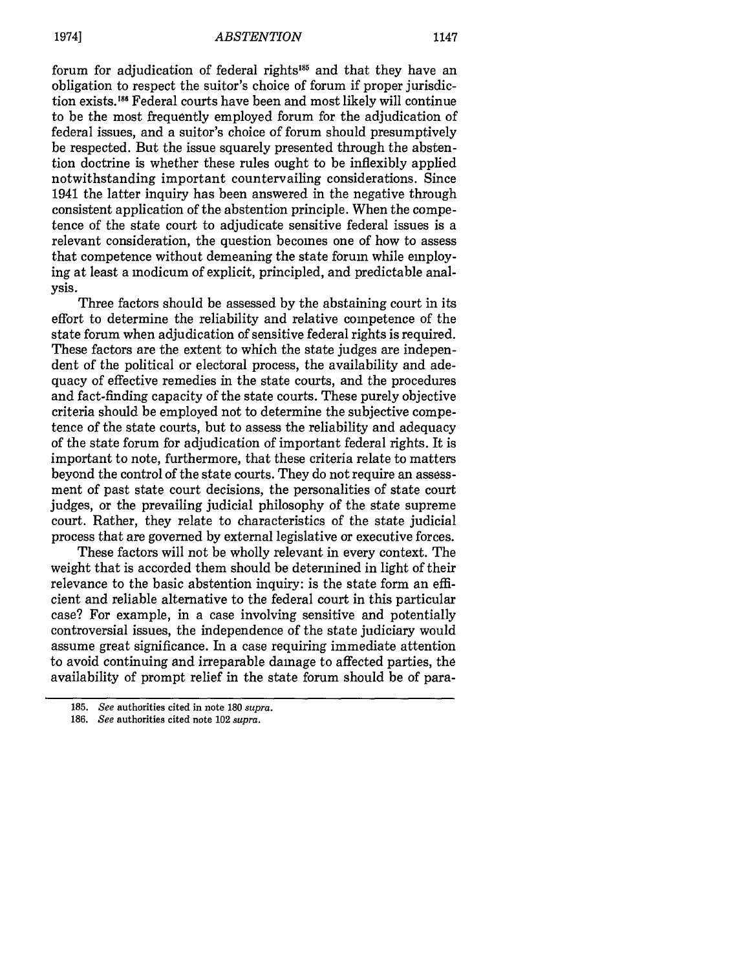forum for adjudication of federal rights<sup>185</sup> and that they have an obligation to respect the suitor's choice of forum if proper jurisdiction exists.<sup>186</sup> Federal courts have been and most likely will continue to be the most frequently employed forum for the adjudication of federal issues, and a suitor's choice of forum should presumptively be respected. But the issue squarely presented through the abstention doctrine is whether these rules ought to be inflexibly applied notwithstanding important countervailing considerations. Since 1941 the latter inquiry has been answered in the negative through consistent application of the abstention principle. When the competence of the state court to adjudicate sensitive federal issues is a relevant consideration, the question becomes one of how to assess that competence without demeaning the state forum while employing at least a modicum of explicit, principled, and predictable analysis.

Three factors should be assessed by the abstaining court in its effort to determine the reliability and relative competence of the state forum when adjudication of sensitive federal rights is required. These factors are the extent to which the state judges are independent of the political or electoral process, the availability and adequacy of effective remedies in the state courts, and the procedures and fact-finding capacity of the state courts. These purely objective criteria should be employed not to determine the subjective competence of the state courts, but to assess the reliability and adequacy of the state forum for adjudication of important federal rights. It is important to note, furthermore, that these criteria relate to matters beyond the control of the state courts. They do not require an assessment of past state court decisions, the personalities of state court judges, or the prevailing judicial philosophy of the state supreme court. Rather, they relate to characteristics of the state judicial process that are governed by external legislative or executive forces.

These factors will not be wholly relevant in every context. The weight that is accorded them should be determined in light of their relevance to the basic abstention inquiry: is the state form an efficient and reliable alternative to the federal court in this particular case? For example, in a case involving sensitive and potentially controversial issues, the independence of the state judiciary would assume great significance. In a case requiring immediate attention to avoid continuing and irreparable damage to affected parties, the availability of prompt relief in the state forum should be of para-

<sup>185.</sup> *See* authorities cited in note 180 *supra.*

**<sup>186.</sup>** *See* authorities cited note 102 *supra.*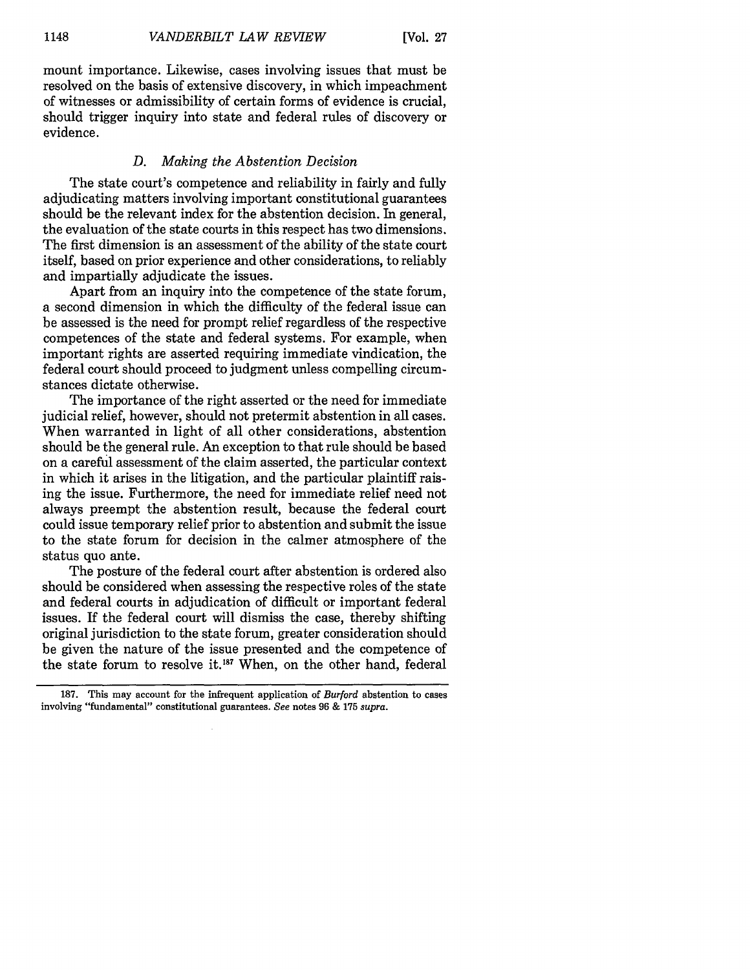mount importance. Likewise, cases involving issues that must be resolved on the basis of extensive discovery, in which impeachment of witnesses or admissibility of certain forms of evidence is crucial, should trigger inquiry into state and federal rules of discovery or evidence.

#### *D. Making the Abstention Decision*

The state court's competence and reliability in fairly and fully adjudicating matters involving important constitutional guarantees should be the relevant index for the abstention decision. In general, the evaluation of the state courts in this respect has two dimensions. The first dimension is an assessment of the ability of the state court itself, based on prior experience and other considerations, to reliably and impartially adjudicate the issues.

Apart from an inquiry into the competence of the state forum, a second dimension in which the difficulty of the federal issue can be assessed is the need for prompt relief regardless of the respective competences of the state and federal systems. For example, when important rights are asserted requiring immediate vindication, the federal court should proceed to judgment unless compelling circumstances dictate otherwise.

The importance of the right asserted or the need for immediate judicial relief, however, should not pretermit abstention in all cases. When warranted in light of all other considerations, abstention should be the general rule. An exception to that rule should be based on a careful assessment of the claim asserted, the particular context in which it arises in the litigation, and the particular plaintiff raising the issue. Furthermore, the need for immediate relief need not always preempt the abstention result, because the federal court could issue temporary relief prior to abstention and submit the issue to the state forum for decision in the calmer atmosphere of the status quo ante.

The posture of the federal court after abstention is ordered also should be considered when assessing the respective roles of the state and federal courts in adjudication of difficult or important federal issues. If the federal court will dismiss the case, thereby shifting original jurisdiction to the state forum, greater consideration should be given the nature of the issue presented and the competence of the state forum to resolve it.<sup>187</sup> When, on the other hand, federal

**<sup>187.</sup>** This may account for the infrequent application of *Burford* abstention to cases involving "fundamental" constitutional guarantees. *See* notes 96 & 175 *supra.*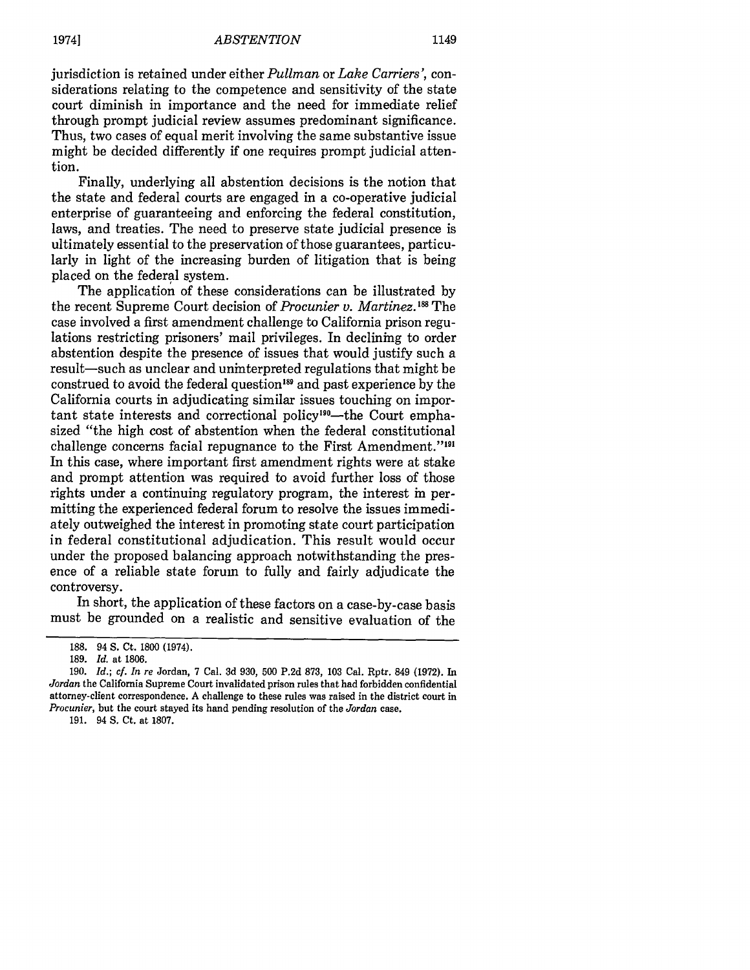jurisdiction is retained under either *Pullman* or *Lake Carriers',* considerations relating to the competence and sensitivity of the state court diminish in importance and the need for immediate relief through prompt judicial review assumes predominant significance. Thus, two cases of equal merit involving the same substantive issue might be decided differently if one requires prompt judicial attention.

Finally, underlying all abstention decisions is the notion that the state and federal courts are engaged in a co-operative judicial enterprise of guaranteeing and enforcing the federal constitution, laws, and treaties. The need to preserve state judicial presence is ultimately essential to the preservation of those guarantees, particularly in light of the increasing burden of litigation that is being placed on the federal system.

The application of these considerations can be illustrated by the recent Supreme Court decision of *Procunier v. Martinez*.<sup>188</sup> The case involved a first amendment challenge to California prison regulations restricting prisoners' mail privileges. In declining to order abstention despite the presence of issues that would justify such a result-such as unclear and uninterpreted regulations that might be construed to avoid the federal question<sup>189</sup> and past experience by the California courts in adjudicating similar issues touching on important state interests and correctional policy<sup>190</sup>—the Court emphasized "the high cost of abstention when the federal constitutional challenge concerns facial repugnance to the First Amendment."<sup>191</sup> In this case, where important first amendment rights were at stake and prompt attention was required to avoid further loss of those rights under a continuing regulatory program, the interest in permitting the experienced federal forum to resolve the issues immediately outweighed the interest in promoting state court participation in federal constitutional adjudication. This result would occur under the proposed balancing approach notwithstanding the presence of a reliable state forum to fully and fairly adjudicate the controversy.

In short, the application of these factors on a case-by-case basis must be grounded on a realistic and sensitive evaluation of the

191. 94 **S.** Ct. at 1807.

**<sup>188.</sup>** 94 **S.** Ct. 1800 (1974).

<sup>189.</sup> *Id.* at 1806.

<sup>190.</sup> *Id.; cf. In re* Jordan, 7 Cal. 3d 930, 500 P.2d 873, 103 Cal. Rptr. 849 (1972). In *Jordan* the California Supreme Court invalidated prison rules that had forbidden confidential attorney-client correspondence. A challenge to these rules was raised in the district court in *Procunier,* but the court stayed its hand pending resolution of the *Jordan* case.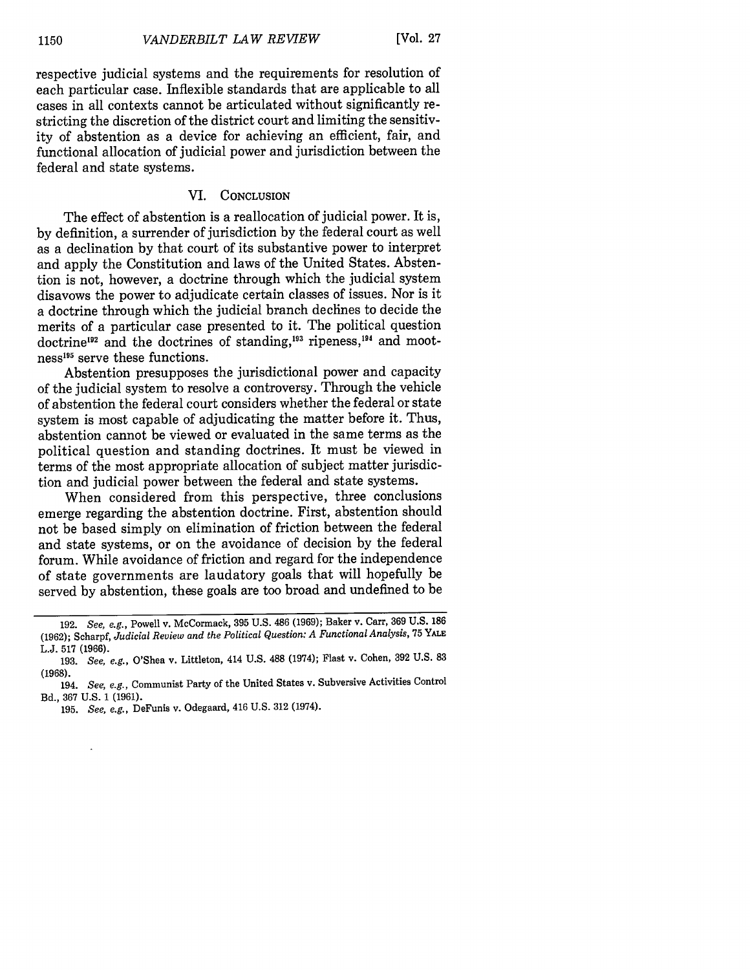respective judicial systems and the requirements for resolution of each particular case. Inflexible standards that are applicable to all cases in all contexts cannot be articulated without significantly restricting the discretion of the district court and limiting the sensitivity of abstention as a device for achieving an efficient, fair, and functional allocation of judicial power and jurisdiction between the federal and state systems.

# VI. **CONCLUSION**

The effect of abstention is a reallocation of judicial power. It is, by definition, a surrender of jurisdiction by the federal court as well as a declination by that court of its substantive power to interpret and apply the Constitution and laws of the United States. Abstention is not, however, a doctrine through which the judicial system disavows the power to adjudicate certain classes of issues. Nor is it a doctrine through which the judicial branch declines to decide the merits of a particular case presented to it. The political question doctrine<sup>192</sup> and the doctrines of standing,<sup>193</sup> ripeness,<sup>194</sup> and mootness<sup>195</sup> serve these functions.

Abstention presupposes the jurisdictional power and capacity of the judicial system to resolve a controversy. Through the vehicle of abstention the federal court considers whether the federal or state system is most capable of adjudicating the matter before it. Thus, abstention cannot be viewed or evaluated in the same terms as the political question and standing doctrines. It must be viewed in terms of the most appropriate allocation of subject matter jurisdiction and judicial power between the federal and state systems.

When considered from this perspective, three conclusions emerge regarding the abstention doctrine. First, abstention should not be based simply on elimination of friction between the federal and state systems, or on the avoidance of decision by the federal forum. While avoidance of friction and regard for the independence of state governments are laudatory goals that will hopefully be served by abstention, these goals are too broad and undefined to be

<sup>192.</sup> *See, e.g.,* Powell v. McCormack, 395 U.S. 486 (1969); Baker v. Carr, 369 U.S. 186 **(1962);** Scharpf, *Judicial Review and the Political Question: A Functional Analysis,* 75 **YALE** L.J. 517 (1966).

<sup>193.</sup> *See, e.g.,* O'Shea v. Littleton, 414 **U.S. 488** (1974); Flast v. Cohen, **392 U.S. 83** (1968).

<sup>194.</sup> *See, e.g.,* Communist Party of the United States v. Subversive Activities Control Bd., 367 U.S. 1 (1961).

<sup>195.</sup> *See, e.g.,* DeFunis v. Odegaard, 416 U.S. 312 (1974).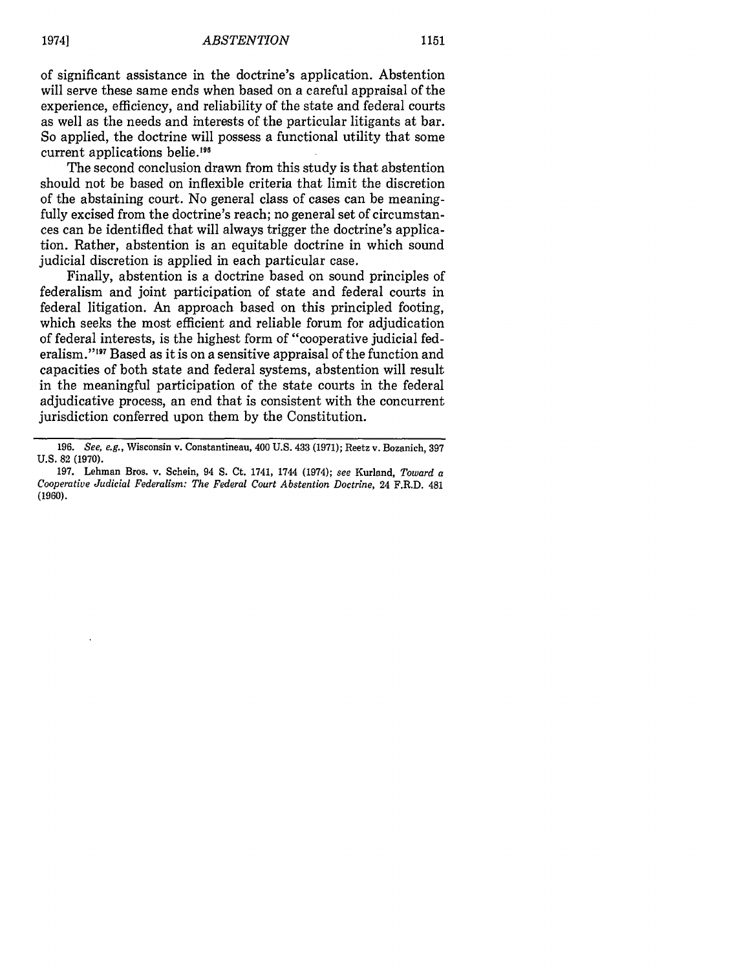of significant assistance in the doctrine's application. Abstention will serve these same ends when based on a careful appraisal of the experience, efficiency, and reliability of the state and federal courts as well as the needs and interests of the particular litigants at bar. So applied, the doctrine will possess a functional utility that some current applications belie.<sup>196</sup>

The second conclusion drawn from this study is that abstention should not be based on inflexible criteria that limit the discretion of the abstaining court. No general class of cases can be meaningfully excised from the doctrine's reach; no general set of circumstances can be identified that will always trigger the doctrine's application. Rather, abstention is an equitable doctrine in which sound judicial discretion is applied in each particular case.

Finally, abstention is a doctrine based on sound principles of federalism and joint participation of state and federal courts in federal litigation. An approach based on this principled footing, which seeks the most efficient and reliable forum for adjudication of federal interests, is the highest form of "cooperative judicial federalism."'97 Based as it is on a sensitive appraisal of the function and capacities of both state and federal systems, abstention will result in the meaningful participation of the state courts in the federal adjudicative process, an end that is consistent with the concurrent jurisdiction conferred upon them by the Constitution.

**<sup>196.</sup>** *See, e.g.,* Wisconsin v. Constantineau, 400 **U.S.** 433 **(1971);** Reetz v. Bozanich, 397 **U.S.** 82 (1970).

<sup>197.</sup> Lehman Bros. v. Schein, 94 S. Ct. 1741, 1744 (1974); *see* Kurland, *Toward a Cooperative Judicial Federalism: The Federal Court Abstention Doctrine,* 24 F.R.D. 481 (1960).